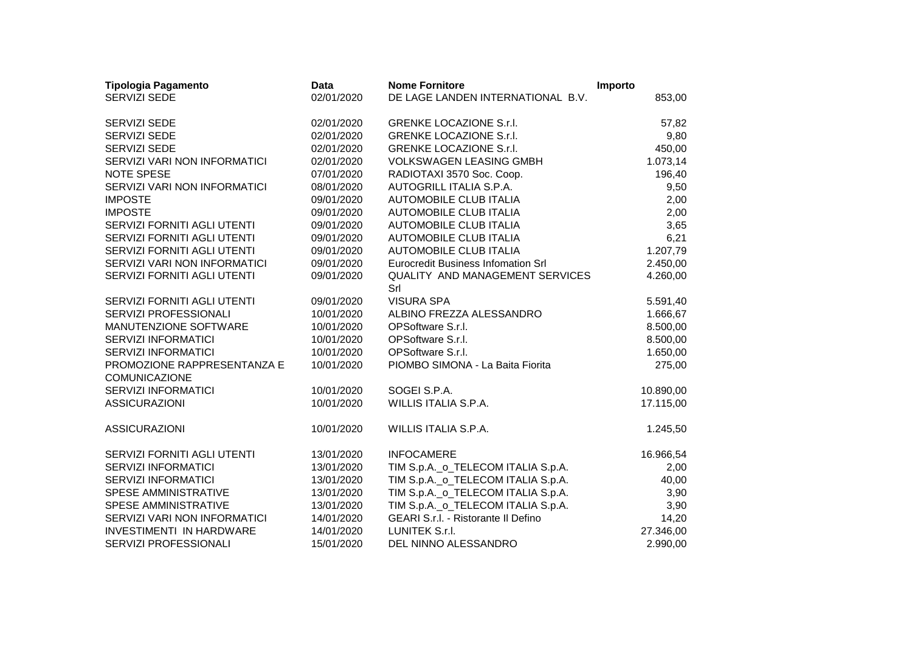| <b>Tipologia Pagamento</b>                          | <b>Data</b> | <b>Nome Fornitore</b>                         | Importo   |
|-----------------------------------------------------|-------------|-----------------------------------------------|-----------|
| <b>SERVIZI SEDE</b>                                 | 02/01/2020  | DE LAGE LANDEN INTERNATIONAL B.V.             | 853,00    |
| SERVIZI SEDE                                        | 02/01/2020  | <b>GRENKE LOCAZIONE S.r.I.</b>                | 57,82     |
| <b>SERVIZI SEDE</b>                                 | 02/01/2020  | <b>GRENKE LOCAZIONE S.r.I.</b>                | 9,80      |
| SERVIZI SEDE                                        | 02/01/2020  | <b>GRENKE LOCAZIONE S.r.I.</b>                | 450,00    |
| SERVIZI VARI NON INFORMATICI                        | 02/01/2020  | <b>VOLKSWAGEN LEASING GMBH</b>                | 1.073,14  |
| NOTE SPESE                                          | 07/01/2020  | RADIOTAXI 3570 Soc. Coop.                     | 196,40    |
| SERVIZI VARI NON INFORMATICI                        | 08/01/2020  | AUTOGRILL ITALIA S.P.A.                       | 9,50      |
| <b>IMPOSTE</b>                                      | 09/01/2020  | <b>AUTOMOBILE CLUB ITALIA</b>                 | 2,00      |
| <b>IMPOSTE</b>                                      | 09/01/2020  | <b>AUTOMOBILE CLUB ITALIA</b>                 | 2,00      |
| SERVIZI FORNITI AGLI UTENTI                         | 09/01/2020  | <b>AUTOMOBILE CLUB ITALIA</b>                 | 3,65      |
| SERVIZI FORNITI AGLI UTENTI                         | 09/01/2020  | AUTOMOBILE CLUB ITALIA                        | 6,21      |
| SERVIZI FORNITI AGLI UTENTI                         | 09/01/2020  | <b>AUTOMOBILE CLUB ITALIA</b>                 | 1.207,79  |
| SERVIZI VARI NON INFORMATICI                        | 09/01/2020  | <b>Eurocredit Business Infomation Srl</b>     | 2.450,00  |
| SERVIZI FORNITI AGLI UTENTI                         | 09/01/2020  | <b>QUALITY AND MANAGEMENT SERVICES</b><br>Srl | 4.260,00  |
| SERVIZI FORNITI AGLI UTENTI                         | 09/01/2020  | <b>VISURA SPA</b>                             | 5.591,40  |
| SERVIZI PROFESSIONALI                               | 10/01/2020  | ALBINO FREZZA ALESSANDRO                      | 1.666,67  |
| MANUTENZIONE SOFTWARE                               | 10/01/2020  | OPSoftware S.r.l.                             | 8.500,00  |
| <b>SERVIZI INFORMATICI</b>                          | 10/01/2020  | OPSoftware S.r.l.                             | 8.500,00  |
| SERVIZI INFORMATICI                                 | 10/01/2020  | OPSoftware S.r.l.                             | 1.650,00  |
| PROMOZIONE RAPPRESENTANZA E<br><b>COMUNICAZIONE</b> | 10/01/2020  | PIOMBO SIMONA - La Baita Fiorita              | 275,00    |
| <b>SERVIZI INFORMATICI</b>                          | 10/01/2020  | SOGEI S.P.A.                                  | 10.890,00 |
| <b>ASSICURAZIONI</b>                                | 10/01/2020  | WILLIS ITALIA S.P.A.                          | 17.115,00 |
| <b>ASSICURAZIONI</b>                                | 10/01/2020  | WILLIS ITALIA S.P.A.                          | 1.245,50  |
| SERVIZI FORNITI AGLI UTENTI                         | 13/01/2020  | <b>INFOCAMERE</b>                             | 16.966,54 |
| SERVIZI INFORMATICI                                 | 13/01/2020  | TIM S.p.A._o_TELECOM ITALIA S.p.A.            | 2,00      |
| <b>SERVIZI INFORMATICI</b>                          | 13/01/2020  | TIM S.p.A._o_TELECOM ITALIA S.p.A.            | 40,00     |
| SPESE AMMINISTRATIVE                                | 13/01/2020  | TIM S.p.A._o_TELECOM ITALIA S.p.A.            | 3,90      |
| SPESE AMMINISTRATIVE                                | 13/01/2020  | TIM S.p.A._o_TELECOM ITALIA S.p.A.            | 3,90      |
| SERVIZI VARI NON INFORMATICI                        | 14/01/2020  | GEARI S.r.l. - Ristorante II Defino           | 14,20     |
| INVESTIMENTI IN HARDWARE                            | 14/01/2020  | LUNITEK S.r.I.                                | 27.346,00 |
| SERVIZI PROFESSIONALI                               | 15/01/2020  | DEL NINNO ALESSANDRO                          | 2.990,00  |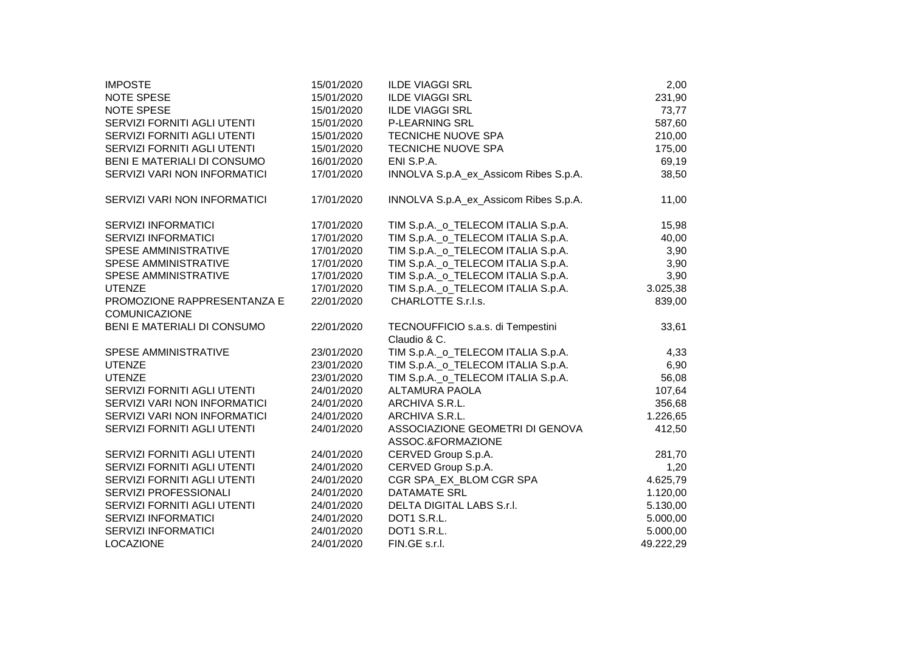| <b>IMPOSTE</b>               | 15/01/2020 | <b>ILDE VIAGGI SRL</b>                | 2,00      |
|------------------------------|------------|---------------------------------------|-----------|
| NOTE SPESE                   | 15/01/2020 | <b>ILDE VIAGGI SRL</b>                | 231,90    |
| NOTE SPESE                   | 15/01/2020 | <b>ILDE VIAGGI SRL</b>                | 73,77     |
| SERVIZI FORNITI AGLI UTENTI  | 15/01/2020 | <b>P-LEARNING SRL</b>                 | 587,60    |
| SERVIZI FORNITI AGLI UTENTI  | 15/01/2020 | <b>TECNICHE NUOVE SPA</b>             | 210,00    |
| SERVIZI FORNITI AGLI UTENTI  | 15/01/2020 | <b>TECNICHE NUOVE SPA</b>             | 175,00    |
| BENI E MATERIALI DI CONSUMO  | 16/01/2020 | ENI S.P.A.                            | 69,19     |
| SERVIZI VARI NON INFORMATICI | 17/01/2020 | INNOLVA S.p.A_ex_Assicom Ribes S.p.A. | 38,50     |
| SERVIZI VARI NON INFORMATICI | 17/01/2020 | INNOLVA S.p.A_ex_Assicom Ribes S.p.A. | 11,00     |
| <b>SERVIZI INFORMATICI</b>   | 17/01/2020 | TIM S.p.A._o_TELECOM ITALIA S.p.A.    | 15,98     |
| <b>SERVIZI INFORMATICI</b>   | 17/01/2020 | TIM S.p.A._o_TELECOM ITALIA S.p.A.    | 40,00     |
| <b>SPESE AMMINISTRATIVE</b>  | 17/01/2020 | TIM S.p.A._o_TELECOM ITALIA S.p.A.    | 3,90      |
| <b>SPESE AMMINISTRATIVE</b>  | 17/01/2020 | TIM S.p.A._o_TELECOM ITALIA S.p.A.    | 3,90      |
| <b>SPESE AMMINISTRATIVE</b>  | 17/01/2020 | TIM S.p.A._o_TELECOM ITALIA S.p.A.    | 3,90      |
| <b>UTENZE</b>                | 17/01/2020 | TIM S.p.A._o_TELECOM ITALIA S.p.A.    | 3.025,38  |
| PROMOZIONE RAPPRESENTANZA E  | 22/01/2020 | CHARLOTTE S.r.l.s.                    | 839,00    |
| COMUNICAZIONE                |            |                                       |           |
| BENI E MATERIALI DI CONSUMO  | 22/01/2020 | TECNOUFFICIO s.a.s. di Tempestini     | 33,61     |
|                              |            | Claudio & C.                          |           |
| <b>SPESE AMMINISTRATIVE</b>  | 23/01/2020 | TIM S.p.A._o_TELECOM ITALIA S.p.A.    | 4,33      |
| <b>UTENZE</b>                | 23/01/2020 | TIM S.p.A._o_TELECOM ITALIA S.p.A.    | 6,90      |
| <b>UTENZE</b>                | 23/01/2020 | TIM S.p.A._o_TELECOM ITALIA S.p.A.    | 56,08     |
| SERVIZI FORNITI AGLI UTENTI  | 24/01/2020 | <b>ALTAMURA PAOLA</b>                 | 107,64    |
| SERVIZI VARI NON INFORMATICI | 24/01/2020 | ARCHIVA S.R.L.                        | 356,68    |
| SERVIZI VARI NON INFORMATICI | 24/01/2020 | ARCHIVA S.R.L.                        | 1.226,65  |
| SERVIZI FORNITI AGLI UTENTI  | 24/01/2020 | ASSOCIAZIONE GEOMETRI DI GENOVA       | 412,50    |
|                              |            | ASSOC.&FORMAZIONE                     |           |
| SERVIZI FORNITI AGLI UTENTI  | 24/01/2020 | CERVED Group S.p.A.                   | 281,70    |
| SERVIZI FORNITI AGLI UTENTI  | 24/01/2020 | CERVED Group S.p.A.                   | 1,20      |
| SERVIZI FORNITI AGLI UTENTI  | 24/01/2020 | CGR SPA_EX_BLOM CGR SPA               | 4.625,79  |
| SERVIZI PROFESSIONALI        | 24/01/2020 | <b>DATAMATE SRL</b>                   | 1.120,00  |
| SERVIZI FORNITI AGLI UTENTI  | 24/01/2020 | DELTA DIGITAL LABS S.r.l.             | 5.130,00  |
| <b>SERVIZI INFORMATICI</b>   | 24/01/2020 | DOT1 S.R.L.                           | 5.000,00  |
| <b>SERVIZI INFORMATICI</b>   | 24/01/2020 | DOT1 S.R.L.                           | 5.000,00  |
| <b>LOCAZIONE</b>             | 24/01/2020 | FIN.GE s.r.l.                         | 49.222,29 |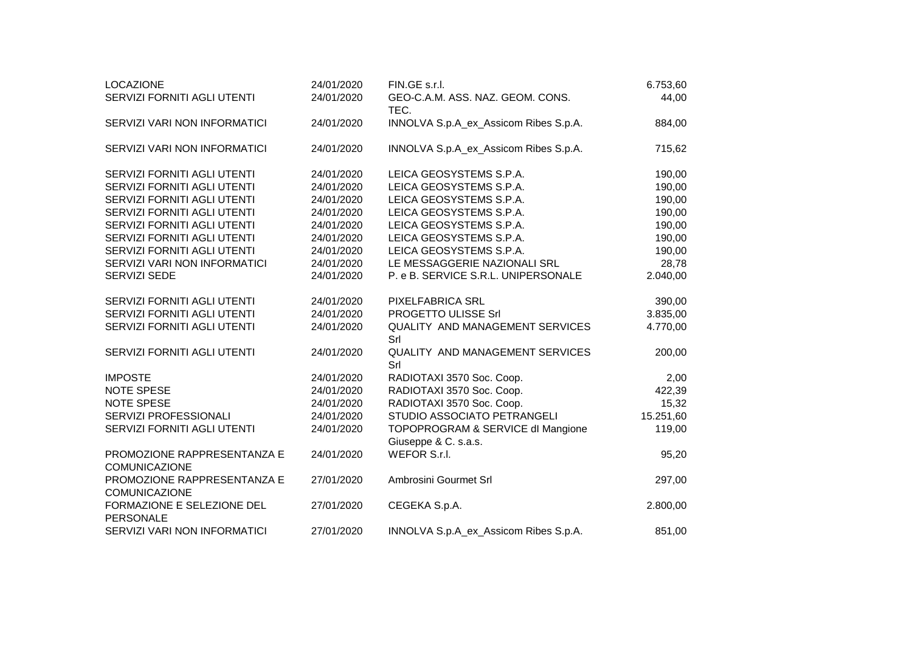| <b>LOCAZIONE</b>                                    | 24/01/2020 | FIN.GE s.r.l.                                 | 6.753,60  |
|-----------------------------------------------------|------------|-----------------------------------------------|-----------|
| SERVIZI FORNITI AGLI UTENTI                         | 24/01/2020 | GEO-C.A.M. ASS. NAZ. GEOM. CONS.<br>TEC.      | 44,00     |
| SERVIZI VARI NON INFORMATICI                        | 24/01/2020 | INNOLVA S.p.A_ex_Assicom Ribes S.p.A.         | 884,00    |
| SERVIZI VARI NON INFORMATICI                        | 24/01/2020 | INNOLVA S.p.A_ex_Assicom Ribes S.p.A.         | 715,62    |
| SERVIZI FORNITI AGLI UTENTI                         | 24/01/2020 | LEICA GEOSYSTEMS S.P.A.                       | 190,00    |
| SERVIZI FORNITI AGLI UTENTI                         | 24/01/2020 | LEICA GEOSYSTEMS S.P.A.                       | 190,00    |
| SERVIZI FORNITI AGLI UTENTI                         | 24/01/2020 | LEICA GEOSYSTEMS S.P.A.                       | 190,00    |
| SERVIZI FORNITI AGLI UTENTI                         | 24/01/2020 | LEICA GEOSYSTEMS S.P.A.                       | 190,00    |
| SERVIZI FORNITI AGLI UTENTI                         | 24/01/2020 | LEICA GEOSYSTEMS S.P.A.                       | 190,00    |
| SERVIZI FORNITI AGLI UTENTI                         | 24/01/2020 | LEICA GEOSYSTEMS S.P.A.                       | 190,00    |
| SERVIZI FORNITI AGLI UTENTI                         | 24/01/2020 | LEICA GEOSYSTEMS S.P.A.                       | 190,00    |
| SERVIZI VARI NON INFORMATICI                        | 24/01/2020 | LE MESSAGGERIE NAZIONALI SRL                  | 28,78     |
| <b>SERVIZI SEDE</b>                                 | 24/01/2020 | P. e B. SERVICE S.R.L. UNIPERSONALE           | 2.040,00  |
| SERVIZI FORNITI AGLI UTENTI                         | 24/01/2020 | PIXELFABRICA SRL                              | 390,00    |
| SERVIZI FORNITI AGLI UTENTI                         | 24/01/2020 | PROGETTO ULISSE Srl                           | 3.835,00  |
| SERVIZI FORNITI AGLI UTENTI                         | 24/01/2020 | QUALITY AND MANAGEMENT SERVICES<br>Srl        | 4.770,00  |
| SERVIZI FORNITI AGLI UTENTI                         | 24/01/2020 | <b>QUALITY AND MANAGEMENT SERVICES</b><br>Srl | 200,00    |
| <b>IMPOSTE</b>                                      | 24/01/2020 | RADIOTAXI 3570 Soc. Coop.                     | 2,00      |
| NOTE SPESE                                          | 24/01/2020 | RADIOTAXI 3570 Soc. Coop.                     | 422,39    |
| NOTE SPESE                                          | 24/01/2020 | RADIOTAXI 3570 Soc. Coop.                     | 15,32     |
| SERVIZI PROFESSIONALI                               | 24/01/2020 | STUDIO ASSOCIATO PETRANGELI                   | 15.251,60 |
| SERVIZI FORNITI AGLI UTENTI                         | 24/01/2020 | TOPOPROGRAM & SERVICE dl Mangione             | 119,00    |
|                                                     |            | Giuseppe & C. s.a.s.                          |           |
| PROMOZIONE RAPPRESENTANZA E<br>COMUNICAZIONE        | 24/01/2020 | WEFOR S.r.l.                                  | 95,20     |
| PROMOZIONE RAPPRESENTANZA E<br><b>COMUNICAZIONE</b> | 27/01/2020 | Ambrosini Gourmet Srl                         | 297,00    |
| FORMAZIONE E SELEZIONE DEL<br><b>PERSONALE</b>      | 27/01/2020 | CEGEKA S.p.A.                                 | 2.800,00  |
| SERVIZI VARI NON INFORMATICI                        | 27/01/2020 | INNOLVA S.p.A_ex_Assicom Ribes S.p.A.         | 851,00    |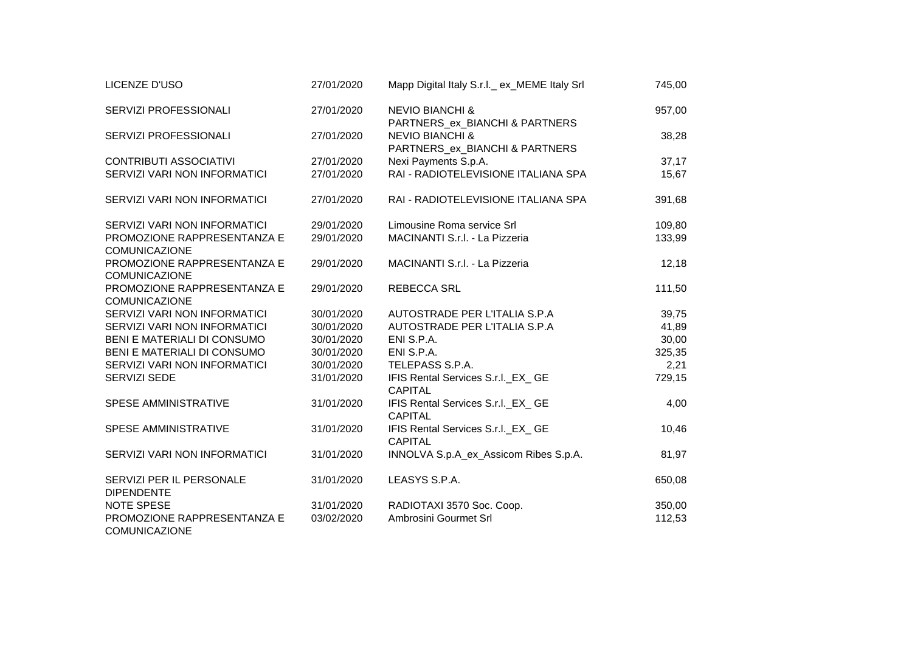| LICENZE D'USO                                       | 27/01/2020 | Mapp Digital Italy S.r.l. ex_MEME Italy Srl                  | 745,00 |
|-----------------------------------------------------|------------|--------------------------------------------------------------|--------|
| SERVIZI PROFESSIONALI                               | 27/01/2020 | <b>NEVIO BIANCHI &amp;</b><br>PARTNERS_ex_BIANCHI & PARTNERS | 957,00 |
| SERVIZI PROFESSIONALI                               | 27/01/2020 | <b>NEVIO BIANCHI &amp;</b><br>PARTNERS_ex_BIANCHI & PARTNERS | 38,28  |
| <b>CONTRIBUTI ASSOCIATIVI</b>                       | 27/01/2020 | Nexi Payments S.p.A.                                         | 37,17  |
| SERVIZI VARI NON INFORMATICI                        | 27/01/2020 | RAI - RADIOTELEVISIONE ITALIANA SPA                          | 15,67  |
| SERVIZI VARI NON INFORMATICI                        | 27/01/2020 | RAI - RADIOTELEVISIONE ITALIANA SPA                          | 391,68 |
| SERVIZI VARI NON INFORMATICI                        | 29/01/2020 | Limousine Roma service Srl                                   | 109,80 |
| PROMOZIONE RAPPRESENTANZA E<br><b>COMUNICAZIONE</b> | 29/01/2020 | MACINANTI S.r.l. - La Pizzeria                               | 133,99 |
| PROMOZIONE RAPPRESENTANZA E<br><b>COMUNICAZIONE</b> | 29/01/2020 | MACINANTI S.r.l. - La Pizzeria                               | 12,18  |
| PROMOZIONE RAPPRESENTANZA E<br><b>COMUNICAZIONE</b> | 29/01/2020 | <b>REBECCA SRL</b>                                           | 111,50 |
| SERVIZI VARI NON INFORMATICI                        | 30/01/2020 | AUTOSTRADE PER L'ITALIA S.P.A                                | 39,75  |
| SERVIZI VARI NON INFORMATICI                        | 30/01/2020 | AUTOSTRADE PER L'ITALIA S.P.A                                | 41,89  |
| BENI E MATERIALI DI CONSUMO                         | 30/01/2020 | ENI S.P.A.                                                   | 30,00  |
| BENI E MATERIALI DI CONSUMO                         | 30/01/2020 | ENI S.P.A.                                                   | 325,35 |
| SERVIZI VARI NON INFORMATICI                        | 30/01/2020 | TELEPASS S.P.A.                                              | 2,21   |
| SERVIZI SEDE                                        | 31/01/2020 | IFIS Rental Services S.r.I._EX_ GE<br><b>CAPITAL</b>         | 729,15 |
| SPESE AMMINISTRATIVE                                | 31/01/2020 | IFIS Rental Services S.r.I._EX_ GE<br><b>CAPITAL</b>         | 4,00   |
| <b>SPESE AMMINISTRATIVE</b>                         | 31/01/2020 | IFIS Rental Services S.r.I._EX_ GE<br><b>CAPITAL</b>         | 10,46  |
| SERVIZI VARI NON INFORMATICI                        | 31/01/2020 | INNOLVA S.p.A_ex_Assicom Ribes S.p.A.                        | 81,97  |
| SERVIZI PER IL PERSONALE<br><b>DIPENDENTE</b>       | 31/01/2020 | LEASYS S.P.A.                                                | 650,08 |
| <b>NOTE SPESE</b>                                   | 31/01/2020 | RADIOTAXI 3570 Soc. Coop.                                    | 350,00 |
| PROMOZIONE RAPPRESENTANZA E<br>COMUNICAZIONE        | 03/02/2020 | Ambrosini Gourmet Srl                                        | 112,53 |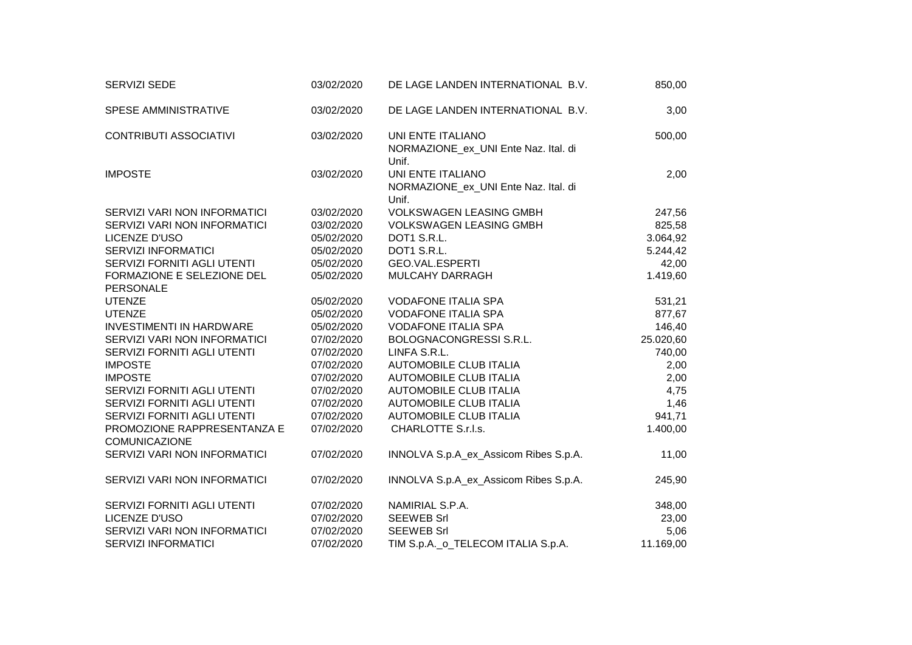| SERVIZI SEDE                                        | 03/02/2020 | DE LAGE LANDEN INTERNATIONAL B.V.                                  | 850,00    |
|-----------------------------------------------------|------------|--------------------------------------------------------------------|-----------|
| SPESE AMMINISTRATIVE                                | 03/02/2020 | DE LAGE LANDEN INTERNATIONAL B.V.                                  | 3,00      |
| <b>CONTRIBUTI ASSOCIATIVI</b>                       | 03/02/2020 | UNI ENTE ITALIANO<br>NORMAZIONE_ex_UNI Ente Naz. Ital. di<br>Unif. | 500,00    |
| <b>IMPOSTE</b>                                      | 03/02/2020 | UNI ENTE ITALIANO<br>NORMAZIONE_ex_UNI Ente Naz. Ital. di<br>Unif. | 2,00      |
| SERVIZI VARI NON INFORMATICI                        | 03/02/2020 | <b>VOLKSWAGEN LEASING GMBH</b>                                     | 247,56    |
| SERVIZI VARI NON INFORMATICI                        | 03/02/2020 | <b>VOLKSWAGEN LEASING GMBH</b>                                     | 825,58    |
| LICENZE D'USO                                       | 05/02/2020 | DOT1 S.R.L.                                                        | 3.064,92  |
| <b>SERVIZI INFORMATICI</b>                          | 05/02/2020 | DOT1 S.R.L.                                                        | 5.244,42  |
| SERVIZI FORNITI AGLI UTENTI                         | 05/02/2020 | GEO.VAL.ESPERTI                                                    | 42,00     |
| FORMAZIONE E SELEZIONE DEL<br>PERSONALE             | 05/02/2020 | MULCAHY DARRAGH                                                    | 1.419,60  |
| <b>UTENZE</b>                                       | 05/02/2020 | <b>VODAFONE ITALIA SPA</b>                                         | 531,21    |
| <b>UTENZE</b>                                       | 05/02/2020 | <b>VODAFONE ITALIA SPA</b>                                         | 877,67    |
| <b>INVESTIMENTI IN HARDWARE</b>                     | 05/02/2020 | <b>VODAFONE ITALIA SPA</b>                                         | 146,40    |
| SERVIZI VARI NON INFORMATICI                        | 07/02/2020 | BOLOGNACONGRESSI S.R.L.                                            | 25.020,60 |
| SERVIZI FORNITI AGLI UTENTI                         | 07/02/2020 | LINFA S.R.L.                                                       | 740,00    |
| <b>IMPOSTE</b>                                      | 07/02/2020 | <b>AUTOMOBILE CLUB ITALIA</b>                                      | 2,00      |
| <b>IMPOSTE</b>                                      | 07/02/2020 | <b>AUTOMOBILE CLUB ITALIA</b>                                      | 2,00      |
| SERVIZI FORNITI AGLI UTENTI                         | 07/02/2020 | <b>AUTOMOBILE CLUB ITALIA</b>                                      | 4,75      |
| SERVIZI FORNITI AGLI UTENTI                         | 07/02/2020 | <b>AUTOMOBILE CLUB ITALIA</b>                                      | 1,46      |
| SERVIZI FORNITI AGLI UTENTI                         | 07/02/2020 | <b>AUTOMOBILE CLUB ITALIA</b>                                      | 941,71    |
| PROMOZIONE RAPPRESENTANZA E<br><b>COMUNICAZIONE</b> | 07/02/2020 | CHARLOTTE S.r.l.s.                                                 | 1.400,00  |
| SERVIZI VARI NON INFORMATICI                        | 07/02/2020 | INNOLVA S.p.A_ex_Assicom Ribes S.p.A.                              | 11,00     |
| SERVIZI VARI NON INFORMATICI                        | 07/02/2020 | INNOLVA S.p.A_ex_Assicom Ribes S.p.A.                              | 245,90    |
| SERVIZI FORNITI AGLI UTENTI                         | 07/02/2020 | NAMIRIAL S.P.A.                                                    | 348,00    |
| LICENZE D'USO                                       | 07/02/2020 | <b>SEEWEB Srl</b>                                                  | 23,00     |
| SERVIZI VARI NON INFORMATICI                        | 07/02/2020 | <b>SEEWEB Srl</b>                                                  | 5,06      |
| <b>SERVIZI INFORMATICI</b>                          | 07/02/2020 | TIM S.p.A._o_TELECOM ITALIA S.p.A.                                 | 11.169,00 |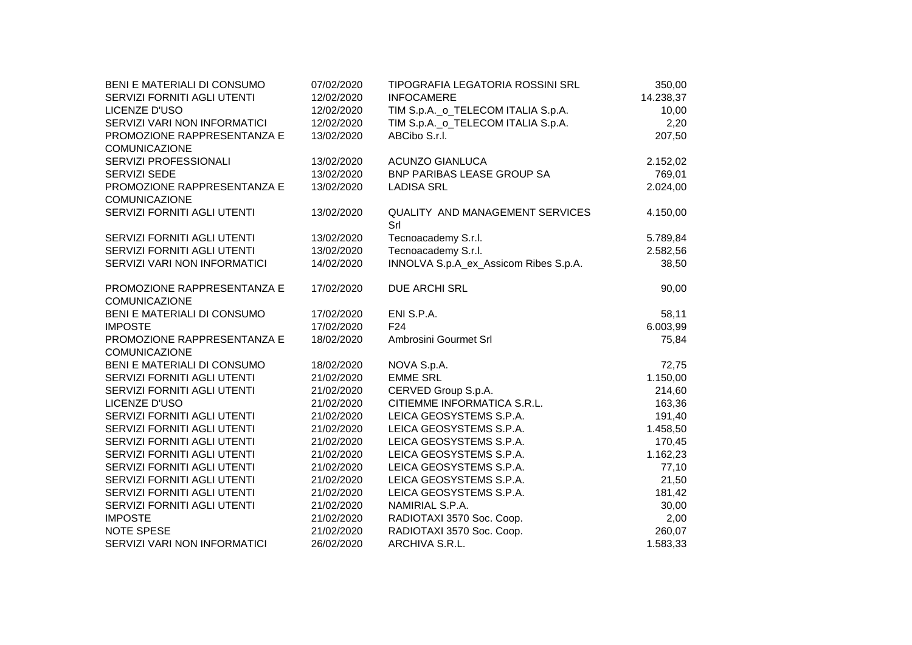| BENI E MATERIALI DI CONSUMO  | 07/02/2020 | TIPOGRAFIA LEGATORIA ROSSINI SRL       | 350,00    |  |
|------------------------------|------------|----------------------------------------|-----------|--|
| SERVIZI FORNITI AGLI UTENTI  | 12/02/2020 | <b>INFOCAMERE</b>                      | 14.238,37 |  |
| LICENZE D'USO                | 12/02/2020 | TIM S.p.A._o_TELECOM ITALIA S.p.A.     | 10,00     |  |
| SERVIZI VARI NON INFORMATICI | 12/02/2020 | TIM S.p.A._o_TELECOM ITALIA S.p.A.     | 2,20      |  |
| PROMOZIONE RAPPRESENTANZA E  | 13/02/2020 | ABCibo S.r.l.                          | 207,50    |  |
| COMUNICAZIONE                |            |                                        |           |  |
| SERVIZI PROFESSIONALI        | 13/02/2020 | <b>ACUNZO GIANLUCA</b>                 | 2.152,02  |  |
| SERVIZI SEDE                 | 13/02/2020 | BNP PARIBAS LEASE GROUP SA             | 769,01    |  |
| PROMOZIONE RAPPRESENTANZA E  | 13/02/2020 | <b>LADISA SRL</b>                      | 2.024,00  |  |
| <b>COMUNICAZIONE</b>         |            |                                        |           |  |
| SERVIZI FORNITI AGLI UTENTI  | 13/02/2020 | QUALITY AND MANAGEMENT SERVICES<br>Srl | 4.150,00  |  |
| SERVIZI FORNITI AGLI UTENTI  | 13/02/2020 | Tecnoacademy S.r.l.                    | 5.789,84  |  |
| SERVIZI FORNITI AGLI UTENTI  | 13/02/2020 | Tecnoacademy S.r.l.                    | 2.582,56  |  |
| SERVIZI VARI NON INFORMATICI | 14/02/2020 | INNOLVA S.p.A_ex_Assicom Ribes S.p.A.  | 38,50     |  |
| PROMOZIONE RAPPRESENTANZA E  | 17/02/2020 | DUE ARCHI SRL                          | 90,00     |  |
| <b>COMUNICAZIONE</b>         |            |                                        |           |  |
| BENI E MATERIALI DI CONSUMO  | 17/02/2020 | ENI S.P.A.                             | 58,11     |  |
| <b>IMPOSTE</b>               | 17/02/2020 | F <sub>24</sub>                        | 6.003,99  |  |
| PROMOZIONE RAPPRESENTANZA E  | 18/02/2020 | Ambrosini Gourmet Srl                  | 75,84     |  |
| <b>COMUNICAZIONE</b>         |            |                                        |           |  |
| BENI E MATERIALI DI CONSUMO  | 18/02/2020 | NOVA S.p.A.                            | 72,75     |  |
| SERVIZI FORNITI AGLI UTENTI  | 21/02/2020 | <b>EMME SRL</b>                        | 1.150,00  |  |
| SERVIZI FORNITI AGLI UTENTI  | 21/02/2020 | CERVED Group S.p.A.                    | 214,60    |  |
| LICENZE D'USO                | 21/02/2020 | CITIEMME INFORMATICA S.R.L.            | 163,36    |  |
| SERVIZI FORNITI AGLI UTENTI  | 21/02/2020 | LEICA GEOSYSTEMS S.P.A.                | 191,40    |  |
| SERVIZI FORNITI AGLI UTENTI  | 21/02/2020 | LEICA GEOSYSTEMS S.P.A.                | 1.458,50  |  |
| SERVIZI FORNITI AGLI UTENTI  | 21/02/2020 | LEICA GEOSYSTEMS S.P.A.                | 170,45    |  |
| SERVIZI FORNITI AGLI UTENTI  | 21/02/2020 | LEICA GEOSYSTEMS S.P.A.                | 1.162,23  |  |
| SERVIZI FORNITI AGLI UTENTI  | 21/02/2020 | LEICA GEOSYSTEMS S.P.A.                | 77,10     |  |
| SERVIZI FORNITI AGLI UTENTI  | 21/02/2020 | LEICA GEOSYSTEMS S.P.A.                | 21,50     |  |
| SERVIZI FORNITI AGLI UTENTI  | 21/02/2020 | LEICA GEOSYSTEMS S.P.A.                | 181,42    |  |
| SERVIZI FORNITI AGLI UTENTI  | 21/02/2020 | NAMIRIAL S.P.A.                        | 30,00     |  |
| <b>IMPOSTE</b>               | 21/02/2020 | RADIOTAXI 3570 Soc. Coop.              | 2,00      |  |
| <b>NOTE SPESE</b>            | 21/02/2020 | RADIOTAXI 3570 Soc. Coop.              | 260,07    |  |
| SERVIZI VARI NON INFORMATICI | 26/02/2020 | ARCHIVA S.R.L.                         | 1.583,33  |  |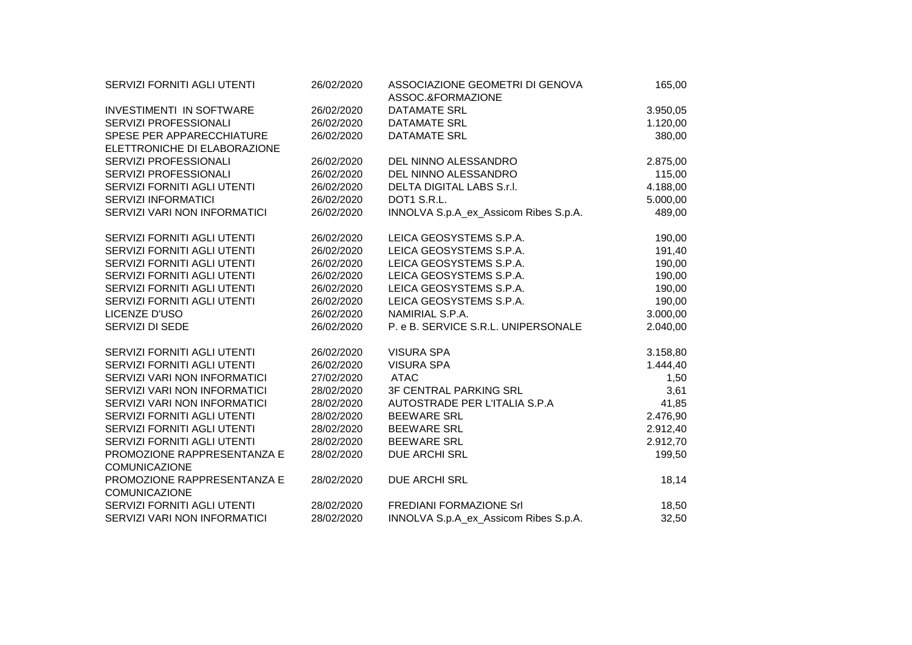| <b>SERVIZI FORNITI AGLI UTENTI</b>                  | 26/02/2020 | ASSOCIAZIONE GEOMETRI DI GENOVA<br>ASSOC.&FORMAZIONE | 165,00   |  |
|-----------------------------------------------------|------------|------------------------------------------------------|----------|--|
| <b>INVESTIMENTI IN SOFTWARE</b>                     | 26/02/2020 | <b>DATAMATE SRL</b>                                  | 3.950,05 |  |
| SERVIZI PROFESSIONALI                               | 26/02/2020 | DATAMATE SRL                                         | 1.120,00 |  |
| SPESE PER APPARECCHIATURE                           | 26/02/2020 | <b>DATAMATE SRL</b>                                  | 380,00   |  |
| ELETTRONICHE DI ELABORAZIONE                        |            |                                                      |          |  |
| SERVIZI PROFESSIONALI                               | 26/02/2020 | DEL NINNO ALESSANDRO                                 | 2.875,00 |  |
| SERVIZI PROFESSIONALI                               | 26/02/2020 | DEL NINNO ALESSANDRO                                 | 115,00   |  |
| SERVIZI FORNITI AGLI UTENTI                         | 26/02/2020 | DELTA DIGITAL LABS S.r.I.                            | 4.188,00 |  |
| <b>SERVIZI INFORMATICI</b>                          | 26/02/2020 | DOT1 S.R.L.                                          | 5.000,00 |  |
| SERVIZI VARI NON INFORMATICI                        | 26/02/2020 | INNOLVA S.p.A_ex_Assicom Ribes S.p.A.                | 489,00   |  |
| SERVIZI FORNITI AGLI UTENTI                         | 26/02/2020 | LEICA GEOSYSTEMS S.P.A.                              | 190,00   |  |
| SERVIZI FORNITI AGLI UTENTI                         | 26/02/2020 | LEICA GEOSYSTEMS S.P.A.                              | 191,40   |  |
| SERVIZI FORNITI AGLI UTENTI                         | 26/02/2020 | LEICA GEOSYSTEMS S.P.A.                              | 190,00   |  |
| SERVIZI FORNITI AGLI UTENTI                         | 26/02/2020 | LEICA GEOSYSTEMS S.P.A.                              | 190,00   |  |
| SERVIZI FORNITI AGLI UTENTI                         | 26/02/2020 | LEICA GEOSYSTEMS S.P.A.                              | 190,00   |  |
| SERVIZI FORNITI AGLI UTENTI                         | 26/02/2020 | LEICA GEOSYSTEMS S.P.A.                              | 190,00   |  |
| LICENZE D'USO                                       | 26/02/2020 | NAMIRIAL S.P.A.                                      | 3.000,00 |  |
| SERVIZI DI SEDE                                     | 26/02/2020 | P. e B. SERVICE S.R.L. UNIPERSONALE                  | 2.040,00 |  |
| SERVIZI FORNITI AGLI UTENTI                         | 26/02/2020 | <b>VISURA SPA</b>                                    | 3.158,80 |  |
| SERVIZI FORNITI AGLI UTENTI                         | 26/02/2020 | <b>VISURA SPA</b>                                    | 1.444,40 |  |
| SERVIZI VARI NON INFORMATICI                        | 27/02/2020 | <b>ATAC</b>                                          | 1,50     |  |
| SERVIZI VARI NON INFORMATICI                        | 28/02/2020 | 3F CENTRAL PARKING SRL                               | 3,61     |  |
| SERVIZI VARI NON INFORMATICI                        | 28/02/2020 | AUTOSTRADE PER L'ITALIA S.P.A                        | 41,85    |  |
| SERVIZI FORNITI AGLI UTENTI                         | 28/02/2020 | <b>BEEWARE SRL</b>                                   | 2.476,90 |  |
| SERVIZI FORNITI AGLI UTENTI                         | 28/02/2020 | <b>BEEWARE SRL</b>                                   | 2.912,40 |  |
| SERVIZI FORNITI AGLI UTENTI                         | 28/02/2020 | <b>BEEWARE SRL</b>                                   | 2.912,70 |  |
| PROMOZIONE RAPPRESENTANZA E<br><b>COMUNICAZIONE</b> | 28/02/2020 | <b>DUE ARCHI SRL</b>                                 | 199,50   |  |
| PROMOZIONE RAPPRESENTANZA E<br><b>COMUNICAZIONE</b> | 28/02/2020 | <b>DUE ARCHI SRL</b>                                 | 18,14    |  |
| SERVIZI FORNITI AGLI UTENTI                         | 28/02/2020 | <b>FREDIANI FORMAZIONE Srl</b>                       | 18,50    |  |
| SERVIZI VARI NON INFORMATICI                        | 28/02/2020 | INNOLVA S.p.A_ex_Assicom Ribes S.p.A.                | 32,50    |  |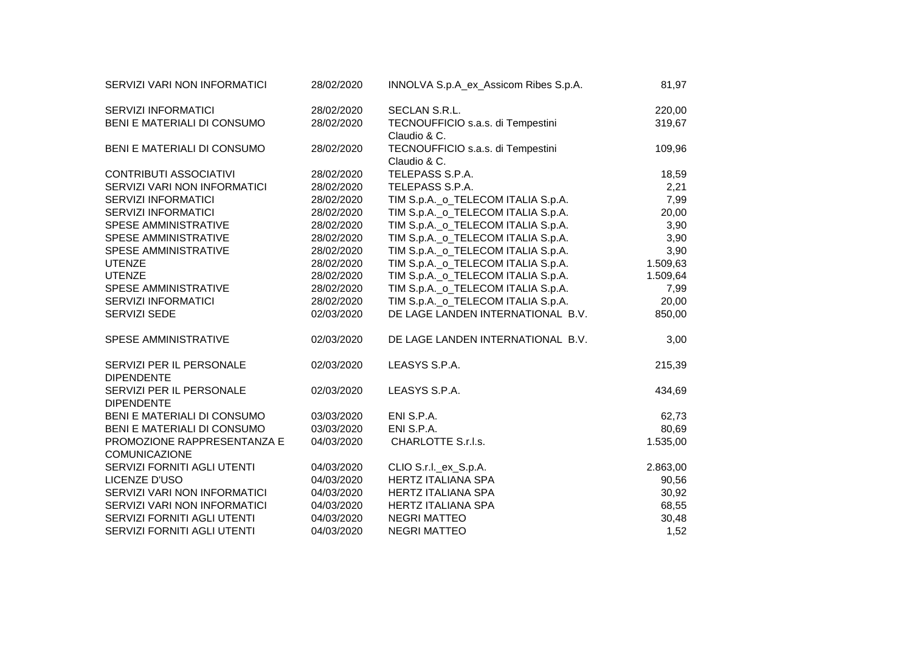| SERVIZI VARI NON INFORMATICI                  | 28/02/2020 | INNOLVA S.p.A_ex_Assicom Ribes S.p.A. | 81,97    |
|-----------------------------------------------|------------|---------------------------------------|----------|
| <b>SERVIZI INFORMATICI</b>                    | 28/02/2020 | SECLAN S.R.L.                         | 220,00   |
| BENI E MATERIALI DI CONSUMO                   | 28/02/2020 | TECNOUFFICIO s.a.s. di Tempestini     | 319,67   |
|                                               |            | Claudio & C.                          |          |
| BENI E MATERIALI DI CONSUMO                   | 28/02/2020 | TECNOUFFICIO s.a.s. di Tempestini     | 109,96   |
|                                               |            | Claudio & C.                          |          |
| <b>CONTRIBUTI ASSOCIATIVI</b>                 | 28/02/2020 | TELEPASS S.P.A.                       | 18,59    |
| SERVIZI VARI NON INFORMATICI                  | 28/02/2020 | TELEPASS S.P.A.                       | 2,21     |
| <b>SERVIZI INFORMATICI</b>                    | 28/02/2020 | TIM S.p.A._o_TELECOM ITALIA S.p.A.    | 7,99     |
| <b>SERVIZI INFORMATICI</b>                    | 28/02/2020 | TIM S.p.A._o_TELECOM ITALIA S.p.A.    | 20,00    |
| <b>SPESE AMMINISTRATIVE</b>                   | 28/02/2020 | TIM S.p.A._o_TELECOM ITALIA S.p.A.    | 3,90     |
| <b>SPESE AMMINISTRATIVE</b>                   | 28/02/2020 | TIM S.p.A._o_TELECOM ITALIA S.p.A.    | 3,90     |
| SPESE AMMINISTRATIVE                          | 28/02/2020 | TIM S.p.A._o_TELECOM ITALIA S.p.A.    | 3,90     |
| <b>UTENZE</b>                                 | 28/02/2020 | TIM S.p.A._o_TELECOM ITALIA S.p.A.    | 1.509,63 |
| <b>UTENZE</b>                                 | 28/02/2020 | TIM S.p.A._o_TELECOM ITALIA S.p.A.    | 1.509,64 |
| SPESE AMMINISTRATIVE                          | 28/02/2020 | TIM S.p.A._o_TELECOM ITALIA S.p.A.    | 7,99     |
| SERVIZI INFORMATICI                           | 28/02/2020 | TIM S.p.A._o_TELECOM ITALIA S.p.A.    | 20,00    |
| SERVIZI SEDE                                  | 02/03/2020 | DE LAGE LANDEN INTERNATIONAL B.V.     | 850,00   |
| SPESE AMMINISTRATIVE                          | 02/03/2020 | DE LAGE LANDEN INTERNATIONAL B.V.     | 3,00     |
| SERVIZI PER IL PERSONALE<br><b>DIPENDENTE</b> | 02/03/2020 | LEASYS S.P.A.                         | 215,39   |
| SERVIZI PER IL PERSONALE<br><b>DIPENDENTE</b> | 02/03/2020 | LEASYS S.P.A.                         | 434,69   |
| BENI E MATERIALI DI CONSUMO                   | 03/03/2020 | ENI S.P.A.                            | 62,73    |
| BENI E MATERIALI DI CONSUMO                   | 03/03/2020 | ENI S.P.A.                            | 80,69    |
| PROMOZIONE RAPPRESENTANZA E                   | 04/03/2020 | CHARLOTTE S.r.l.s.                    | 1.535,00 |
| <b>COMUNICAZIONE</b>                          |            |                                       |          |
| SERVIZI FORNITI AGLI UTENTI                   | 04/03/2020 | CLIO S.r.I._ex_S.p.A.                 | 2.863,00 |
| LICENZE D'USO                                 | 04/03/2020 | <b>HERTZ ITALIANA SPA</b>             | 90,56    |
| SERVIZI VARI NON INFORMATICI                  | 04/03/2020 | <b>HERTZ ITALIANA SPA</b>             | 30,92    |
| SERVIZI VARI NON INFORMATICI                  | 04/03/2020 | <b>HERTZ ITALIANA SPA</b>             | 68,55    |
| SERVIZI FORNITI AGLI UTENTI                   | 04/03/2020 | <b>NEGRI MATTEO</b>                   | 30,48    |
| SERVIZI FORNITI AGLI UTENTI                   | 04/03/2020 | <b>NEGRI MATTEO</b>                   | 1,52     |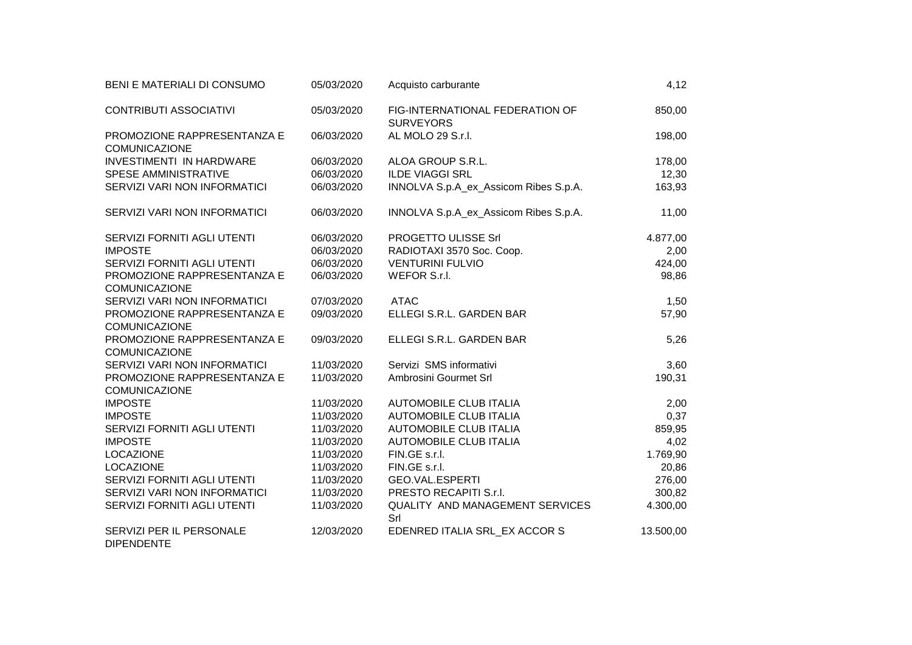| BENI E MATERIALI DI CONSUMO                         | 05/03/2020 | Acquisto carburante                                 | 4,12      |
|-----------------------------------------------------|------------|-----------------------------------------------------|-----------|
| <b>CONTRIBUTI ASSOCIATIVI</b>                       | 05/03/2020 | FIG-INTERNATIONAL FEDERATION OF<br><b>SURVEYORS</b> | 850,00    |
| PROMOZIONE RAPPRESENTANZA E<br><b>COMUNICAZIONE</b> | 06/03/2020 | AL MOLO 29 S.r.l.                                   | 198,00    |
| <b>INVESTIMENTI IN HARDWARE</b>                     | 06/03/2020 | ALOA GROUP S.R.L.                                   | 178,00    |
| <b>SPESE AMMINISTRATIVE</b>                         | 06/03/2020 | <b>ILDE VIAGGI SRL</b>                              | 12,30     |
| SERVIZI VARI NON INFORMATICI                        | 06/03/2020 | INNOLVA S.p.A_ex_Assicom Ribes S.p.A.               | 163,93    |
| SERVIZI VARI NON INFORMATICI                        | 06/03/2020 | INNOLVA S.p.A_ex_Assicom Ribes S.p.A.               | 11,00     |
| SERVIZI FORNITI AGLI UTENTI                         | 06/03/2020 | PROGETTO ULISSE Srl                                 | 4.877,00  |
| <b>IMPOSTE</b>                                      | 06/03/2020 | RADIOTAXI 3570 Soc. Coop.                           | 2,00      |
| SERVIZI FORNITI AGLI UTENTI                         | 06/03/2020 | <b>VENTURINI FULVIO</b>                             | 424,00    |
| PROMOZIONE RAPPRESENTANZA E<br><b>COMUNICAZIONE</b> | 06/03/2020 | WEFOR S.r.l.                                        | 98,86     |
| SERVIZI VARI NON INFORMATICI                        | 07/03/2020 | <b>ATAC</b>                                         | 1,50      |
| PROMOZIONE RAPPRESENTANZA E                         | 09/03/2020 | ELLEGI S.R.L. GARDEN BAR                            | 57,90     |
| COMUNICAZIONE                                       |            |                                                     |           |
| PROMOZIONE RAPPRESENTANZA E<br><b>COMUNICAZIONE</b> | 09/03/2020 | ELLEGI S.R.L. GARDEN BAR                            | 5,26      |
| SERVIZI VARI NON INFORMATICI                        | 11/03/2020 | Servizi SMS informativi                             | 3,60      |
| PROMOZIONE RAPPRESENTANZA E<br><b>COMUNICAZIONE</b> | 11/03/2020 | Ambrosini Gourmet Srl                               | 190,31    |
| <b>IMPOSTE</b>                                      | 11/03/2020 | <b>AUTOMOBILE CLUB ITALIA</b>                       | 2,00      |
| <b>IMPOSTE</b>                                      | 11/03/2020 | <b>AUTOMOBILE CLUB ITALIA</b>                       | 0,37      |
| SERVIZI FORNITI AGLI UTENTI                         | 11/03/2020 | <b>AUTOMOBILE CLUB ITALIA</b>                       | 859,95    |
| <b>IMPOSTE</b>                                      | 11/03/2020 | <b>AUTOMOBILE CLUB ITALIA</b>                       | 4,02      |
| LOCAZIONE                                           | 11/03/2020 | FIN.GE s.r.l.                                       | 1.769,90  |
| <b>LOCAZIONE</b>                                    | 11/03/2020 | FIN.GE s.r.l.                                       | 20,86     |
| SERVIZI FORNITI AGLI UTENTI                         | 11/03/2020 | <b>GEO.VAL.ESPERTI</b>                              | 276,00    |
| SERVIZI VARI NON INFORMATICI                        | 11/03/2020 | PRESTO RECAPITI S.r.I.                              | 300,82    |
| SERVIZI FORNITI AGLI UTENTI                         | 11/03/2020 | QUALITY AND MANAGEMENT SERVICES<br>Srl              | 4.300,00  |
| SERVIZI PER IL PERSONALE<br><b>DIPENDENTE</b>       | 12/03/2020 | EDENRED ITALIA SRL_EX ACCOR S                       | 13.500,00 |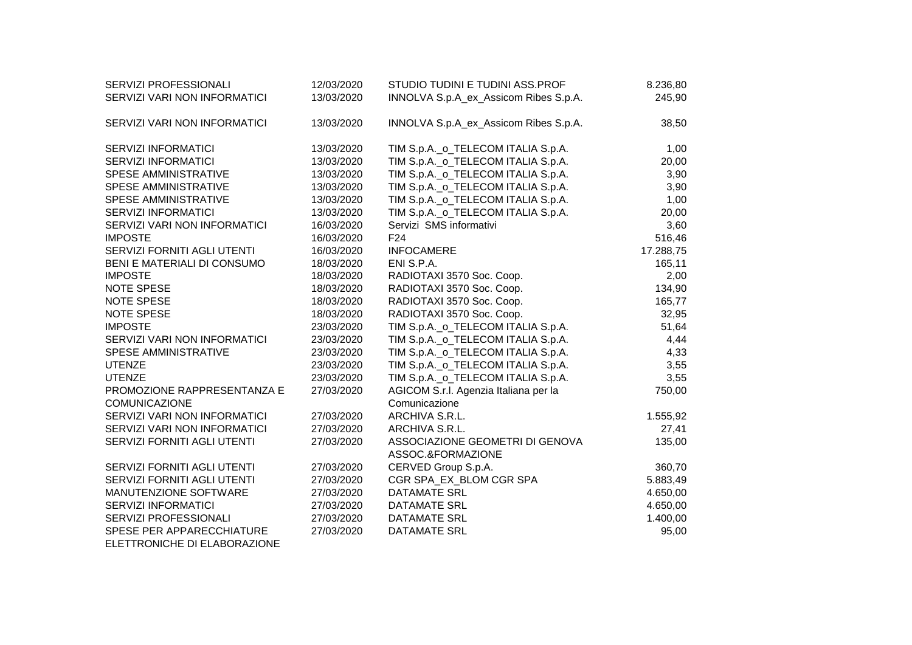| SERVIZI PROFESSIONALI        | 12/03/2020 | STUDIO TUDINI E TUDINI ASS.PROF                                          | 8.236,80      |
|------------------------------|------------|--------------------------------------------------------------------------|---------------|
| SERVIZI VARI NON INFORMATICI | 13/03/2020 | INNOLVA S.p.A_ex_Assicom Ribes S.p.A.                                    | 245,90        |
|                              |            |                                                                          |               |
| SERVIZI VARI NON INFORMATICI | 13/03/2020 | INNOLVA S.p.A_ex_Assicom Ribes S.p.A.                                    | 38,50         |
| <b>SERVIZI INFORMATICI</b>   | 13/03/2020 |                                                                          |               |
| <b>SERVIZI INFORMATICI</b>   | 13/03/2020 | TIM S.p.A._o_TELECOM ITALIA S.p.A.<br>TIM S.p.A._o_TELECOM ITALIA S.p.A. | 1,00<br>20,00 |
| <b>SPESE AMMINISTRATIVE</b>  |            |                                                                          |               |
|                              | 13/03/2020 | TIM S.p.A._o_TELECOM ITALIA S.p.A.                                       | 3,90          |
| SPESE AMMINISTRATIVE         | 13/03/2020 | TIM S.p.A._o_TELECOM ITALIA S.p.A.                                       | 3,90          |
| SPESE AMMINISTRATIVE         | 13/03/2020 | TIM S.p.A._o_TELECOM ITALIA S.p.A.                                       | 1,00          |
| <b>SERVIZI INFORMATICI</b>   | 13/03/2020 | TIM S.p.A._o_TELECOM ITALIA S.p.A.                                       | 20,00         |
| SERVIZI VARI NON INFORMATICI | 16/03/2020 | Servizi SMS informativi                                                  | 3,60          |
| <b>IMPOSTE</b>               | 16/03/2020 | F <sub>24</sub>                                                          | 516,46        |
| SERVIZI FORNITI AGLI UTENTI  | 16/03/2020 | <b>INFOCAMERE</b>                                                        | 17.288,75     |
| BENI E MATERIALI DI CONSUMO  | 18/03/2020 | ENI S.P.A.                                                               | 165,11        |
| <b>IMPOSTE</b>               | 18/03/2020 | RADIOTAXI 3570 Soc. Coop.                                                | 2,00          |
| <b>NOTE SPESE</b>            | 18/03/2020 | RADIOTAXI 3570 Soc. Coop.                                                | 134,90        |
| <b>NOTE SPESE</b>            | 18/03/2020 | RADIOTAXI 3570 Soc. Coop.                                                | 165,77        |
| <b>NOTE SPESE</b>            | 18/03/2020 | RADIOTAXI 3570 Soc. Coop.                                                | 32,95         |
| <b>IMPOSTE</b>               | 23/03/2020 | TIM S.p.A._o_TELECOM ITALIA S.p.A.                                       | 51,64         |
| SERVIZI VARI NON INFORMATICI | 23/03/2020 | TIM S.p.A._o_TELECOM ITALIA S.p.A.                                       | 4,44          |
| SPESE AMMINISTRATIVE         | 23/03/2020 | TIM S.p.A._o_TELECOM ITALIA S.p.A.                                       | 4,33          |
| <b>UTENZE</b>                | 23/03/2020 | TIM S.p.A._o_TELECOM ITALIA S.p.A.                                       | 3,55          |
| <b>UTENZE</b>                | 23/03/2020 | TIM S.p.A._o_TELECOM ITALIA S.p.A.                                       | 3,55          |
| PROMOZIONE RAPPRESENTANZA E  | 27/03/2020 | AGICOM S.r.l. Agenzia Italiana per la                                    | 750,00        |
| <b>COMUNICAZIONE</b>         |            | Comunicazione                                                            |               |
| SERVIZI VARI NON INFORMATICI | 27/03/2020 | ARCHIVA S.R.L.                                                           | 1.555,92      |
| SERVIZI VARI NON INFORMATICI | 27/03/2020 | ARCHIVA S.R.L.                                                           | 27,41         |
| SERVIZI FORNITI AGLI UTENTI  | 27/03/2020 | ASSOCIAZIONE GEOMETRI DI GENOVA                                          | 135,00        |
|                              |            | ASSOC.&FORMAZIONE                                                        |               |
| SERVIZI FORNITI AGLI UTENTI  | 27/03/2020 | CERVED Group S.p.A.                                                      | 360,70        |
| SERVIZI FORNITI AGLI UTENTI  | 27/03/2020 | CGR SPA_EX_BLOM CGR SPA                                                  | 5.883,49      |
| MANUTENZIONE SOFTWARE        | 27/03/2020 | <b>DATAMATE SRL</b>                                                      | 4.650,00      |
| <b>SERVIZI INFORMATICI</b>   | 27/03/2020 | <b>DATAMATE SRL</b>                                                      | 4.650,00      |
| SERVIZI PROFESSIONALI        | 27/03/2020 | <b>DATAMATE SRL</b>                                                      | 1.400,00      |
| SPESE PER APPARECCHIATURE    | 27/03/2020 | <b>DATAMATE SRL</b>                                                      | 95,00         |
|                              |            |                                                                          |               |

ELETTRONICHE DI ELABORAZIONE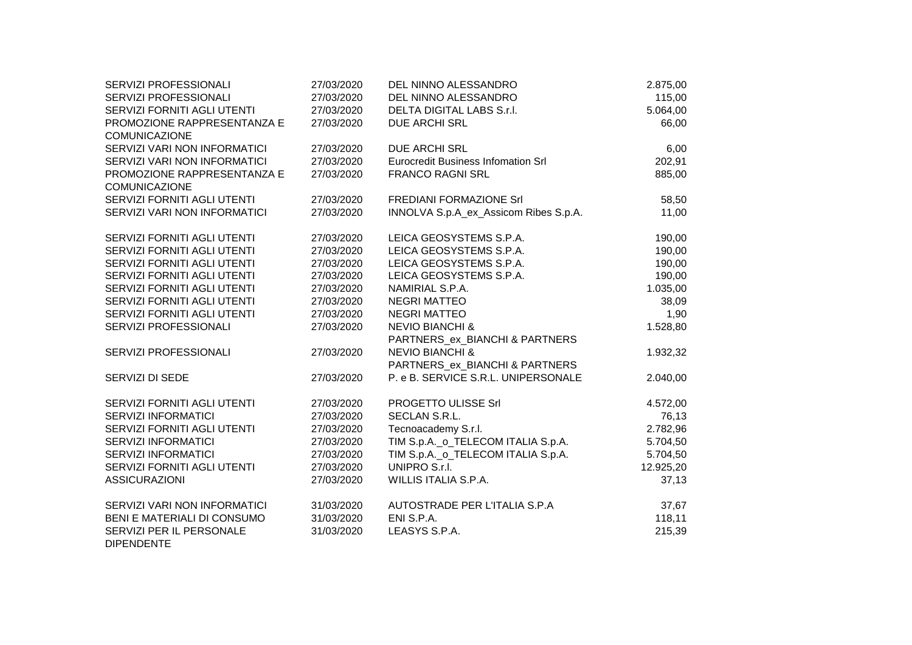| SERVIZI PROFESSIONALI                         | 27/03/2020 | DEL NINNO ALESSANDRO                      | 2.875,00  |
|-----------------------------------------------|------------|-------------------------------------------|-----------|
| SERVIZI PROFESSIONALI                         | 27/03/2020 | DEL NINNO ALESSANDRO                      | 115,00    |
| SERVIZI FORNITI AGLI UTENTI                   | 27/03/2020 | <b>DELTA DIGITAL LABS S.r.I.</b>          | 5.064,00  |
| PROMOZIONE RAPPRESENTANZA E                   | 27/03/2020 | <b>DUE ARCHI SRL</b>                      | 66,00     |
| <b>COMUNICAZIONE</b>                          |            |                                           |           |
| SERVIZI VARI NON INFORMATICI                  | 27/03/2020 | <b>DUE ARCHI SRL</b>                      | 6,00      |
| SERVIZI VARI NON INFORMATICI                  | 27/03/2020 | <b>Eurocredit Business Infomation Srl</b> | 202,91    |
| PROMOZIONE RAPPRESENTANZA E                   | 27/03/2020 | <b>FRANCO RAGNI SRL</b>                   | 885,00    |
| <b>COMUNICAZIONE</b>                          |            |                                           |           |
| SERVIZI FORNITI AGLI UTENTI                   | 27/03/2020 | FREDIANI FORMAZIONE Srl                   | 58,50     |
| SERVIZI VARI NON INFORMATICI                  | 27/03/2020 | INNOLVA S.p.A ex Assicom Ribes S.p.A.     | 11,00     |
| SERVIZI FORNITI AGLI UTENTI                   | 27/03/2020 | LEICA GEOSYSTEMS S.P.A.                   | 190,00    |
| SERVIZI FORNITI AGLI UTENTI                   | 27/03/2020 | LEICA GEOSYSTEMS S.P.A.                   | 190,00    |
| SERVIZI FORNITI AGLI UTENTI                   | 27/03/2020 | LEICA GEOSYSTEMS S.P.A.                   | 190,00    |
| SERVIZI FORNITI AGLI UTENTI                   | 27/03/2020 | LEICA GEOSYSTEMS S.P.A.                   | 190,00    |
| SERVIZI FORNITI AGLI UTENTI                   | 27/03/2020 | NAMIRIAL S.P.A.                           | 1.035,00  |
| SERVIZI FORNITI AGLI UTENTI                   | 27/03/2020 | <b>NEGRI MATTEO</b>                       | 38,09     |
| SERVIZI FORNITI AGLI UTENTI                   | 27/03/2020 | <b>NEGRI MATTEO</b>                       | 1,90      |
| SERVIZI PROFESSIONALI                         | 27/03/2020 | <b>NEVIO BIANCHI &amp;</b>                | 1.528,80  |
|                                               |            | PARTNERS ex BIANCHI & PARTNERS            |           |
| SERVIZI PROFESSIONALI                         | 27/03/2020 | <b>NEVIO BIANCHI &amp;</b>                | 1.932,32  |
|                                               |            | PARTNERS_ex_BIANCHI & PARTNERS            |           |
| SERVIZI DI SEDE                               | 27/03/2020 | P. e B. SERVICE S.R.L. UNIPERSONALE       | 2.040,00  |
| SERVIZI FORNITI AGLI UTENTI                   | 27/03/2020 | PROGETTO ULISSE Srl                       | 4.572,00  |
| SERVIZI INFORMATICI                           | 27/03/2020 | SECLAN S.R.L.                             | 76,13     |
| SERVIZI FORNITI AGLI UTENTI                   | 27/03/2020 | Tecnoacademy S.r.l.                       | 2.782,96  |
| <b>SERVIZI INFORMATICI</b>                    | 27/03/2020 | TIM S.p.A. o TELECOM ITALIA S.p.A.        | 5.704,50  |
| <b>SERVIZI INFORMATICI</b>                    | 27/03/2020 | TIM S.p.A._o_TELECOM ITALIA S.p.A.        | 5.704,50  |
| SERVIZI FORNITI AGLI UTENTI                   | 27/03/2020 | UNIPRO S.r.I.                             | 12.925,20 |
| <b>ASSICURAZIONI</b>                          | 27/03/2020 | WILLIS ITALIA S.P.A.                      | 37,13     |
| SERVIZI VARI NON INFORMATICI                  | 31/03/2020 | AUTOSTRADE PER L'ITALIA S.P.A             | 37,67     |
| BENI E MATERIALI DI CONSUMO                   | 31/03/2020 | ENI S.P.A.                                | 118,11    |
| SERVIZI PER IL PERSONALE<br><b>DIPENDENTE</b> | 31/03/2020 | LEASYS S.P.A.                             | 215,39    |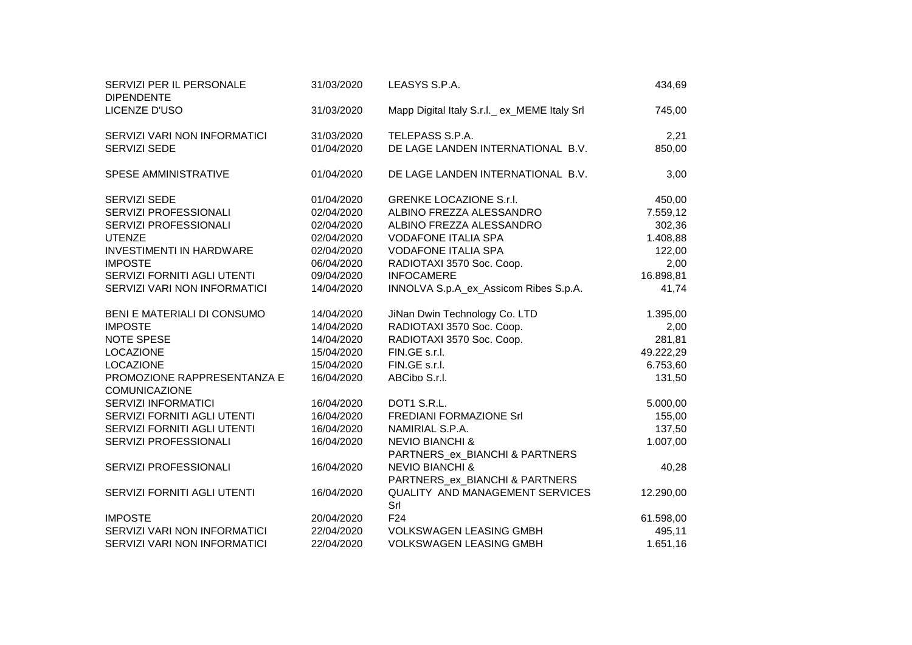| SERVIZI PER IL PERSONALE<br><b>DIPENDENTE</b>       | 31/03/2020 | LEASYS S.P.A.                                                | 434,69    |
|-----------------------------------------------------|------------|--------------------------------------------------------------|-----------|
| LICENZE D'USO                                       | 31/03/2020 | Mapp Digital Italy S.r.l. ex_MEME Italy Srl                  | 745,00    |
| SERVIZI VARI NON INFORMATICI                        | 31/03/2020 | TELEPASS S.P.A.                                              | 2,21      |
| <b>SERVIZI SEDE</b>                                 | 01/04/2020 | DE LAGE LANDEN INTERNATIONAL B.V.                            | 850,00    |
| SPESE AMMINISTRATIVE                                | 01/04/2020 | DE LAGE LANDEN INTERNATIONAL B.V.                            | 3,00      |
| SERVIZI SEDE                                        | 01/04/2020 | <b>GRENKE LOCAZIONE S.r.I.</b>                               | 450,00    |
| SERVIZI PROFESSIONALI                               | 02/04/2020 | ALBINO FREZZA ALESSANDRO                                     | 7.559,12  |
| SERVIZI PROFESSIONALI                               | 02/04/2020 | ALBINO FREZZA ALESSANDRO                                     | 302,36    |
| <b>UTENZE</b>                                       | 02/04/2020 | <b>VODAFONE ITALIA SPA</b>                                   | 1.408,88  |
| <b>INVESTIMENTI IN HARDWARE</b>                     | 02/04/2020 | <b>VODAFONE ITALIA SPA</b>                                   | 122,00    |
| <b>IMPOSTE</b>                                      | 06/04/2020 | RADIOTAXI 3570 Soc. Coop.                                    | 2,00      |
| SERVIZI FORNITI AGLI UTENTI                         | 09/04/2020 | <b>INFOCAMERE</b>                                            | 16.898,81 |
| SERVIZI VARI NON INFORMATICI                        | 14/04/2020 | INNOLVA S.p.A_ex_Assicom Ribes S.p.A.                        | 41,74     |
| BENI E MATERIALI DI CONSUMO                         | 14/04/2020 | JiNan Dwin Technology Co. LTD                                | 1.395,00  |
| <b>IMPOSTE</b>                                      | 14/04/2020 | RADIOTAXI 3570 Soc. Coop.                                    | 2,00      |
| NOTE SPESE                                          | 14/04/2020 | RADIOTAXI 3570 Soc. Coop.                                    | 281,81    |
| <b>LOCAZIONE</b>                                    | 15/04/2020 | FIN.GE s.r.l.                                                | 49.222,29 |
| <b>LOCAZIONE</b>                                    | 15/04/2020 | FIN.GE s.r.l.                                                | 6.753,60  |
| PROMOZIONE RAPPRESENTANZA E<br><b>COMUNICAZIONE</b> | 16/04/2020 | ABCibo S.r.l.                                                | 131,50    |
| SERVIZI INFORMATICI                                 | 16/04/2020 | DOT1 S.R.L.                                                  | 5.000,00  |
| SERVIZI FORNITI AGLI UTENTI                         | 16/04/2020 | <b>FREDIANI FORMAZIONE Srl</b>                               | 155,00    |
| SERVIZI FORNITI AGLI UTENTI                         | 16/04/2020 | NAMIRIAL S.P.A.                                              | 137,50    |
| SERVIZI PROFESSIONALI                               | 16/04/2020 | <b>NEVIO BIANCHI &amp;</b><br>PARTNERS_ex_BIANCHI & PARTNERS | 1.007,00  |
| SERVIZI PROFESSIONALI                               | 16/04/2020 | <b>NEVIO BIANCHI &amp;</b><br>PARTNERS_ex_BIANCHI & PARTNERS | 40,28     |
| SERVIZI FORNITI AGLI UTENTI                         | 16/04/2020 | <b>QUALITY AND MANAGEMENT SERVICES</b><br>Srl                | 12.290,00 |
| <b>IMPOSTE</b>                                      | 20/04/2020 | F <sub>24</sub>                                              | 61.598,00 |
| SERVIZI VARI NON INFORMATICI                        | 22/04/2020 | <b>VOLKSWAGEN LEASING GMBH</b>                               | 495,11    |
| SERVIZI VARI NON INFORMATICI                        | 22/04/2020 | <b>VOLKSWAGEN LEASING GMBH</b>                               | 1.651,16  |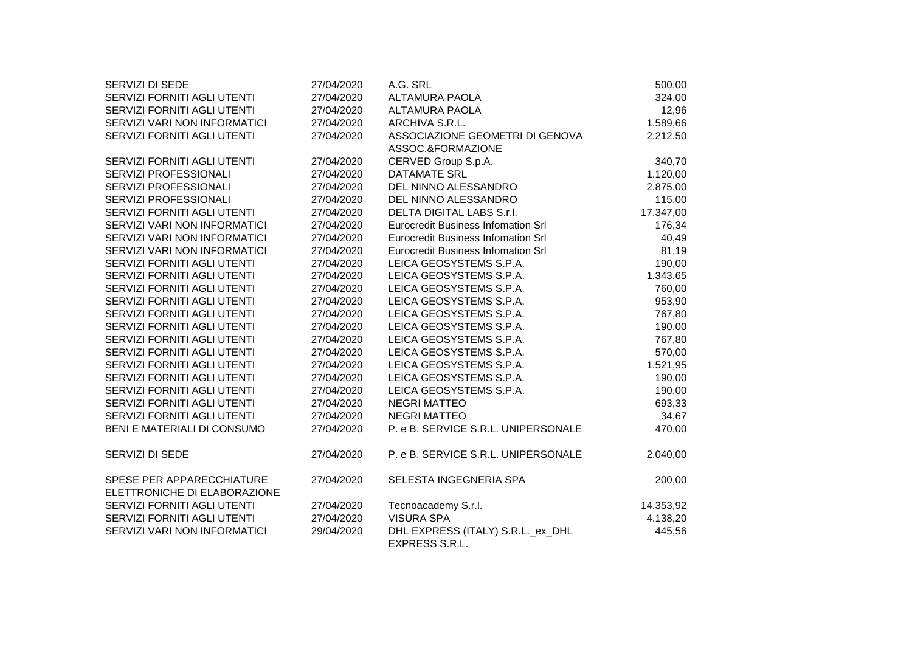| SERVIZI DI SEDE                                           | 27/04/2020 | A.G. SRL                                  | 500,00    |
|-----------------------------------------------------------|------------|-------------------------------------------|-----------|
| SERVIZI FORNITI AGLI UTENTI                               | 27/04/2020 | <b>ALTAMURA PAOLA</b>                     | 324,00    |
| SERVIZI FORNITI AGLI UTENTI                               | 27/04/2020 | <b>ALTAMURA PAOLA</b>                     | 12,96     |
| SERVIZI VARI NON INFORMATICI                              | 27/04/2020 | ARCHIVA S.R.L.                            | 1.589,66  |
| SERVIZI FORNITI AGLI UTENTI                               | 27/04/2020 | ASSOCIAZIONE GEOMETRI DI GENOVA           | 2.212,50  |
|                                                           |            | ASSOC.&FORMAZIONE                         |           |
| SERVIZI FORNITI AGLI UTENTI                               | 27/04/2020 | CERVED Group S.p.A.                       | 340,70    |
| SERVIZI PROFESSIONALI                                     | 27/04/2020 | <b>DATAMATE SRL</b>                       | 1.120,00  |
| SERVIZI PROFESSIONALI                                     | 27/04/2020 | DEL NINNO ALESSANDRO                      | 2.875,00  |
| SERVIZI PROFESSIONALI                                     | 27/04/2020 | DEL NINNO ALESSANDRO                      | 115,00    |
| SERVIZI FORNITI AGLI UTENTI                               | 27/04/2020 | DELTA DIGITAL LABS S.r.I.                 | 17.347,00 |
| SERVIZI VARI NON INFORMATICI                              | 27/04/2020 | <b>Eurocredit Business Infomation Srl</b> | 176,34    |
| SERVIZI VARI NON INFORMATICI                              | 27/04/2020 | <b>Eurocredit Business Infomation Srl</b> | 40,49     |
| SERVIZI VARI NON INFORMATICI                              | 27/04/2020 | <b>Eurocredit Business Infomation Srl</b> | 81,19     |
| SERVIZI FORNITI AGLI UTENTI                               | 27/04/2020 | LEICA GEOSYSTEMS S.P.A.                   | 190,00    |
| SERVIZI FORNITI AGLI UTENTI                               | 27/04/2020 | LEICA GEOSYSTEMS S.P.A.                   | 1.343,65  |
| SERVIZI FORNITI AGLI UTENTI                               | 27/04/2020 | LEICA GEOSYSTEMS S.P.A.                   | 760,00    |
| SERVIZI FORNITI AGLI UTENTI                               | 27/04/2020 | LEICA GEOSYSTEMS S.P.A.                   | 953,90    |
| SERVIZI FORNITI AGLI UTENTI                               | 27/04/2020 | LEICA GEOSYSTEMS S.P.A.                   | 767,80    |
| SERVIZI FORNITI AGLI UTENTI                               | 27/04/2020 | LEICA GEOSYSTEMS S.P.A.                   | 190,00    |
| SERVIZI FORNITI AGLI UTENTI                               | 27/04/2020 | LEICA GEOSYSTEMS S.P.A.                   | 767,80    |
| SERVIZI FORNITI AGLI UTENTI                               | 27/04/2020 | LEICA GEOSYSTEMS S.P.A.                   | 570,00    |
| SERVIZI FORNITI AGLI UTENTI                               | 27/04/2020 | LEICA GEOSYSTEMS S.P.A.                   | 1.521,95  |
| SERVIZI FORNITI AGLI UTENTI                               | 27/04/2020 | LEICA GEOSYSTEMS S.P.A.                   | 190,00    |
| SERVIZI FORNITI AGLI UTENTI                               | 27/04/2020 | LEICA GEOSYSTEMS S.P.A.                   | 190,00    |
| SERVIZI FORNITI AGLI UTENTI                               | 27/04/2020 | <b>NEGRI MATTEO</b>                       | 693,33    |
| SERVIZI FORNITI AGLI UTENTI                               | 27/04/2020 | <b>NEGRI MATTEO</b>                       | 34,67     |
| BENI E MATERIALI DI CONSUMO                               | 27/04/2020 | P. e B. SERVICE S.R.L. UNIPERSONALE       | 470,00    |
| SERVIZI DI SEDE                                           | 27/04/2020 | P. e B. SERVICE S.R.L. UNIPERSONALE       | 2.040,00  |
| SPESE PER APPARECCHIATURE<br>ELETTRONICHE DI ELABORAZIONE | 27/04/2020 | SELESTA INGEGNERIA SPA                    | 200,00    |
| SERVIZI FORNITI AGLI UTENTI                               | 27/04/2020 | Tecnoacademy S.r.l.                       | 14.353,92 |
| SERVIZI FORNITI AGLI UTENTI                               | 27/04/2020 | <b>VISURA SPA</b>                         | 4.138,20  |
| SERVIZI VARI NON INFORMATICI                              | 29/04/2020 | DHL EXPRESS (ITALY) S.R.L._ex_DHL         | 445,56    |
|                                                           |            | <b>EXPRESS S.R.L.</b>                     |           |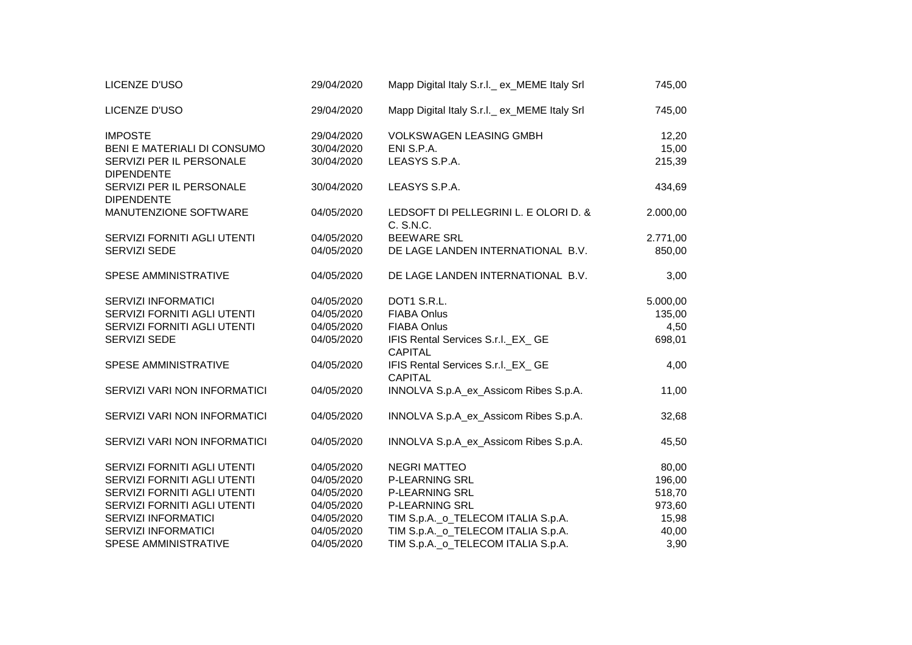| LICENZE D'USO                                 | 29/04/2020 | Mapp Digital Italy S.r.I._ ex_MEME Italy Srl         | 745,00   |
|-----------------------------------------------|------------|------------------------------------------------------|----------|
| LICENZE D'USO                                 | 29/04/2020 | Mapp Digital Italy S.r.l._ ex_MEME Italy Srl         | 745,00   |
| <b>IMPOSTE</b>                                | 29/04/2020 | <b>VOLKSWAGEN LEASING GMBH</b>                       | 12,20    |
| BENI E MATERIALI DI CONSUMO                   | 30/04/2020 | ENI S.P.A.                                           | 15,00    |
| SERVIZI PER IL PERSONALE<br><b>DIPENDENTE</b> | 30/04/2020 | LEASYS S.P.A.                                        | 215,39   |
| SERVIZI PER IL PERSONALE<br><b>DIPENDENTE</b> | 30/04/2020 | LEASYS S.P.A.                                        | 434,69   |
| MANUTENZIONE SOFTWARE                         | 04/05/2020 | LEDSOFT DI PELLEGRINI L. E OLORI D. &<br>C. S.N.C.   | 2.000,00 |
| SERVIZI FORNITI AGLI UTENTI                   | 04/05/2020 | <b>BEEWARE SRL</b>                                   | 2.771,00 |
| SERVIZI SEDE                                  | 04/05/2020 | DE LAGE LANDEN INTERNATIONAL B.V.                    | 850,00   |
| <b>SPESE AMMINISTRATIVE</b>                   | 04/05/2020 | DE LAGE LANDEN INTERNATIONAL B.V.                    | 3,00     |
| <b>SERVIZI INFORMATICI</b>                    | 04/05/2020 | DOT1 S.R.L.                                          | 5.000,00 |
| SERVIZI FORNITI AGLI UTENTI                   | 04/05/2020 | <b>FIABA Onlus</b>                                   | 135,00   |
| SERVIZI FORNITI AGLI UTENTI                   | 04/05/2020 | <b>FIABA Onlus</b>                                   | 4,50     |
| SERVIZI SEDE                                  | 04/05/2020 | IFIS Rental Services S.r.I._EX_ GE<br><b>CAPITAL</b> | 698,01   |
| SPESE AMMINISTRATIVE                          | 04/05/2020 | IFIS Rental Services S.r.I. EX GE<br><b>CAPITAL</b>  | 4,00     |
| SERVIZI VARI NON INFORMATICI                  | 04/05/2020 | INNOLVA S.p.A_ex_Assicom Ribes S.p.A.                | 11,00    |
| SERVIZI VARI NON INFORMATICI                  | 04/05/2020 | INNOLVA S.p.A_ex_Assicom Ribes S.p.A.                | 32,68    |
| SERVIZI VARI NON INFORMATICI                  | 04/05/2020 | INNOLVA S.p.A_ex_Assicom Ribes S.p.A.                | 45,50    |
| SERVIZI FORNITI AGLI UTENTI                   | 04/05/2020 | <b>NEGRI MATTEO</b>                                  | 80,00    |
| SERVIZI FORNITI AGLI UTENTI                   | 04/05/2020 | <b>P-LEARNING SRL</b>                                | 196,00   |
| SERVIZI FORNITI AGLI UTENTI                   | 04/05/2020 | <b>P-LEARNING SRL</b>                                | 518,70   |
| SERVIZI FORNITI AGLI UTENTI                   | 04/05/2020 | <b>P-LEARNING SRL</b>                                | 973,60   |
| <b>SERVIZI INFORMATICI</b>                    | 04/05/2020 | TIM S.p.A._o_TELECOM ITALIA S.p.A.                   | 15,98    |
| <b>SERVIZI INFORMATICI</b>                    | 04/05/2020 | TIM S.p.A._o_TELECOM ITALIA S.p.A.                   | 40,00    |
| SPESE AMMINISTRATIVE                          | 04/05/2020 | TIM S.p.A._o_TELECOM ITALIA S.p.A.                   | 3,90     |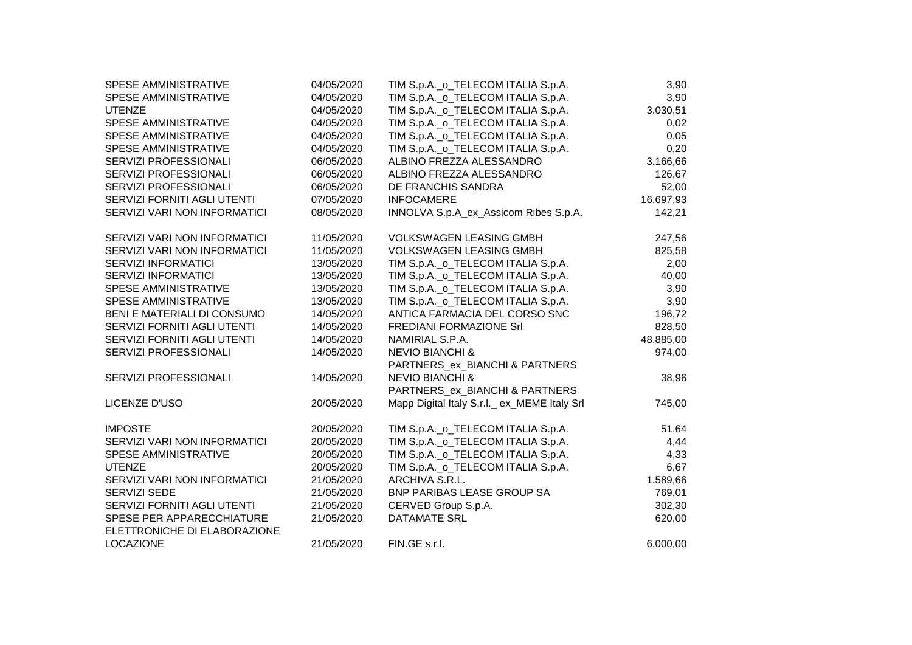| TIM S.p.A._o_TELECOM ITALIA S.p.A.<br>SPESE AMMINISTRATIVE<br>04/05/2020<br>3,90<br>TIM S.p.A._o_TELECOM ITALIA S.p.A.<br><b>UTENZE</b><br>3.030,51<br>04/05/2020<br>TIM S.p.A._o_TELECOM ITALIA S.p.A.<br>SPESE AMMINISTRATIVE<br>04/05/2020<br>0,02<br>TIM S.p.A._o_TELECOM ITALIA S.p.A.<br><b>SPESE AMMINISTRATIVE</b><br>04/05/2020<br>0,05<br>TIM S.p.A._o_TELECOM ITALIA S.p.A.<br>0,20<br>SPESE AMMINISTRATIVE<br>04/05/2020<br>SERVIZI PROFESSIONALI<br>06/05/2020<br>ALBINO FREZZA ALESSANDRO<br>3.166,66<br>SERVIZI PROFESSIONALI<br>06/05/2020<br>ALBINO FREZZA ALESSANDRO<br>126,67<br>SERVIZI PROFESSIONALI<br>06/05/2020<br>DE FRANCHIS SANDRA<br>52,00<br>SERVIZI FORNITI AGLI UTENTI<br>07/05/2020<br><b>INFOCAMERE</b><br>16.697,93<br>INNOLVA S.p.A_ex_Assicom Ribes S.p.A.<br>SERVIZI VARI NON INFORMATICI<br>08/05/2020<br>142,21<br>SERVIZI VARI NON INFORMATICI<br>11/05/2020<br><b>VOLKSWAGEN LEASING GMBH</b><br>247,56<br>SERVIZI VARI NON INFORMATICI<br>11/05/2020<br><b>VOLKSWAGEN LEASING GMBH</b><br>TIM S.p.A._o_TELECOM ITALIA S.p.A.<br><b>SERVIZI INFORMATICI</b><br>13/05/2020<br>2,00<br>TIM S.p.A._o_TELECOM ITALIA S.p.A.<br><b>SERVIZI INFORMATICI</b><br>13/05/2020<br>40,00<br>TIM S.p.A._o_TELECOM ITALIA S.p.A.<br>SPESE AMMINISTRATIVE<br>13/05/2020<br>3,90<br>TIM S.p.A._o_TELECOM ITALIA S.p.A.<br>SPESE AMMINISTRATIVE<br>13/05/2020<br>3,90<br>BENI E MATERIALI DI CONSUMO<br>ANTICA FARMACIA DEL CORSO SNC<br>14/05/2020<br>196,72<br>SERVIZI FORNITI AGLI UTENTI<br>FREDIANI FORMAZIONE Srl<br>14/05/2020<br>828,50<br>SERVIZI FORNITI AGLI UTENTI<br>14/05/2020<br>48.885,00<br>NAMIRIAL S.P.A.<br>SERVIZI PROFESSIONALI<br>14/05/2020<br><b>NEVIO BIANCHI &amp;</b><br>974,00<br>PARTNERS_ex_BIANCHI & PARTNERS<br><b>NEVIO BIANCHI &amp;</b><br>SERVIZI PROFESSIONALI<br>14/05/2020<br>38,96<br>PARTNERS ex BIANCHI & PARTNERS<br>Mapp Digital Italy S.r.l. ex_MEME Italy Srl<br>LICENZE D'USO<br>20/05/2020<br>745,00<br>TIM S.p.A._o_TELECOM ITALIA S.p.A.<br><b>IMPOSTE</b><br>20/05/2020<br>51,64<br>TIM S.p.A._o_TELECOM ITALIA S.p.A.<br>SERVIZI VARI NON INFORMATICI<br>20/05/2020<br>4,44<br>TIM S.p.A._o_TELECOM ITALIA S.p.A.<br>SPESE AMMINISTRATIVE<br>20/05/2020<br>4,33<br>TIM S.p.A._o_TELECOM ITALIA S.p.A.<br>UTENZE<br>20/05/2020<br>6,67<br>SERVIZI VARI NON INFORMATICI<br>21/05/2020<br>ARCHIVA S.R.L.<br>1.589,66<br>SERVIZI SEDE<br><b>BNP PARIBAS LEASE GROUP SA</b><br>21/05/2020<br>769,01<br>SERVIZI FORNITI AGLI UTENTI<br>CERVED Group S.p.A.<br>21/05/2020<br>302,30<br>SPESE PER APPARECCHIATURE<br>21/05/2020<br><b>DATAMATE SRL</b><br>620,00<br>ELETTRONICHE DI ELABORAZIONE<br><b>LOCAZIONE</b><br>21/05/2020<br>FIN.GE s.r.l.<br>6.000,00 | SPESE AMMINISTRATIVE | 04/05/2020 | TIM S.p.A._o_TELECOM ITALIA S.p.A. | 3,90   |
|--------------------------------------------------------------------------------------------------------------------------------------------------------------------------------------------------------------------------------------------------------------------------------------------------------------------------------------------------------------------------------------------------------------------------------------------------------------------------------------------------------------------------------------------------------------------------------------------------------------------------------------------------------------------------------------------------------------------------------------------------------------------------------------------------------------------------------------------------------------------------------------------------------------------------------------------------------------------------------------------------------------------------------------------------------------------------------------------------------------------------------------------------------------------------------------------------------------------------------------------------------------------------------------------------------------------------------------------------------------------------------------------------------------------------------------------------------------------------------------------------------------------------------------------------------------------------------------------------------------------------------------------------------------------------------------------------------------------------------------------------------------------------------------------------------------------------------------------------------------------------------------------------------------------------------------------------------------------------------------------------------------------------------------------------------------------------------------------------------------------------------------------------------------------------------------------------------------------------------------------------------------------------------------------------------------------------------------------------------------------------------------------------------------------------------------------------------------------------------------------------------------------------------------------------------------------------------------------------------------------------------------------------------------------------------------------------------------------------------------|----------------------|------------|------------------------------------|--------|
|                                                                                                                                                                                                                                                                                                                                                                                                                                                                                                                                                                                                                                                                                                                                                                                                                                                                                                                                                                                                                                                                                                                                                                                                                                                                                                                                                                                                                                                                                                                                                                                                                                                                                                                                                                                                                                                                                                                                                                                                                                                                                                                                                                                                                                                                                                                                                                                                                                                                                                                                                                                                                                                                                                                                      |                      |            |                                    |        |
|                                                                                                                                                                                                                                                                                                                                                                                                                                                                                                                                                                                                                                                                                                                                                                                                                                                                                                                                                                                                                                                                                                                                                                                                                                                                                                                                                                                                                                                                                                                                                                                                                                                                                                                                                                                                                                                                                                                                                                                                                                                                                                                                                                                                                                                                                                                                                                                                                                                                                                                                                                                                                                                                                                                                      |                      |            |                                    |        |
|                                                                                                                                                                                                                                                                                                                                                                                                                                                                                                                                                                                                                                                                                                                                                                                                                                                                                                                                                                                                                                                                                                                                                                                                                                                                                                                                                                                                                                                                                                                                                                                                                                                                                                                                                                                                                                                                                                                                                                                                                                                                                                                                                                                                                                                                                                                                                                                                                                                                                                                                                                                                                                                                                                                                      |                      |            |                                    |        |
|                                                                                                                                                                                                                                                                                                                                                                                                                                                                                                                                                                                                                                                                                                                                                                                                                                                                                                                                                                                                                                                                                                                                                                                                                                                                                                                                                                                                                                                                                                                                                                                                                                                                                                                                                                                                                                                                                                                                                                                                                                                                                                                                                                                                                                                                                                                                                                                                                                                                                                                                                                                                                                                                                                                                      |                      |            |                                    |        |
|                                                                                                                                                                                                                                                                                                                                                                                                                                                                                                                                                                                                                                                                                                                                                                                                                                                                                                                                                                                                                                                                                                                                                                                                                                                                                                                                                                                                                                                                                                                                                                                                                                                                                                                                                                                                                                                                                                                                                                                                                                                                                                                                                                                                                                                                                                                                                                                                                                                                                                                                                                                                                                                                                                                                      |                      |            |                                    |        |
|                                                                                                                                                                                                                                                                                                                                                                                                                                                                                                                                                                                                                                                                                                                                                                                                                                                                                                                                                                                                                                                                                                                                                                                                                                                                                                                                                                                                                                                                                                                                                                                                                                                                                                                                                                                                                                                                                                                                                                                                                                                                                                                                                                                                                                                                                                                                                                                                                                                                                                                                                                                                                                                                                                                                      |                      |            |                                    |        |
|                                                                                                                                                                                                                                                                                                                                                                                                                                                                                                                                                                                                                                                                                                                                                                                                                                                                                                                                                                                                                                                                                                                                                                                                                                                                                                                                                                                                                                                                                                                                                                                                                                                                                                                                                                                                                                                                                                                                                                                                                                                                                                                                                                                                                                                                                                                                                                                                                                                                                                                                                                                                                                                                                                                                      |                      |            |                                    |        |
|                                                                                                                                                                                                                                                                                                                                                                                                                                                                                                                                                                                                                                                                                                                                                                                                                                                                                                                                                                                                                                                                                                                                                                                                                                                                                                                                                                                                                                                                                                                                                                                                                                                                                                                                                                                                                                                                                                                                                                                                                                                                                                                                                                                                                                                                                                                                                                                                                                                                                                                                                                                                                                                                                                                                      |                      |            |                                    |        |
|                                                                                                                                                                                                                                                                                                                                                                                                                                                                                                                                                                                                                                                                                                                                                                                                                                                                                                                                                                                                                                                                                                                                                                                                                                                                                                                                                                                                                                                                                                                                                                                                                                                                                                                                                                                                                                                                                                                                                                                                                                                                                                                                                                                                                                                                                                                                                                                                                                                                                                                                                                                                                                                                                                                                      |                      |            |                                    |        |
|                                                                                                                                                                                                                                                                                                                                                                                                                                                                                                                                                                                                                                                                                                                                                                                                                                                                                                                                                                                                                                                                                                                                                                                                                                                                                                                                                                                                                                                                                                                                                                                                                                                                                                                                                                                                                                                                                                                                                                                                                                                                                                                                                                                                                                                                                                                                                                                                                                                                                                                                                                                                                                                                                                                                      |                      |            |                                    |        |
|                                                                                                                                                                                                                                                                                                                                                                                                                                                                                                                                                                                                                                                                                                                                                                                                                                                                                                                                                                                                                                                                                                                                                                                                                                                                                                                                                                                                                                                                                                                                                                                                                                                                                                                                                                                                                                                                                                                                                                                                                                                                                                                                                                                                                                                                                                                                                                                                                                                                                                                                                                                                                                                                                                                                      |                      |            |                                    |        |
|                                                                                                                                                                                                                                                                                                                                                                                                                                                                                                                                                                                                                                                                                                                                                                                                                                                                                                                                                                                                                                                                                                                                                                                                                                                                                                                                                                                                                                                                                                                                                                                                                                                                                                                                                                                                                                                                                                                                                                                                                                                                                                                                                                                                                                                                                                                                                                                                                                                                                                                                                                                                                                                                                                                                      |                      |            |                                    | 825,58 |
|                                                                                                                                                                                                                                                                                                                                                                                                                                                                                                                                                                                                                                                                                                                                                                                                                                                                                                                                                                                                                                                                                                                                                                                                                                                                                                                                                                                                                                                                                                                                                                                                                                                                                                                                                                                                                                                                                                                                                                                                                                                                                                                                                                                                                                                                                                                                                                                                                                                                                                                                                                                                                                                                                                                                      |                      |            |                                    |        |
|                                                                                                                                                                                                                                                                                                                                                                                                                                                                                                                                                                                                                                                                                                                                                                                                                                                                                                                                                                                                                                                                                                                                                                                                                                                                                                                                                                                                                                                                                                                                                                                                                                                                                                                                                                                                                                                                                                                                                                                                                                                                                                                                                                                                                                                                                                                                                                                                                                                                                                                                                                                                                                                                                                                                      |                      |            |                                    |        |
|                                                                                                                                                                                                                                                                                                                                                                                                                                                                                                                                                                                                                                                                                                                                                                                                                                                                                                                                                                                                                                                                                                                                                                                                                                                                                                                                                                                                                                                                                                                                                                                                                                                                                                                                                                                                                                                                                                                                                                                                                                                                                                                                                                                                                                                                                                                                                                                                                                                                                                                                                                                                                                                                                                                                      |                      |            |                                    |        |
|                                                                                                                                                                                                                                                                                                                                                                                                                                                                                                                                                                                                                                                                                                                                                                                                                                                                                                                                                                                                                                                                                                                                                                                                                                                                                                                                                                                                                                                                                                                                                                                                                                                                                                                                                                                                                                                                                                                                                                                                                                                                                                                                                                                                                                                                                                                                                                                                                                                                                                                                                                                                                                                                                                                                      |                      |            |                                    |        |
|                                                                                                                                                                                                                                                                                                                                                                                                                                                                                                                                                                                                                                                                                                                                                                                                                                                                                                                                                                                                                                                                                                                                                                                                                                                                                                                                                                                                                                                                                                                                                                                                                                                                                                                                                                                                                                                                                                                                                                                                                                                                                                                                                                                                                                                                                                                                                                                                                                                                                                                                                                                                                                                                                                                                      |                      |            |                                    |        |
|                                                                                                                                                                                                                                                                                                                                                                                                                                                                                                                                                                                                                                                                                                                                                                                                                                                                                                                                                                                                                                                                                                                                                                                                                                                                                                                                                                                                                                                                                                                                                                                                                                                                                                                                                                                                                                                                                                                                                                                                                                                                                                                                                                                                                                                                                                                                                                                                                                                                                                                                                                                                                                                                                                                                      |                      |            |                                    |        |
|                                                                                                                                                                                                                                                                                                                                                                                                                                                                                                                                                                                                                                                                                                                                                                                                                                                                                                                                                                                                                                                                                                                                                                                                                                                                                                                                                                                                                                                                                                                                                                                                                                                                                                                                                                                                                                                                                                                                                                                                                                                                                                                                                                                                                                                                                                                                                                                                                                                                                                                                                                                                                                                                                                                                      |                      |            |                                    |        |
|                                                                                                                                                                                                                                                                                                                                                                                                                                                                                                                                                                                                                                                                                                                                                                                                                                                                                                                                                                                                                                                                                                                                                                                                                                                                                                                                                                                                                                                                                                                                                                                                                                                                                                                                                                                                                                                                                                                                                                                                                                                                                                                                                                                                                                                                                                                                                                                                                                                                                                                                                                                                                                                                                                                                      |                      |            |                                    |        |
|                                                                                                                                                                                                                                                                                                                                                                                                                                                                                                                                                                                                                                                                                                                                                                                                                                                                                                                                                                                                                                                                                                                                                                                                                                                                                                                                                                                                                                                                                                                                                                                                                                                                                                                                                                                                                                                                                                                                                                                                                                                                                                                                                                                                                                                                                                                                                                                                                                                                                                                                                                                                                                                                                                                                      |                      |            |                                    |        |
|                                                                                                                                                                                                                                                                                                                                                                                                                                                                                                                                                                                                                                                                                                                                                                                                                                                                                                                                                                                                                                                                                                                                                                                                                                                                                                                                                                                                                                                                                                                                                                                                                                                                                                                                                                                                                                                                                                                                                                                                                                                                                                                                                                                                                                                                                                                                                                                                                                                                                                                                                                                                                                                                                                                                      |                      |            |                                    |        |
|                                                                                                                                                                                                                                                                                                                                                                                                                                                                                                                                                                                                                                                                                                                                                                                                                                                                                                                                                                                                                                                                                                                                                                                                                                                                                                                                                                                                                                                                                                                                                                                                                                                                                                                                                                                                                                                                                                                                                                                                                                                                                                                                                                                                                                                                                                                                                                                                                                                                                                                                                                                                                                                                                                                                      |                      |            |                                    |        |
|                                                                                                                                                                                                                                                                                                                                                                                                                                                                                                                                                                                                                                                                                                                                                                                                                                                                                                                                                                                                                                                                                                                                                                                                                                                                                                                                                                                                                                                                                                                                                                                                                                                                                                                                                                                                                                                                                                                                                                                                                                                                                                                                                                                                                                                                                                                                                                                                                                                                                                                                                                                                                                                                                                                                      |                      |            |                                    |        |
|                                                                                                                                                                                                                                                                                                                                                                                                                                                                                                                                                                                                                                                                                                                                                                                                                                                                                                                                                                                                                                                                                                                                                                                                                                                                                                                                                                                                                                                                                                                                                                                                                                                                                                                                                                                                                                                                                                                                                                                                                                                                                                                                                                                                                                                                                                                                                                                                                                                                                                                                                                                                                                                                                                                                      |                      |            |                                    |        |
|                                                                                                                                                                                                                                                                                                                                                                                                                                                                                                                                                                                                                                                                                                                                                                                                                                                                                                                                                                                                                                                                                                                                                                                                                                                                                                                                                                                                                                                                                                                                                                                                                                                                                                                                                                                                                                                                                                                                                                                                                                                                                                                                                                                                                                                                                                                                                                                                                                                                                                                                                                                                                                                                                                                                      |                      |            |                                    |        |
|                                                                                                                                                                                                                                                                                                                                                                                                                                                                                                                                                                                                                                                                                                                                                                                                                                                                                                                                                                                                                                                                                                                                                                                                                                                                                                                                                                                                                                                                                                                                                                                                                                                                                                                                                                                                                                                                                                                                                                                                                                                                                                                                                                                                                                                                                                                                                                                                                                                                                                                                                                                                                                                                                                                                      |                      |            |                                    |        |
|                                                                                                                                                                                                                                                                                                                                                                                                                                                                                                                                                                                                                                                                                                                                                                                                                                                                                                                                                                                                                                                                                                                                                                                                                                                                                                                                                                                                                                                                                                                                                                                                                                                                                                                                                                                                                                                                                                                                                                                                                                                                                                                                                                                                                                                                                                                                                                                                                                                                                                                                                                                                                                                                                                                                      |                      |            |                                    |        |
|                                                                                                                                                                                                                                                                                                                                                                                                                                                                                                                                                                                                                                                                                                                                                                                                                                                                                                                                                                                                                                                                                                                                                                                                                                                                                                                                                                                                                                                                                                                                                                                                                                                                                                                                                                                                                                                                                                                                                                                                                                                                                                                                                                                                                                                                                                                                                                                                                                                                                                                                                                                                                                                                                                                                      |                      |            |                                    |        |
|                                                                                                                                                                                                                                                                                                                                                                                                                                                                                                                                                                                                                                                                                                                                                                                                                                                                                                                                                                                                                                                                                                                                                                                                                                                                                                                                                                                                                                                                                                                                                                                                                                                                                                                                                                                                                                                                                                                                                                                                                                                                                                                                                                                                                                                                                                                                                                                                                                                                                                                                                                                                                                                                                                                                      |                      |            |                                    |        |
|                                                                                                                                                                                                                                                                                                                                                                                                                                                                                                                                                                                                                                                                                                                                                                                                                                                                                                                                                                                                                                                                                                                                                                                                                                                                                                                                                                                                                                                                                                                                                                                                                                                                                                                                                                                                                                                                                                                                                                                                                                                                                                                                                                                                                                                                                                                                                                                                                                                                                                                                                                                                                                                                                                                                      |                      |            |                                    |        |
|                                                                                                                                                                                                                                                                                                                                                                                                                                                                                                                                                                                                                                                                                                                                                                                                                                                                                                                                                                                                                                                                                                                                                                                                                                                                                                                                                                                                                                                                                                                                                                                                                                                                                                                                                                                                                                                                                                                                                                                                                                                                                                                                                                                                                                                                                                                                                                                                                                                                                                                                                                                                                                                                                                                                      |                      |            |                                    |        |
|                                                                                                                                                                                                                                                                                                                                                                                                                                                                                                                                                                                                                                                                                                                                                                                                                                                                                                                                                                                                                                                                                                                                                                                                                                                                                                                                                                                                                                                                                                                                                                                                                                                                                                                                                                                                                                                                                                                                                                                                                                                                                                                                                                                                                                                                                                                                                                                                                                                                                                                                                                                                                                                                                                                                      |                      |            |                                    |        |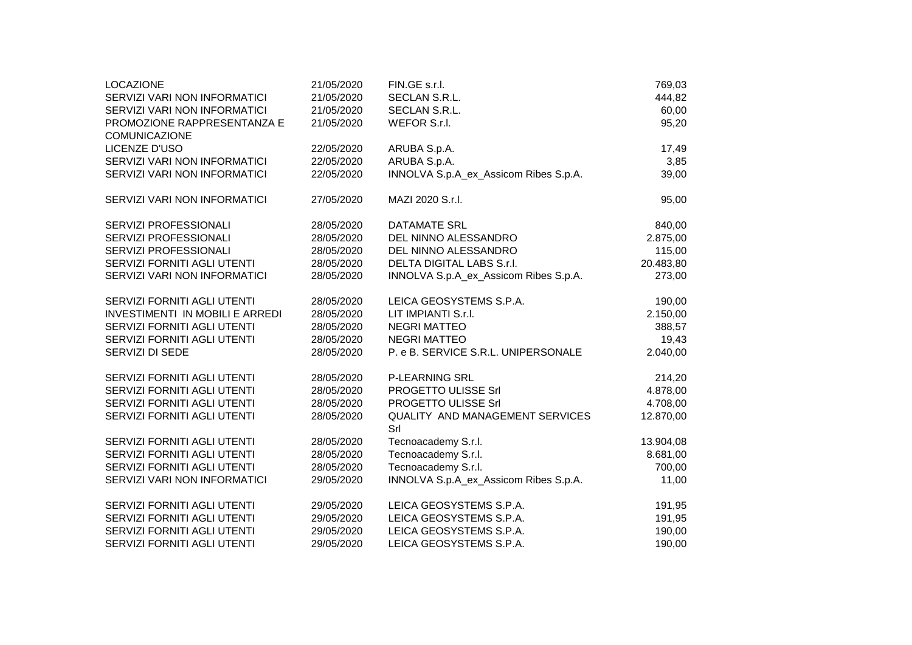| <b>LOCAZIONE</b>                       | 21/05/2020 | FIN.GE s.r.l.                                 | 769,03    |
|----------------------------------------|------------|-----------------------------------------------|-----------|
| SERVIZI VARI NON INFORMATICI           | 21/05/2020 | SECLAN S.R.L.                                 | 444,82    |
| SERVIZI VARI NON INFORMATICI           | 21/05/2020 | SECLAN S.R.L.                                 | 60,00     |
| PROMOZIONE RAPPRESENTANZA E            | 21/05/2020 | WEFOR S.r.l.                                  | 95,20     |
| <b>COMUNICAZIONE</b>                   |            |                                               |           |
| LICENZE D'USO                          | 22/05/2020 | ARUBA S.p.A.                                  | 17,49     |
| SERVIZI VARI NON INFORMATICI           | 22/05/2020 | ARUBA S.p.A.                                  | 3,85      |
| SERVIZI VARI NON INFORMATICI           | 22/05/2020 | INNOLVA S.p.A_ex_Assicom Ribes S.p.A.         | 39,00     |
| SERVIZI VARI NON INFORMATICI           | 27/05/2020 | MAZI 2020 S.r.l.                              | 95,00     |
| SERVIZI PROFESSIONALI                  | 28/05/2020 | <b>DATAMATE SRL</b>                           | 840,00    |
| SERVIZI PROFESSIONALI                  | 28/05/2020 | DEL NINNO ALESSANDRO                          | 2.875,00  |
| SERVIZI PROFESSIONALI                  | 28/05/2020 | DEL NINNO ALESSANDRO                          | 115,00    |
| SERVIZI FORNITI AGLI UTENTI            | 28/05/2020 | DELTA DIGITAL LABS S.r.l.                     | 20.483,80 |
| SERVIZI VARI NON INFORMATICI           | 28/05/2020 | INNOLVA S.p.A_ex_Assicom Ribes S.p.A.         | 273,00    |
| SERVIZI FORNITI AGLI UTENTI            | 28/05/2020 | LEICA GEOSYSTEMS S.P.A.                       | 190,00    |
| <b>INVESTIMENTI IN MOBILI E ARREDI</b> | 28/05/2020 | LIT IMPIANTI S.r.I.                           | 2.150,00  |
| SERVIZI FORNITI AGLI UTENTI            | 28/05/2020 | <b>NEGRI MATTEO</b>                           | 388,57    |
| SERVIZI FORNITI AGLI UTENTI            | 28/05/2020 | <b>NEGRI MATTEO</b>                           | 19,43     |
| SERVIZI DI SEDE                        | 28/05/2020 | P. e B. SERVICE S.R.L. UNIPERSONALE           | 2.040,00  |
| SERVIZI FORNITI AGLI UTENTI            | 28/05/2020 | P-LEARNING SRL                                | 214,20    |
| SERVIZI FORNITI AGLI UTENTI            | 28/05/2020 | PROGETTO ULISSE Srl                           | 4.878,00  |
| SERVIZI FORNITI AGLI UTENTI            | 28/05/2020 | PROGETTO ULISSE Srl                           | 4.708,00  |
| SERVIZI FORNITI AGLI UTENTI            | 28/05/2020 | <b>QUALITY AND MANAGEMENT SERVICES</b><br>Srl | 12.870,00 |
| SERVIZI FORNITI AGLI UTENTI            | 28/05/2020 | Tecnoacademy S.r.l.                           | 13.904,08 |
| SERVIZI FORNITI AGLI UTENTI            | 28/05/2020 | Tecnoacademy S.r.l.                           | 8.681,00  |
| SERVIZI FORNITI AGLI UTENTI            | 28/05/2020 | Tecnoacademy S.r.l.                           | 700,00    |
| SERVIZI VARI NON INFORMATICI           | 29/05/2020 | INNOLVA S.p.A_ex_Assicom Ribes S.p.A.         | 11,00     |
| SERVIZI FORNITI AGLI UTENTI            | 29/05/2020 | LEICA GEOSYSTEMS S.P.A.                       | 191,95    |
| SERVIZI FORNITI AGLI UTENTI            | 29/05/2020 | LEICA GEOSYSTEMS S.P.A.                       | 191,95    |
| SERVIZI FORNITI AGLI UTENTI            | 29/05/2020 | LEICA GEOSYSTEMS S.P.A.                       | 190,00    |
| SERVIZI FORNITI AGLI UTENTI            | 29/05/2020 | LEICA GEOSYSTEMS S.P.A.                       | 190,00    |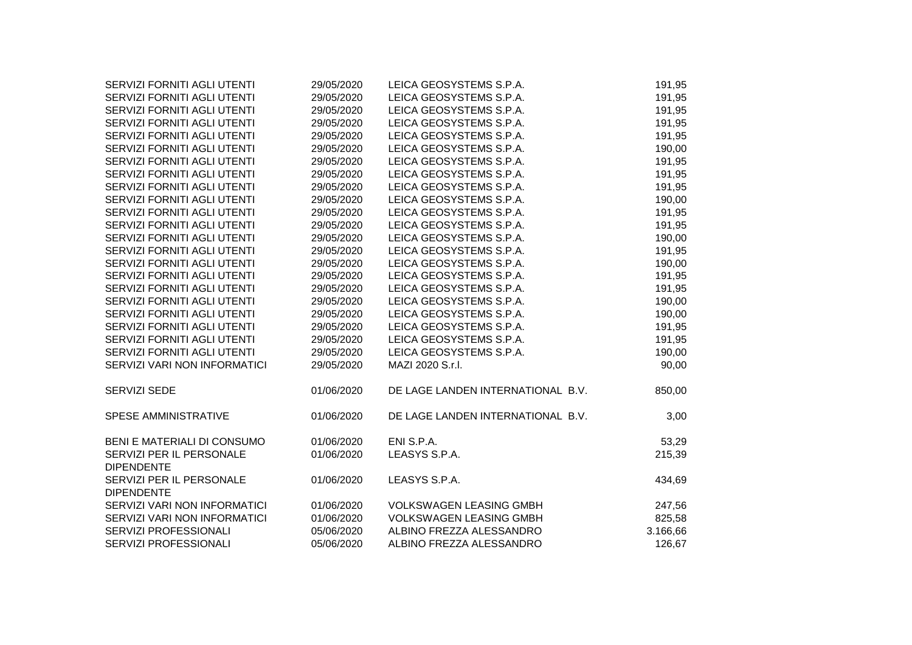| SERVIZI FORNITI AGLI UTENTI                   | 29/05/2020 | LEICA GEOSYSTEMS S.P.A.           | 191,95   |
|-----------------------------------------------|------------|-----------------------------------|----------|
| SERVIZI FORNITI AGLI UTENTI                   | 29/05/2020 | LEICA GEOSYSTEMS S.P.A.           | 191,95   |
| SERVIZI FORNITI AGLI UTENTI                   | 29/05/2020 | LEICA GEOSYSTEMS S.P.A.           | 191,95   |
| SERVIZI FORNITI AGLI UTENTI                   | 29/05/2020 | LEICA GEOSYSTEMS S.P.A.           | 191,95   |
| SERVIZI FORNITI AGLI UTENTI                   | 29/05/2020 | LEICA GEOSYSTEMS S.P.A.           | 191,95   |
| SERVIZI FORNITI AGLI UTENTI                   | 29/05/2020 | LEICA GEOSYSTEMS S.P.A.           | 190,00   |
| SERVIZI FORNITI AGLI UTENTI                   | 29/05/2020 | LEICA GEOSYSTEMS S.P.A.           | 191,95   |
| SERVIZI FORNITI AGLI UTENTI                   | 29/05/2020 | LEICA GEOSYSTEMS S.P.A.           | 191,95   |
| SERVIZI FORNITI AGLI UTENTI                   | 29/05/2020 | LEICA GEOSYSTEMS S.P.A.           | 191,95   |
| SERVIZI FORNITI AGLI UTENTI                   | 29/05/2020 | LEICA GEOSYSTEMS S.P.A.           | 190,00   |
| SERVIZI FORNITI AGLI UTENTI                   | 29/05/2020 | LEICA GEOSYSTEMS S.P.A.           | 191,95   |
| SERVIZI FORNITI AGLI UTENTI                   | 29/05/2020 | LEICA GEOSYSTEMS S.P.A.           | 191,95   |
| SERVIZI FORNITI AGLI UTENTI                   | 29/05/2020 | LEICA GEOSYSTEMS S.P.A.           | 190,00   |
| SERVIZI FORNITI AGLI UTENTI                   | 29/05/2020 | LEICA GEOSYSTEMS S.P.A.           | 191,95   |
| SERVIZI FORNITI AGLI UTENTI                   | 29/05/2020 | LEICA GEOSYSTEMS S.P.A.           | 190,00   |
| SERVIZI FORNITI AGLI UTENTI                   | 29/05/2020 | LEICA GEOSYSTEMS S.P.A.           | 191,95   |
| SERVIZI FORNITI AGLI UTENTI                   | 29/05/2020 | LEICA GEOSYSTEMS S.P.A.           | 191,95   |
| SERVIZI FORNITI AGLI UTENTI                   | 29/05/2020 | LEICA GEOSYSTEMS S.P.A.           | 190,00   |
| SERVIZI FORNITI AGLI UTENTI                   | 29/05/2020 | LEICA GEOSYSTEMS S.P.A.           | 190,00   |
| SERVIZI FORNITI AGLI UTENTI                   | 29/05/2020 | LEICA GEOSYSTEMS S.P.A.           | 191,95   |
| SERVIZI FORNITI AGLI UTENTI                   | 29/05/2020 | LEICA GEOSYSTEMS S.P.A.           | 191,95   |
| SERVIZI FORNITI AGLI UTENTI                   | 29/05/2020 | LEICA GEOSYSTEMS S.P.A.           | 190,00   |
| SERVIZI VARI NON INFORMATICI                  | 29/05/2020 | MAZI 2020 S.r.I.                  | 90,00    |
| SERVIZI SEDE                                  | 01/06/2020 | DE LAGE LANDEN INTERNATIONAL B.V. | 850,00   |
| SPESE AMMINISTRATIVE                          | 01/06/2020 | DE LAGE LANDEN INTERNATIONAL B.V. | 3,00     |
| BENI E MATERIALI DI CONSUMO                   | 01/06/2020 | ENI S.P.A.                        | 53,29    |
| SERVIZI PER IL PERSONALE<br><b>DIPENDENTE</b> | 01/06/2020 | LEASYS S.P.A.                     | 215,39   |
| SERVIZI PER IL PERSONALE<br><b>DIPENDENTE</b> | 01/06/2020 | LEASYS S.P.A.                     | 434,69   |
| SERVIZI VARI NON INFORMATICI                  | 01/06/2020 | <b>VOLKSWAGEN LEASING GMBH</b>    | 247,56   |
| SERVIZI VARI NON INFORMATICI                  | 01/06/2020 | <b>VOLKSWAGEN LEASING GMBH</b>    | 825,58   |
| SERVIZI PROFESSIONALI                         | 05/06/2020 | ALBINO FREZZA ALESSANDRO          | 3.166,66 |
| SERVIZI PROFESSIONALI                         | 05/06/2020 | ALBINO FREZZA ALESSANDRO          | 126,67   |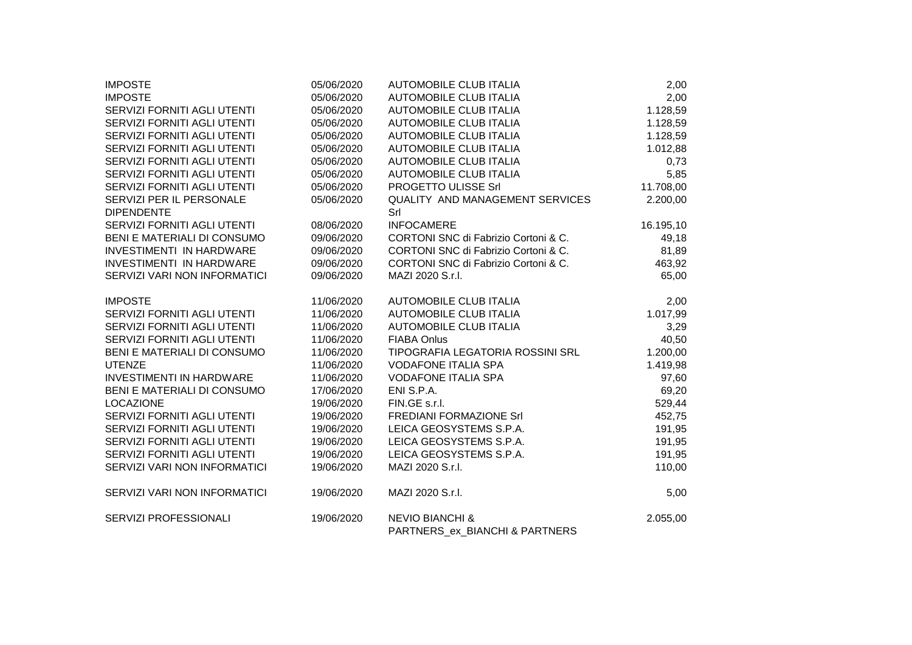| <b>IMPOSTE</b>                  | 05/06/2020 | <b>AUTOMOBILE CLUB ITALIA</b>                                | 2,00      |
|---------------------------------|------------|--------------------------------------------------------------|-----------|
| <b>IMPOSTE</b>                  | 05/06/2020 | <b>AUTOMOBILE CLUB ITALIA</b>                                | 2,00      |
| SERVIZI FORNITI AGLI UTENTI     | 05/06/2020 | <b>AUTOMOBILE CLUB ITALIA</b>                                | 1.128,59  |
| SERVIZI FORNITI AGLI UTENTI     | 05/06/2020 | <b>AUTOMOBILE CLUB ITALIA</b>                                | 1.128,59  |
| SERVIZI FORNITI AGLI UTENTI     | 05/06/2020 | <b>AUTOMOBILE CLUB ITALIA</b>                                | 1.128,59  |
| SERVIZI FORNITI AGLI UTENTI     | 05/06/2020 | <b>AUTOMOBILE CLUB ITALIA</b>                                | 1.012,88  |
| SERVIZI FORNITI AGLI UTENTI     | 05/06/2020 | <b>AUTOMOBILE CLUB ITALIA</b>                                | 0,73      |
| SERVIZI FORNITI AGLI UTENTI     | 05/06/2020 | <b>AUTOMOBILE CLUB ITALIA</b>                                | 5,85      |
| SERVIZI FORNITI AGLI UTENTI     | 05/06/2020 | PROGETTO ULISSE Srl                                          | 11.708,00 |
| SERVIZI PER IL PERSONALE        | 05/06/2020 | <b>QUALITY AND MANAGEMENT SERVICES</b>                       | 2.200,00  |
| <b>DIPENDENTE</b>               |            | Srl                                                          |           |
| SERVIZI FORNITI AGLI UTENTI     | 08/06/2020 | <b>INFOCAMERE</b>                                            | 16.195,10 |
| BENI E MATERIALI DI CONSUMO     | 09/06/2020 | CORTONI SNC di Fabrizio Cortoni & C.                         | 49,18     |
| <b>INVESTIMENTI IN HARDWARE</b> | 09/06/2020 | CORTONI SNC di Fabrizio Cortoni & C.                         | 81,89     |
| <b>INVESTIMENTI IN HARDWARE</b> | 09/06/2020 | CORTONI SNC di Fabrizio Cortoni & C.                         | 463,92    |
| SERVIZI VARI NON INFORMATICI    | 09/06/2020 | MAZI 2020 S.r.l.                                             | 65,00     |
| <b>IMPOSTE</b>                  | 11/06/2020 | <b>AUTOMOBILE CLUB ITALIA</b>                                | 2,00      |
| SERVIZI FORNITI AGLI UTENTI     | 11/06/2020 | <b>AUTOMOBILE CLUB ITALIA</b>                                | 1.017,99  |
| SERVIZI FORNITI AGLI UTENTI     | 11/06/2020 | <b>AUTOMOBILE CLUB ITALIA</b>                                | 3,29      |
| SERVIZI FORNITI AGLI UTENTI     | 11/06/2020 | <b>FIABA Onlus</b>                                           | 40,50     |
| BENI E MATERIALI DI CONSUMO     | 11/06/2020 | TIPOGRAFIA LEGATORIA ROSSINI SRL                             | 1.200,00  |
| <b>UTENZE</b>                   | 11/06/2020 | <b>VODAFONE ITALIA SPA</b>                                   | 1.419,98  |
| <b>INVESTIMENTI IN HARDWARE</b> | 11/06/2020 | <b>VODAFONE ITALIA SPA</b>                                   | 97,60     |
| BENI E MATERIALI DI CONSUMO     | 17/06/2020 | ENI S.P.A.                                                   | 69,20     |
| <b>LOCAZIONE</b>                | 19/06/2020 | FIN.GE s.r.l.                                                | 529,44    |
| SERVIZI FORNITI AGLI UTENTI     | 19/06/2020 | FREDIANI FORMAZIONE Srl                                      | 452,75    |
| SERVIZI FORNITI AGLI UTENTI     | 19/06/2020 | LEICA GEOSYSTEMS S.P.A.                                      | 191,95    |
| SERVIZI FORNITI AGLI UTENTI     | 19/06/2020 | LEICA GEOSYSTEMS S.P.A.                                      | 191,95    |
| SERVIZI FORNITI AGLI UTENTI     | 19/06/2020 | LEICA GEOSYSTEMS S.P.A.                                      | 191,95    |
| SERVIZI VARI NON INFORMATICI    | 19/06/2020 | MAZI 2020 S.r.I.                                             | 110,00    |
| SERVIZI VARI NON INFORMATICI    | 19/06/2020 | MAZI 2020 S.r.I.                                             | 5,00      |
| SERVIZI PROFESSIONALI           | 19/06/2020 | <b>NEVIO BIANCHI &amp;</b><br>PARTNERS ex BIANCHI & PARTNERS | 2.055,00  |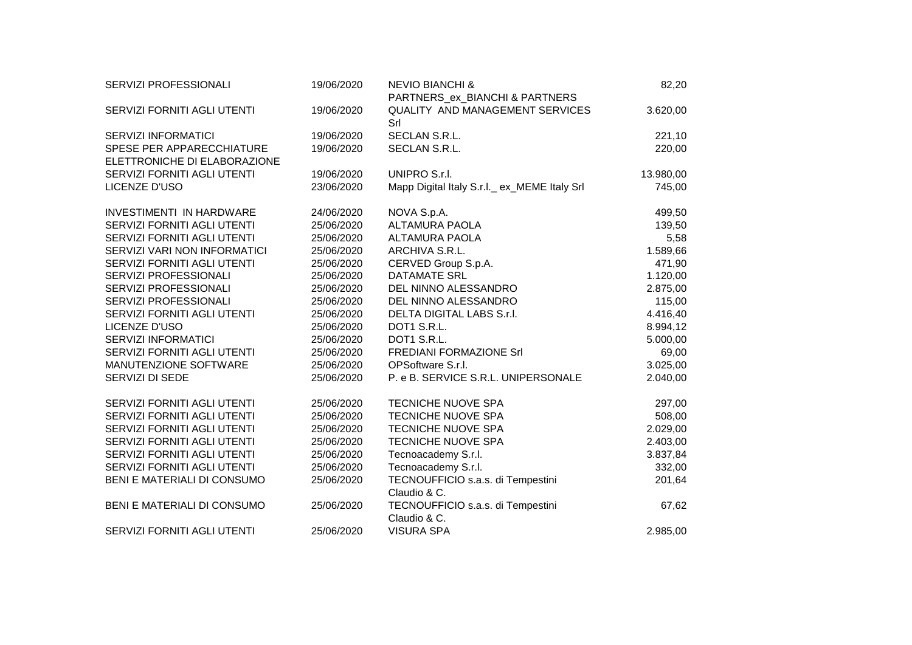| SERVIZI PROFESSIONALI        | 19/06/2020 | <b>NEVIO BIANCHI &amp;</b>                    | 82,20     |
|------------------------------|------------|-----------------------------------------------|-----------|
|                              |            | PARTNERS_ex_BIANCHI & PARTNERS                |           |
| SERVIZI FORNITI AGLI UTENTI  | 19/06/2020 | <b>QUALITY AND MANAGEMENT SERVICES</b><br>Srl | 3.620,00  |
| <b>SERVIZI INFORMATICI</b>   | 19/06/2020 | SECLAN S.R.L.                                 | 221,10    |
| SPESE PER APPARECCHIATURE    | 19/06/2020 | SECLAN S.R.L.                                 | 220,00    |
| ELETTRONICHE DI ELABORAZIONE |            |                                               |           |
| SERVIZI FORNITI AGLI UTENTI  | 19/06/2020 | UNIPRO S.r.I.                                 | 13.980,00 |
| LICENZE D'USO                | 23/06/2020 | Mapp Digital Italy S.r.l. ex_MEME Italy Srl   | 745,00    |
| INVESTIMENTI IN HARDWARE     | 24/06/2020 | NOVA S.p.A.                                   | 499,50    |
| SERVIZI FORNITI AGLI UTENTI  | 25/06/2020 | ALTAMURA PAOLA                                | 139,50    |
| SERVIZI FORNITI AGLI UTENTI  | 25/06/2020 | <b>ALTAMURA PAOLA</b>                         | 5,58      |
| SERVIZI VARI NON INFORMATICI | 25/06/2020 | ARCHIVA S.R.L.                                | 1.589,66  |
| SERVIZI FORNITI AGLI UTENTI  | 25/06/2020 | CERVED Group S.p.A.                           | 471,90    |
| SERVIZI PROFESSIONALI        | 25/06/2020 | <b>DATAMATE SRL</b>                           | 1.120,00  |
| SERVIZI PROFESSIONALI        | 25/06/2020 | DEL NINNO ALESSANDRO                          | 2.875,00  |
| SERVIZI PROFESSIONALI        | 25/06/2020 | DEL NINNO ALESSANDRO                          | 115,00    |
| SERVIZI FORNITI AGLI UTENTI  | 25/06/2020 | DELTA DIGITAL LABS S.r.I.                     | 4.416,40  |
| LICENZE D'USO                | 25/06/2020 | DOT1 S.R.L.                                   | 8.994,12  |
| <b>SERVIZI INFORMATICI</b>   | 25/06/2020 | DOT1 S.R.L.                                   | 5.000,00  |
| SERVIZI FORNITI AGLI UTENTI  | 25/06/2020 | FREDIANI FORMAZIONE Srl                       | 69,00     |
| MANUTENZIONE SOFTWARE        | 25/06/2020 | OPSoftware S.r.l.                             | 3.025,00  |
| SERVIZI DI SEDE              | 25/06/2020 | P. e B. SERVICE S.R.L. UNIPERSONALE           | 2.040,00  |
| SERVIZI FORNITI AGLI UTENTI  | 25/06/2020 | <b>TECNICHE NUOVE SPA</b>                     | 297,00    |
| SERVIZI FORNITI AGLI UTENTI  | 25/06/2020 | <b>TECNICHE NUOVE SPA</b>                     | 508,00    |
| SERVIZI FORNITI AGLI UTENTI  | 25/06/2020 | TECNICHE NUOVE SPA                            | 2.029,00  |
| SERVIZI FORNITI AGLI UTENTI  | 25/06/2020 | TECNICHE NUOVE SPA                            | 2.403,00  |
| SERVIZI FORNITI AGLI UTENTI  | 25/06/2020 | Tecnoacademy S.r.l.                           | 3.837,84  |
| SERVIZI FORNITI AGLI UTENTI  | 25/06/2020 | Tecnoacademy S.r.l.                           | 332,00    |
| BENI E MATERIALI DI CONSUMO  | 25/06/2020 | TECNOUFFICIO s.a.s. di Tempestini             | 201,64    |
|                              |            | Claudio & C.                                  |           |
| BENI E MATERIALI DI CONSUMO  | 25/06/2020 | TECNOUFFICIO s.a.s. di Tempestini             | 67,62     |
|                              |            | Claudio & C.                                  |           |
| SERVIZI FORNITI AGLI UTENTI  | 25/06/2020 | <b>VISURA SPA</b>                             | 2.985,00  |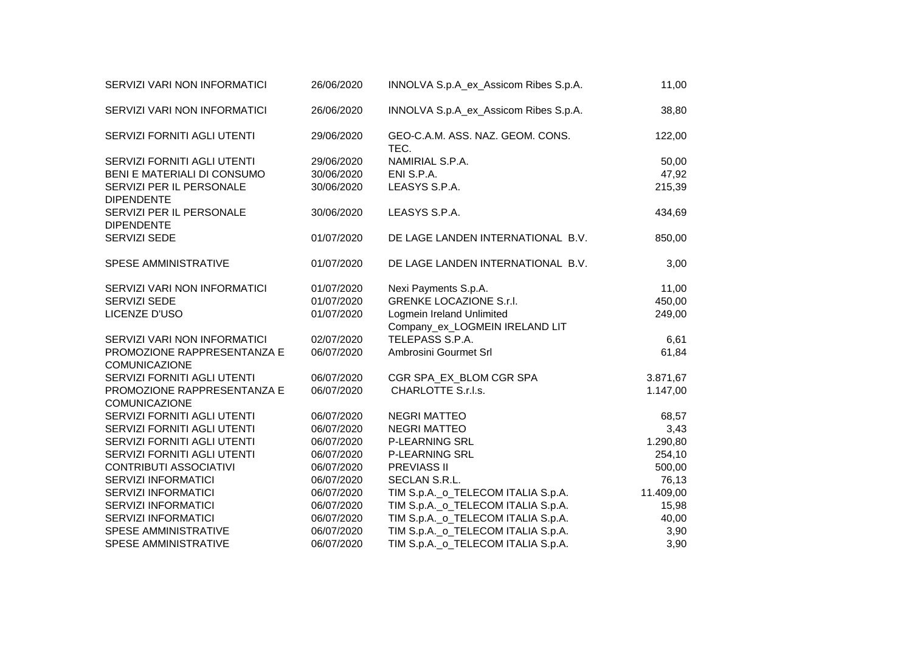| SERVIZI VARI NON INFORMATICI                        | 26/06/2020 | INNOLVA S.p.A_ex_Assicom Ribes S.p.A.                       | 11,00     |
|-----------------------------------------------------|------------|-------------------------------------------------------------|-----------|
| SERVIZI VARI NON INFORMATICI                        | 26/06/2020 | INNOLVA S.p.A_ex_Assicom Ribes S.p.A.                       | 38,80     |
| SERVIZI FORNITI AGLI UTENTI                         | 29/06/2020 | GEO-C.A.M. ASS. NAZ. GEOM. CONS.<br>TEC.                    | 122,00    |
| SERVIZI FORNITI AGLI UTENTI                         | 29/06/2020 | NAMIRIAL S.P.A.                                             | 50,00     |
| BENI E MATERIALI DI CONSUMO                         | 30/06/2020 | ENI S.P.A.                                                  | 47,92     |
| SERVIZI PER IL PERSONALE<br><b>DIPENDENTE</b>       | 30/06/2020 | LEASYS S.P.A.                                               | 215,39    |
| SERVIZI PER IL PERSONALE<br><b>DIPENDENTE</b>       | 30/06/2020 | LEASYS S.P.A.                                               | 434,69    |
| SERVIZI SEDE                                        | 01/07/2020 | DE LAGE LANDEN INTERNATIONAL B.V.                           | 850,00    |
| SPESE AMMINISTRATIVE                                | 01/07/2020 | DE LAGE LANDEN INTERNATIONAL B.V.                           | 3,00      |
| SERVIZI VARI NON INFORMATICI                        | 01/07/2020 | Nexi Payments S.p.A.                                        | 11,00     |
| SERVIZI SEDE                                        | 01/07/2020 | <b>GRENKE LOCAZIONE S.r.I.</b>                              | 450,00    |
| LICENZE D'USO                                       | 01/07/2020 | Logmein Ireland Unlimited<br>Company_ex_LOGMEIN IRELAND LIT | 249,00    |
| SERVIZI VARI NON INFORMATICI                        | 02/07/2020 | TELEPASS S.P.A.                                             | 6,61      |
| PROMOZIONE RAPPRESENTANZA E<br><b>COMUNICAZIONE</b> | 06/07/2020 | Ambrosini Gourmet Srl                                       | 61,84     |
| SERVIZI FORNITI AGLI UTENTI                         | 06/07/2020 | CGR SPA_EX_BLOM CGR SPA                                     | 3.871,67  |
| PROMOZIONE RAPPRESENTANZA E<br><b>COMUNICAZIONE</b> | 06/07/2020 | CHARLOTTE S.r.l.s.                                          | 1.147,00  |
| SERVIZI FORNITI AGLI UTENTI                         | 06/07/2020 | <b>NEGRI MATTEO</b>                                         | 68,57     |
| SERVIZI FORNITI AGLI UTENTI                         | 06/07/2020 | <b>NEGRI MATTEO</b>                                         | 3,43      |
| SERVIZI FORNITI AGLI UTENTI                         | 06/07/2020 | <b>P-LEARNING SRL</b>                                       | 1.290,80  |
| SERVIZI FORNITI AGLI UTENTI                         | 06/07/2020 | <b>P-LEARNING SRL</b>                                       | 254,10    |
| <b>CONTRIBUTI ASSOCIATIVI</b>                       | 06/07/2020 | <b>PREVIASS II</b>                                          | 500,00    |
| <b>SERVIZI INFORMATICI</b>                          | 06/07/2020 | SECLAN S.R.L.                                               | 76,13     |
| <b>SERVIZI INFORMATICI</b>                          | 06/07/2020 | TIM S.p.A._o_TELECOM ITALIA S.p.A.                          | 11.409,00 |
| <b>SERVIZI INFORMATICI</b>                          | 06/07/2020 | TIM S.p.A._o_TELECOM ITALIA S.p.A.                          | 15,98     |
| <b>SERVIZI INFORMATICI</b>                          | 06/07/2020 | TIM S.p.A._o_TELECOM ITALIA S.p.A.                          | 40,00     |
| SPESE AMMINISTRATIVE                                | 06/07/2020 | TIM S.p.A._o_TELECOM ITALIA S.p.A.                          | 3,90      |
| SPESE AMMINISTRATIVE                                | 06/07/2020 | TIM S.p.A._o_TELECOM ITALIA S.p.A.                          | 3,90      |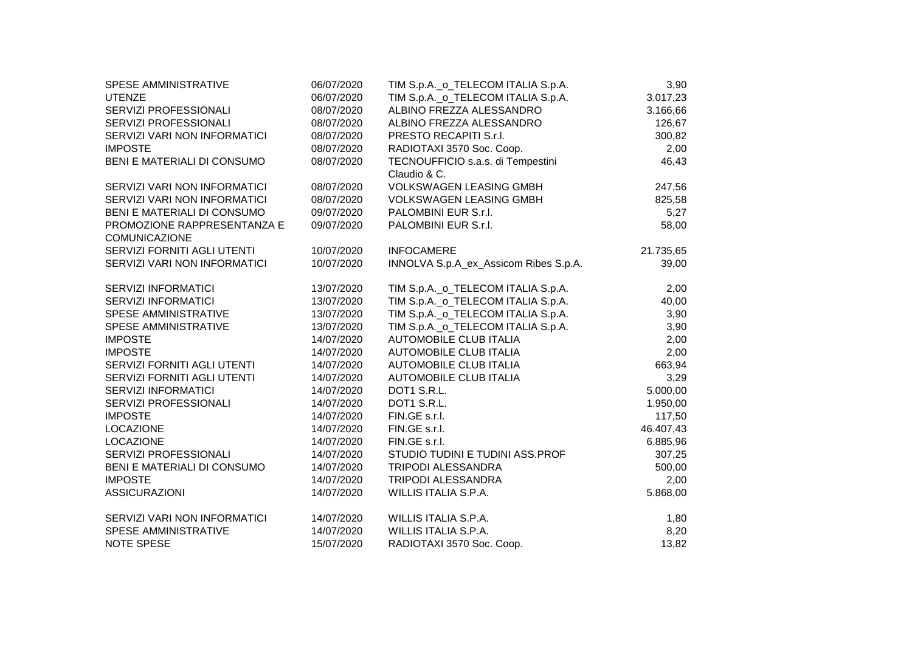| 06/07/2020 |                                       | 3,90                               |                                    |
|------------|---------------------------------------|------------------------------------|------------------------------------|
| 06/07/2020 |                                       | 3.017,23                           |                                    |
| 08/07/2020 | ALBINO FREZZA ALESSANDRO              | 3.166,66                           |                                    |
| 08/07/2020 | ALBINO FREZZA ALESSANDRO              | 126,67                             |                                    |
| 08/07/2020 | PRESTO RECAPITI S.r.I.                | 300,82                             |                                    |
| 08/07/2020 | RADIOTAXI 3570 Soc. Coop.             | 2,00                               |                                    |
| 08/07/2020 | TECNOUFFICIO s.a.s. di Tempestini     | 46,43                              |                                    |
|            | Claudio & C.                          |                                    |                                    |
| 08/07/2020 | <b>VOLKSWAGEN LEASING GMBH</b>        | 247,56                             |                                    |
| 08/07/2020 | <b>VOLKSWAGEN LEASING GMBH</b>        | 825,58                             |                                    |
| 09/07/2020 | PALOMBINI EUR S.r.I.                  | 5,27                               |                                    |
| 09/07/2020 | PALOMBINI EUR S.r.I.                  | 58,00                              |                                    |
|            |                                       |                                    |                                    |
| 10/07/2020 | <b>INFOCAMERE</b>                     | 21.735,65                          |                                    |
| 10/07/2020 | INNOLVA S.p.A_ex_Assicom Ribes S.p.A. | 39,00                              |                                    |
|            |                                       |                                    |                                    |
| 13/07/2020 | TIM S.p.A._o_TELECOM ITALIA S.p.A.    | 2,00                               |                                    |
| 13/07/2020 | TIM S.p.A._o_TELECOM ITALIA S.p.A.    | 40,00                              |                                    |
| 13/07/2020 | TIM S.p.A._o_TELECOM ITALIA S.p.A.    | 3,90                               |                                    |
| 13/07/2020 | TIM S.p.A._o_TELECOM ITALIA S.p.A.    | 3,90                               |                                    |
| 14/07/2020 | AUTOMOBILE CLUB ITALIA                | 2,00                               |                                    |
| 14/07/2020 | AUTOMOBILE CLUB ITALIA                | 2,00                               |                                    |
| 14/07/2020 | AUTOMOBILE CLUB ITALIA                | 663,94                             |                                    |
| 14/07/2020 | <b>AUTOMOBILE CLUB ITALIA</b>         | 3,29                               |                                    |
| 14/07/2020 | DOT1 S.R.L.                           | 5.000,00                           |                                    |
| 14/07/2020 | DOT1 S.R.L.                           | 1.950,00                           |                                    |
| 14/07/2020 | FIN.GE s.r.l.                         | 117,50                             |                                    |
| 14/07/2020 | FIN.GE s.r.l.                         | 46.407,43                          |                                    |
| 14/07/2020 | FIN.GE s.r.l.                         | 6.885,96                           |                                    |
| 14/07/2020 | STUDIO TUDINI E TUDINI ASS.PROF       | 307,25                             |                                    |
| 14/07/2020 | TRIPODI ALESSANDRA                    | 500,00                             |                                    |
| 14/07/2020 | <b>TRIPODI ALESSANDRA</b>             | 2,00                               |                                    |
| 14/07/2020 | WILLIS ITALIA S.P.A.                  | 5.868,00                           |                                    |
|            |                                       |                                    |                                    |
| 14/07/2020 | WILLIS ITALIA S.P.A.                  | 1,80                               |                                    |
| 14/07/2020 | WILLIS ITALIA S.P.A.                  | 8,20                               |                                    |
| 15/07/2020 | RADIOTAXI 3570 Soc. Coop.             | 13,82                              |                                    |
|            |                                       | TIM S.p.A._o_TELECOM ITALIA S.p.A. | TIM S.p.A._o_TELECOM ITALIA S.p.A. |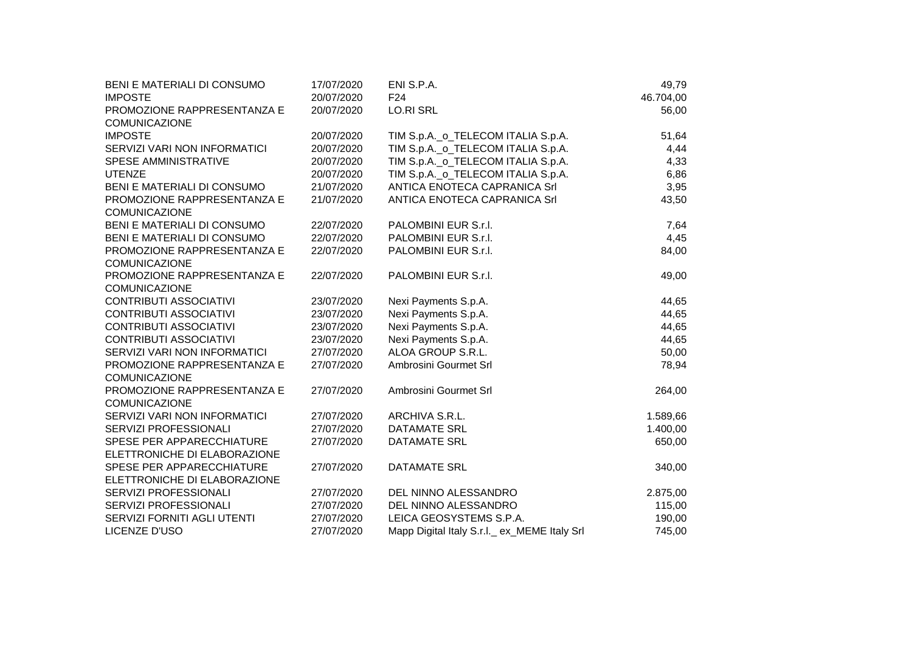| BENI E MATERIALI DI CONSUMO   | 17/07/2020 | ENI S.P.A.                                  | 49,79     |
|-------------------------------|------------|---------------------------------------------|-----------|
| <b>IMPOSTE</b>                | 20/07/2020 | F <sub>24</sub>                             | 46.704,00 |
| PROMOZIONE RAPPRESENTANZA E   | 20/07/2020 | <b>LO.RI SRL</b>                            | 56,00     |
| <b>COMUNICAZIONE</b>          |            |                                             |           |
| <b>IMPOSTE</b>                | 20/07/2020 | TIM S.p.A._o_TELECOM ITALIA S.p.A.          | 51,64     |
| SERVIZI VARI NON INFORMATICI  | 20/07/2020 | TIM S.p.A._o_TELECOM ITALIA S.p.A.          | 4,44      |
| SPESE AMMINISTRATIVE          | 20/07/2020 | TIM S.p.A._o_TELECOM ITALIA S.p.A.          | 4,33      |
| <b>UTENZE</b>                 | 20/07/2020 | TIM S.p.A._o_TELECOM ITALIA S.p.A.          | 6,86      |
| BENI E MATERIALI DI CONSUMO   | 21/07/2020 | ANTICA ENOTECA CAPRANICA Srl                | 3,95      |
| PROMOZIONE RAPPRESENTANZA E   | 21/07/2020 | ANTICA ENOTECA CAPRANICA Srl                | 43,50     |
| <b>COMUNICAZIONE</b>          |            |                                             |           |
| BENI E MATERIALI DI CONSUMO   | 22/07/2020 | PALOMBINI EUR S.r.I.                        | 7,64      |
| BENI E MATERIALI DI CONSUMO   | 22/07/2020 | PALOMBINI EUR S.r.I.                        | 4,45      |
| PROMOZIONE RAPPRESENTANZA E   | 22/07/2020 | PALOMBINI EUR S.r.I.                        | 84,00     |
| <b>COMUNICAZIONE</b>          |            |                                             |           |
| PROMOZIONE RAPPRESENTANZA E   | 22/07/2020 | PALOMBINI EUR S.r.I.                        | 49,00     |
| <b>COMUNICAZIONE</b>          |            |                                             |           |
| <b>CONTRIBUTI ASSOCIATIVI</b> | 23/07/2020 | Nexi Payments S.p.A.                        | 44,65     |
| <b>CONTRIBUTI ASSOCIATIVI</b> | 23/07/2020 | Nexi Payments S.p.A.                        | 44,65     |
| <b>CONTRIBUTI ASSOCIATIVI</b> | 23/07/2020 | Nexi Payments S.p.A.                        | 44,65     |
| <b>CONTRIBUTI ASSOCIATIVI</b> | 23/07/2020 | Nexi Payments S.p.A.                        | 44,65     |
| SERVIZI VARI NON INFORMATICI  | 27/07/2020 | ALOA GROUP S.R.L.                           | 50,00     |
| PROMOZIONE RAPPRESENTANZA E   | 27/07/2020 | Ambrosini Gourmet Srl                       | 78,94     |
| <b>COMUNICAZIONE</b>          |            |                                             |           |
| PROMOZIONE RAPPRESENTANZA E   | 27/07/2020 | Ambrosini Gourmet Srl                       | 264,00    |
| <b>COMUNICAZIONE</b>          |            |                                             |           |
| SERVIZI VARI NON INFORMATICI  | 27/07/2020 | ARCHIVA S.R.L.                              | 1.589,66  |
| SERVIZI PROFESSIONALI         | 27/07/2020 | <b>DATAMATE SRL</b>                         | 1.400,00  |
| SPESE PER APPARECCHIATURE     | 27/07/2020 | <b>DATAMATE SRL</b>                         | 650,00    |
| ELETTRONICHE DI ELABORAZIONE  |            |                                             |           |
| SPESE PER APPARECCHIATURE     | 27/07/2020 | <b>DATAMATE SRL</b>                         | 340,00    |
| ELETTRONICHE DI ELABORAZIONE  |            |                                             |           |
| SERVIZI PROFESSIONALI         | 27/07/2020 | DEL NINNO ALESSANDRO                        | 2.875,00  |
| SERVIZI PROFESSIONALI         | 27/07/2020 | DEL NINNO ALESSANDRO                        | 115,00    |
| SERVIZI FORNITI AGLI UTENTI   | 27/07/2020 | LEICA GEOSYSTEMS S.P.A.                     | 190,00    |
| LICENZE D'USO                 | 27/07/2020 | Mapp Digital Italy S.r.l. ex_MEME Italy Srl | 745,00    |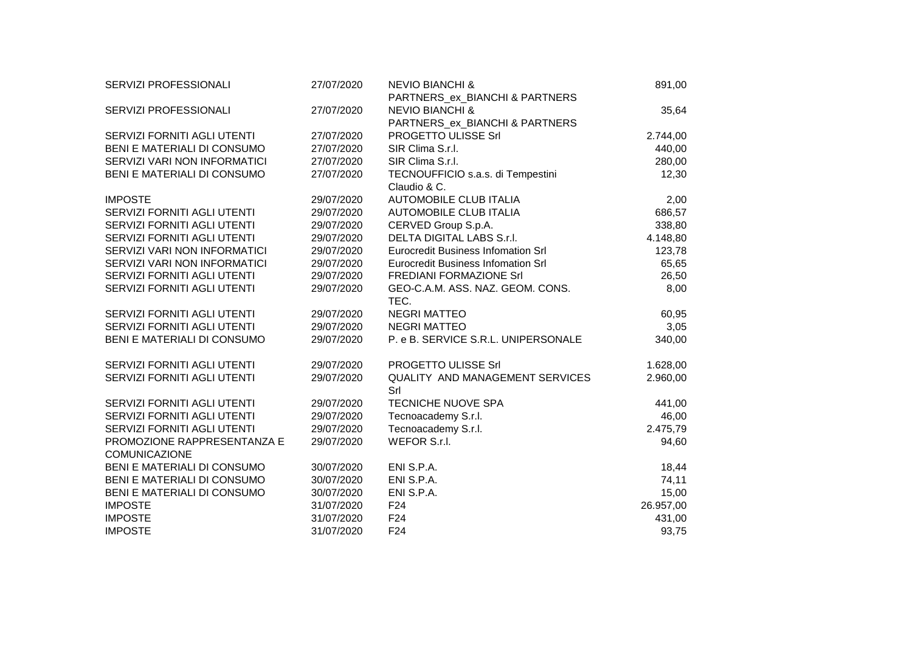| SERVIZI PROFESSIONALI        | 27/07/2020 | <b>NEVIO BIANCHI &amp;</b>             | 891,00    |  |
|------------------------------|------------|----------------------------------------|-----------|--|
|                              |            | PARTNERS_ex_BIANCHI & PARTNERS         |           |  |
| SERVIZI PROFESSIONALI        | 27/07/2020 | <b>NEVIO BIANCHI &amp;</b>             | 35,64     |  |
|                              |            | PARTNERS_ex_BIANCHI & PARTNERS         |           |  |
| SERVIZI FORNITI AGLI UTENTI  | 27/07/2020 | PROGETTO ULISSE Srl                    | 2.744,00  |  |
| BENI E MATERIALI DI CONSUMO  | 27/07/2020 | SIR Clima S.r.l.                       | 440,00    |  |
| SERVIZI VARI NON INFORMATICI | 27/07/2020 | SIR Clima S.r.l.                       | 280,00    |  |
| BENI E MATERIALI DI CONSUMO  | 27/07/2020 | TECNOUFFICIO s.a.s. di Tempestini      | 12,30     |  |
|                              |            | Claudio & C.                           |           |  |
| <b>IMPOSTE</b>               | 29/07/2020 | AUTOMOBILE CLUB ITALIA                 | 2,00      |  |
| SERVIZI FORNITI AGLI UTENTI  | 29/07/2020 | AUTOMOBILE CLUB ITALIA                 | 686,57    |  |
| SERVIZI FORNITI AGLI UTENTI  | 29/07/2020 | CERVED Group S.p.A.                    | 338,80    |  |
| SERVIZI FORNITI AGLI UTENTI  | 29/07/2020 | <b>DELTA DIGITAL LABS S.r.I.</b>       | 4.148,80  |  |
| SERVIZI VARI NON INFORMATICI | 29/07/2020 | Eurocredit Business Infomation Srl     | 123,78    |  |
| SERVIZI VARI NON INFORMATICI | 29/07/2020 | Eurocredit Business Infomation Srl     | 65,65     |  |
| SERVIZI FORNITI AGLI UTENTI  | 29/07/2020 | <b>FREDIANI FORMAZIONE Srl</b>         | 26,50     |  |
| SERVIZI FORNITI AGLI UTENTI  | 29/07/2020 | GEO-C.A.M. ASS. NAZ. GEOM. CONS.       | 8,00      |  |
|                              |            | TEC.                                   |           |  |
| SERVIZI FORNITI AGLI UTENTI  | 29/07/2020 | <b>NEGRI MATTEO</b>                    | 60,95     |  |
| SERVIZI FORNITI AGLI UTENTI  | 29/07/2020 | <b>NEGRI MATTEO</b>                    | 3,05      |  |
| BENI E MATERIALI DI CONSUMO  | 29/07/2020 | P. e B. SERVICE S.R.L. UNIPERSONALE    | 340,00    |  |
|                              |            |                                        |           |  |
| SERVIZI FORNITI AGLI UTENTI  | 29/07/2020 | PROGETTO ULISSE Srl                    | 1.628,00  |  |
| SERVIZI FORNITI AGLI UTENTI  | 29/07/2020 | <b>QUALITY AND MANAGEMENT SERVICES</b> | 2.960,00  |  |
|                              |            | Srl                                    |           |  |
| SERVIZI FORNITI AGLI UTENTI  | 29/07/2020 | TECNICHE NUOVE SPA                     | 441,00    |  |
| SERVIZI FORNITI AGLI UTENTI  | 29/07/2020 | Tecnoacademy S.r.l.                    | 46,00     |  |
| SERVIZI FORNITI AGLI UTENTI  | 29/07/2020 | Tecnoacademy S.r.l.                    | 2.475,79  |  |
| PROMOZIONE RAPPRESENTANZA E  | 29/07/2020 | WEFOR S.r.l.                           | 94,60     |  |
| <b>COMUNICAZIONE</b>         |            |                                        |           |  |
| BENI E MATERIALI DI CONSUMO  | 30/07/2020 | ENI S.P.A.                             | 18,44     |  |
| BENI E MATERIALI DI CONSUMO  | 30/07/2020 | ENI S.P.A.                             | 74,11     |  |
| BENI E MATERIALI DI CONSUMO  | 30/07/2020 | ENI S.P.A.                             | 15,00     |  |
| <b>IMPOSTE</b>               | 31/07/2020 | F24                                    | 26.957,00 |  |
| <b>IMPOSTE</b>               | 31/07/2020 | F <sub>24</sub>                        | 431,00    |  |
| <b>IMPOSTE</b>               | 31/07/2020 | F <sub>24</sub>                        | 93,75     |  |
|                              |            |                                        |           |  |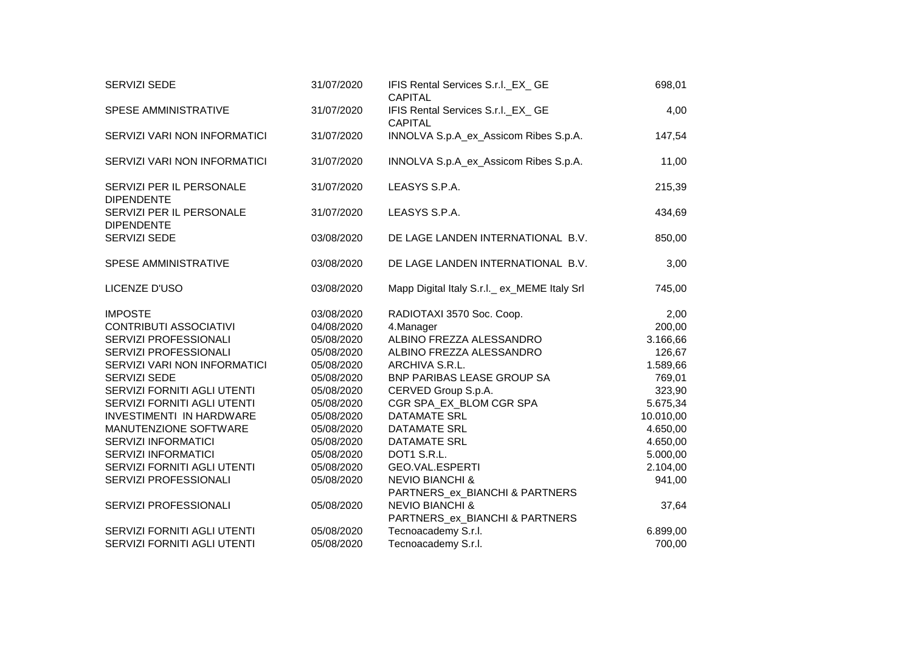| SERVIZI SEDE                                  | 31/07/2020 | IFIS Rental Services S.r.I._EX_ GE<br>CAPITAL                | 698,01    |
|-----------------------------------------------|------------|--------------------------------------------------------------|-----------|
| SPESE AMMINISTRATIVE                          | 31/07/2020 | IFIS Rental Services S.r.I._EX_ GE<br><b>CAPITAL</b>         | 4,00      |
| SERVIZI VARI NON INFORMATICI                  | 31/07/2020 | INNOLVA S.p.A_ex_Assicom Ribes S.p.A.                        | 147,54    |
| SERVIZI VARI NON INFORMATICI                  | 31/07/2020 | INNOLVA S.p.A_ex_Assicom Ribes S.p.A.                        | 11,00     |
| SERVIZI PER IL PERSONALE<br><b>DIPENDENTE</b> | 31/07/2020 | LEASYS S.P.A.                                                | 215,39    |
| SERVIZI PER IL PERSONALE<br><b>DIPENDENTE</b> | 31/07/2020 | LEASYS S.P.A.                                                | 434,69    |
| SERVIZI SEDE                                  | 03/08/2020 | DE LAGE LANDEN INTERNATIONAL B.V.                            | 850,00    |
| SPESE AMMINISTRATIVE                          | 03/08/2020 | DE LAGE LANDEN INTERNATIONAL B.V.                            | 3,00      |
| LICENZE D'USO                                 | 03/08/2020 | Mapp Digital Italy S.r.l. ex_MEME Italy Srl                  | 745,00    |
| <b>IMPOSTE</b>                                | 03/08/2020 | RADIOTAXI 3570 Soc. Coop.                                    | 2,00      |
| <b>CONTRIBUTI ASSOCIATIVI</b>                 | 04/08/2020 | 4.Manager                                                    | 200,00    |
| SERVIZI PROFESSIONALI                         | 05/08/2020 | ALBINO FREZZA ALESSANDRO                                     | 3.166,66  |
| SERVIZI PROFESSIONALI                         | 05/08/2020 | ALBINO FREZZA ALESSANDRO                                     | 126,67    |
| SERVIZI VARI NON INFORMATICI                  | 05/08/2020 | ARCHIVA S.R.L.                                               | 1.589,66  |
| SERVIZI SEDE                                  | 05/08/2020 | BNP PARIBAS LEASE GROUP SA                                   | 769,01    |
| SERVIZI FORNITI AGLI UTENTI                   | 05/08/2020 | CERVED Group S.p.A.                                          | 323,90    |
| SERVIZI FORNITI AGLI UTENTI                   | 05/08/2020 | CGR SPA_EX_BLOM CGR SPA                                      | 5.675,34  |
| <b>INVESTIMENTI IN HARDWARE</b>               | 05/08/2020 | <b>DATAMATE SRL</b>                                          | 10.010,00 |
| MANUTENZIONE SOFTWARE                         | 05/08/2020 | <b>DATAMATE SRL</b>                                          | 4.650,00  |
| <b>SERVIZI INFORMATICI</b>                    | 05/08/2020 | <b>DATAMATE SRL</b>                                          | 4.650,00  |
| <b>SERVIZI INFORMATICI</b>                    | 05/08/2020 | DOT1 S.R.L.                                                  | 5.000,00  |
| SERVIZI FORNITI AGLI UTENTI                   | 05/08/2020 | GEO.VAL.ESPERTI                                              | 2.104,00  |
| SERVIZI PROFESSIONALI                         | 05/08/2020 | <b>NEVIO BIANCHI &amp;</b><br>PARTNERS_ex_BIANCHI & PARTNERS | 941,00    |
| SERVIZI PROFESSIONALI                         | 05/08/2020 | <b>NEVIO BIANCHI &amp;</b><br>PARTNERS_ex_BIANCHI & PARTNERS | 37,64     |
| SERVIZI FORNITI AGLI UTENTI                   | 05/08/2020 | Tecnoacademy S.r.l.                                          | 6.899,00  |
| SERVIZI FORNITI AGLI UTENTI                   | 05/08/2020 | Tecnoacademy S.r.l.                                          | 700,00    |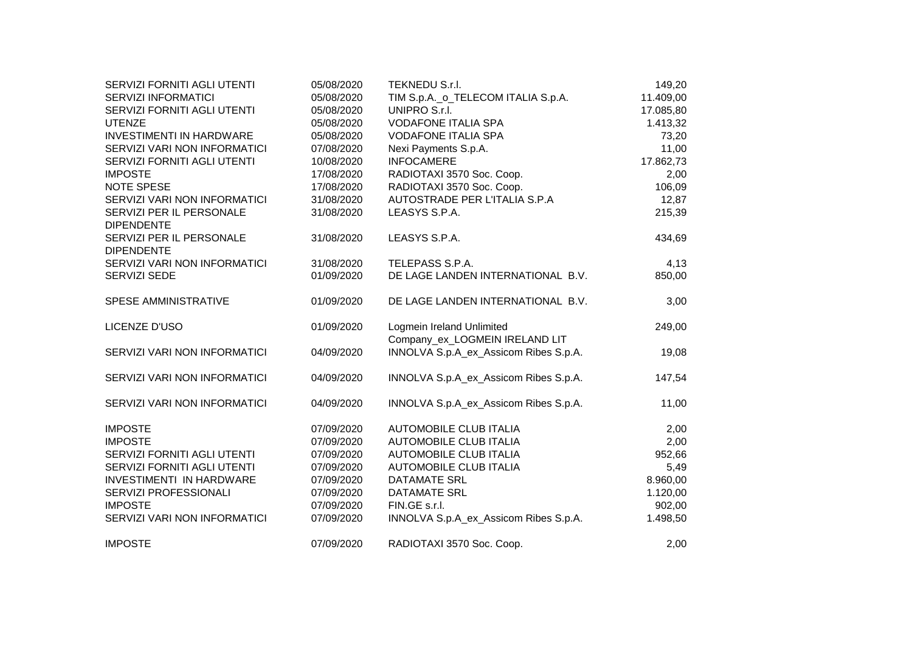| SERVIZI FORNITI AGLI UTENTI                   | 05/08/2020 | TEKNEDU S.r.I.                        | 149,20    |
|-----------------------------------------------|------------|---------------------------------------|-----------|
| <b>SERVIZI INFORMATICI</b>                    | 05/08/2020 | TIM S.p.A._o_TELECOM ITALIA S.p.A.    | 11.409,00 |
| SERVIZI FORNITI AGLI UTENTI                   | 05/08/2020 | UNIPRO S.r.I.                         | 17.085,80 |
| <b>UTENZE</b>                                 | 05/08/2020 | <b>VODAFONE ITALIA SPA</b>            | 1.413,32  |
| <b>INVESTIMENTI IN HARDWARE</b>               | 05/08/2020 | <b>VODAFONE ITALIA SPA</b>            | 73,20     |
| SERVIZI VARI NON INFORMATICI                  | 07/08/2020 | Nexi Payments S.p.A.                  | 11,00     |
| SERVIZI FORNITI AGLI UTENTI                   | 10/08/2020 | <b>INFOCAMERE</b>                     | 17.862,73 |
| <b>IMPOSTE</b>                                | 17/08/2020 | RADIOTAXI 3570 Soc. Coop.             | 2,00      |
| <b>NOTE SPESE</b>                             | 17/08/2020 | RADIOTAXI 3570 Soc. Coop.             | 106,09    |
| SERVIZI VARI NON INFORMATICI                  | 31/08/2020 | AUTOSTRADE PER L'ITALIA S.P.A         | 12,87     |
| SERVIZI PER IL PERSONALE<br><b>DIPENDENTE</b> | 31/08/2020 | LEASYS S.P.A.                         | 215,39    |
| SERVIZI PER IL PERSONALE<br><b>DIPENDENTE</b> | 31/08/2020 | LEASYS S.P.A.                         | 434,69    |
| SERVIZI VARI NON INFORMATICI                  | 31/08/2020 | TELEPASS S.P.A.                       | 4,13      |
| <b>SERVIZI SEDE</b>                           | 01/09/2020 | DE LAGE LANDEN INTERNATIONAL B.V.     | 850,00    |
| SPESE AMMINISTRATIVE                          | 01/09/2020 | DE LAGE LANDEN INTERNATIONAL B.V.     | 3,00      |
| LICENZE D'USO                                 | 01/09/2020 | Logmein Ireland Unlimited             | 249,00    |
|                                               |            | Company_ex_LOGMEIN IRELAND LIT        |           |
| SERVIZI VARI NON INFORMATICI                  | 04/09/2020 | INNOLVA S.p.A_ex_Assicom Ribes S.p.A. | 19,08     |
| SERVIZI VARI NON INFORMATICI                  | 04/09/2020 | INNOLVA S.p.A_ex_Assicom Ribes S.p.A. | 147,54    |
| SERVIZI VARI NON INFORMATICI                  | 04/09/2020 | INNOLVA S.p.A_ex_Assicom Ribes S.p.A. | 11,00     |
| <b>IMPOSTE</b>                                | 07/09/2020 | <b>AUTOMOBILE CLUB ITALIA</b>         | 2,00      |
| <b>IMPOSTE</b>                                | 07/09/2020 | <b>AUTOMOBILE CLUB ITALIA</b>         | 2,00      |
| SERVIZI FORNITI AGLI UTENTI                   | 07/09/2020 | <b>AUTOMOBILE CLUB ITALIA</b>         | 952,66    |
| SERVIZI FORNITI AGLI UTENTI                   | 07/09/2020 | <b>AUTOMOBILE CLUB ITALIA</b>         | 5,49      |
| <b>INVESTIMENTI IN HARDWARE</b>               | 07/09/2020 | <b>DATAMATE SRL</b>                   | 8.960,00  |
| SERVIZI PROFESSIONALI                         | 07/09/2020 | <b>DATAMATE SRL</b>                   | 1.120,00  |
| <b>IMPOSTE</b>                                | 07/09/2020 | FIN.GE s.r.l.                         | 902,00    |
| SERVIZI VARI NON INFORMATICI                  | 07/09/2020 | INNOLVA S.p.A_ex_Assicom Ribes S.p.A. | 1.498,50  |
| <b>IMPOSTE</b>                                | 07/09/2020 | RADIOTAXI 3570 Soc. Coop.             | 2,00      |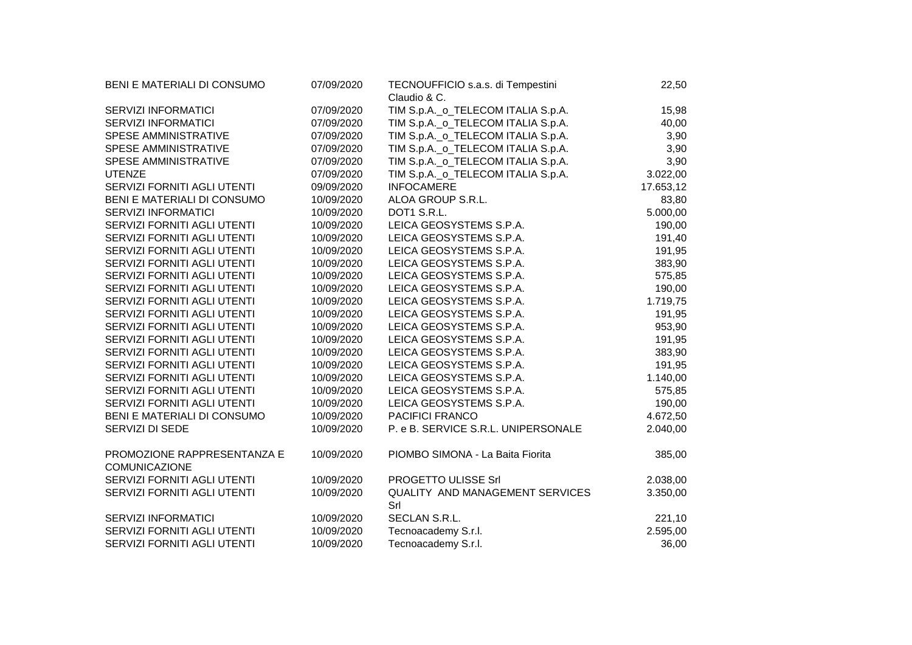| BENI E MATERIALI DI CONSUMO                         | 07/09/2020 | TECNOUFFICIO s.a.s. di Tempestini                  | 22,50     |
|-----------------------------------------------------|------------|----------------------------------------------------|-----------|
| SERVIZI INFORMATICI                                 | 07/09/2020 | Claudio & C.<br>TIM S.p.A._o_TELECOM ITALIA S.p.A. | 15,98     |
| <b>SERVIZI INFORMATICI</b>                          | 07/09/2020 | TIM S.p.A._o_TELECOM ITALIA S.p.A.                 | 40,00     |
| SPESE AMMINISTRATIVE                                | 07/09/2020 | TIM S.p.A._o_TELECOM ITALIA S.p.A.                 | 3,90      |
| SPESE AMMINISTRATIVE                                | 07/09/2020 | TIM S.p.A._o_TELECOM ITALIA S.p.A.                 | 3,90      |
| SPESE AMMINISTRATIVE                                | 07/09/2020 | TIM S.p.A._o_TELECOM ITALIA S.p.A.                 | 3,90      |
| <b>UTENZE</b>                                       | 07/09/2020 | TIM S.p.A._o_TELECOM ITALIA S.p.A.                 | 3.022,00  |
| SERVIZI FORNITI AGLI UTENTI                         | 09/09/2020 | <b>INFOCAMERE</b>                                  | 17.653,12 |
| BENI E MATERIALI DI CONSUMO                         | 10/09/2020 | ALOA GROUP S.R.L.                                  | 83,80     |
| <b>SERVIZI INFORMATICI</b>                          | 10/09/2020 | DOT1 S.R.L.                                        | 5.000,00  |
| SERVIZI FORNITI AGLI UTENTI                         | 10/09/2020 | LEICA GEOSYSTEMS S.P.A.                            | 190,00    |
| SERVIZI FORNITI AGLI UTENTI                         | 10/09/2020 | LEICA GEOSYSTEMS S.P.A.                            | 191,40    |
| SERVIZI FORNITI AGLI UTENTI                         | 10/09/2020 | LEICA GEOSYSTEMS S.P.A.                            | 191,95    |
| SERVIZI FORNITI AGLI UTENTI                         | 10/09/2020 | LEICA GEOSYSTEMS S.P.A.                            | 383,90    |
| SERVIZI FORNITI AGLI UTENTI                         | 10/09/2020 | LEICA GEOSYSTEMS S.P.A.                            | 575,85    |
| SERVIZI FORNITI AGLI UTENTI                         | 10/09/2020 | LEICA GEOSYSTEMS S.P.A.                            | 190,00    |
| SERVIZI FORNITI AGLI UTENTI                         | 10/09/2020 | LEICA GEOSYSTEMS S.P.A.                            | 1.719,75  |
| SERVIZI FORNITI AGLI UTENTI                         | 10/09/2020 | LEICA GEOSYSTEMS S.P.A.                            | 191,95    |
| SERVIZI FORNITI AGLI UTENTI                         | 10/09/2020 | LEICA GEOSYSTEMS S.P.A.                            | 953,90    |
| SERVIZI FORNITI AGLI UTENTI                         | 10/09/2020 | LEICA GEOSYSTEMS S.P.A.                            | 191,95    |
| SERVIZI FORNITI AGLI UTENTI                         | 10/09/2020 | LEICA GEOSYSTEMS S.P.A.                            | 383,90    |
| SERVIZI FORNITI AGLI UTENTI                         | 10/09/2020 | LEICA GEOSYSTEMS S.P.A.                            | 191,95    |
| SERVIZI FORNITI AGLI UTENTI                         | 10/09/2020 | LEICA GEOSYSTEMS S.P.A.                            | 1.140,00  |
| SERVIZI FORNITI AGLI UTENTI                         | 10/09/2020 | LEICA GEOSYSTEMS S.P.A.                            | 575,85    |
| SERVIZI FORNITI AGLI UTENTI                         | 10/09/2020 | LEICA GEOSYSTEMS S.P.A.                            | 190,00    |
| BENI E MATERIALI DI CONSUMO                         | 10/09/2020 | PACIFICI FRANCO                                    | 4.672,50  |
| SERVIZI DI SEDE                                     | 10/09/2020 | P. e B. SERVICE S.R.L. UNIPERSONALE                | 2.040,00  |
| PROMOZIONE RAPPRESENTANZA E<br><b>COMUNICAZIONE</b> | 10/09/2020 | PIOMBO SIMONA - La Baita Fiorita                   | 385,00    |
| SERVIZI FORNITI AGLI UTENTI                         | 10/09/2020 | PROGETTO ULISSE Srl                                | 2.038,00  |
| SERVIZI FORNITI AGLI UTENTI                         | 10/09/2020 | QUALITY AND MANAGEMENT SERVICES<br>Srl             | 3.350,00  |
| <b>SERVIZI INFORMATICI</b>                          | 10/09/2020 | <b>SECLAN S.R.L.</b>                               | 221,10    |
| SERVIZI FORNITI AGLI UTENTI                         | 10/09/2020 | Tecnoacademy S.r.l.                                | 2.595,00  |
| SERVIZI FORNITI AGLI UTENTI                         | 10/09/2020 | Tecnoacademy S.r.l.                                | 36,00     |
|                                                     |            |                                                    |           |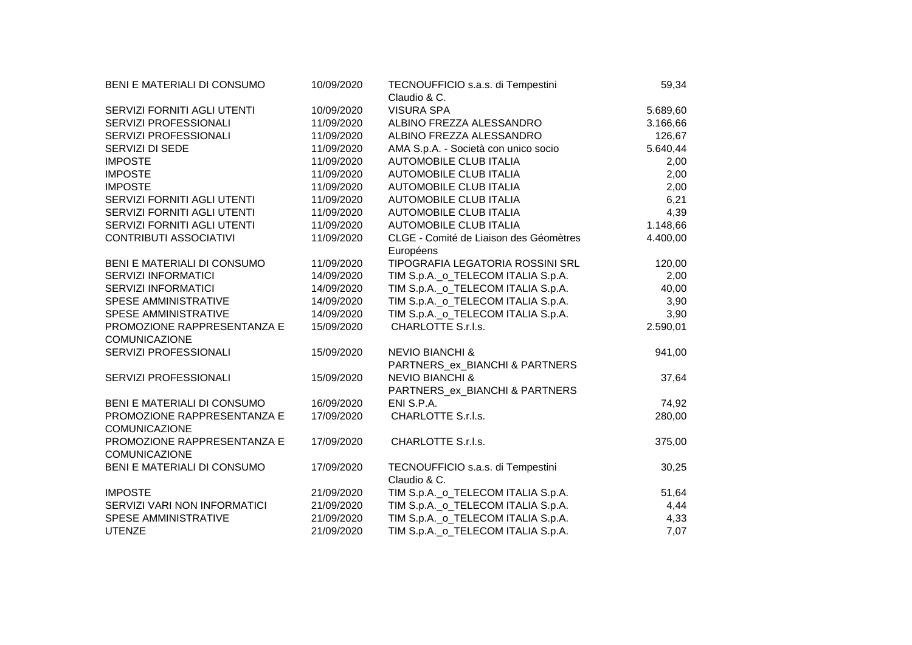| BENI E MATERIALI DI CONSUMO                         | 10/09/2020 | TECNOUFFICIO s.a.s. di Tempestini<br>Claudio & C.            | 59,34    |
|-----------------------------------------------------|------------|--------------------------------------------------------------|----------|
| SERVIZI FORNITI AGLI UTENTI                         | 10/09/2020 | <b>VISURA SPA</b>                                            | 5.689,60 |
| SERVIZI PROFESSIONALI                               | 11/09/2020 | ALBINO FREZZA ALESSANDRO                                     | 3.166,66 |
| SERVIZI PROFESSIONALI                               | 11/09/2020 | ALBINO FREZZA ALESSANDRO                                     | 126,67   |
| SERVIZI DI SEDE                                     | 11/09/2020 | AMA S.p.A. - Società con unico socio                         | 5.640,44 |
| <b>IMPOSTE</b>                                      | 11/09/2020 | <b>AUTOMOBILE CLUB ITALIA</b>                                | 2,00     |
| <b>IMPOSTE</b>                                      | 11/09/2020 | <b>AUTOMOBILE CLUB ITALIA</b>                                | 2,00     |
| <b>IMPOSTE</b>                                      | 11/09/2020 | AUTOMOBILE CLUB ITALIA                                       | 2,00     |
| SERVIZI FORNITI AGLI UTENTI                         | 11/09/2020 | <b>AUTOMOBILE CLUB ITALIA</b>                                | 6,21     |
| SERVIZI FORNITI AGLI UTENTI                         | 11/09/2020 | <b>AUTOMOBILE CLUB ITALIA</b>                                | 4,39     |
| SERVIZI FORNITI AGLI UTENTI                         | 11/09/2020 | <b>AUTOMOBILE CLUB ITALIA</b>                                | 1.148,66 |
| <b>CONTRIBUTI ASSOCIATIVI</b>                       | 11/09/2020 | CLGE - Comité de Liaison des Géomètres<br>Européens          | 4.400,00 |
| BENI E MATERIALI DI CONSUMO                         | 11/09/2020 | TIPOGRAFIA LEGATORIA ROSSINI SRL                             | 120,00   |
| <b>SERVIZI INFORMATICI</b>                          | 14/09/2020 | TIM S.p.A._o_TELECOM ITALIA S.p.A.                           | 2,00     |
| <b>SERVIZI INFORMATICI</b>                          | 14/09/2020 | TIM S.p.A._o_TELECOM ITALIA S.p.A.                           | 40,00    |
| SPESE AMMINISTRATIVE                                | 14/09/2020 | TIM S.p.A._o_TELECOM ITALIA S.p.A.                           | 3,90     |
| SPESE AMMINISTRATIVE                                | 14/09/2020 | TIM S.p.A._o_TELECOM ITALIA S.p.A.                           | 3,90     |
| PROMOZIONE RAPPRESENTANZA E<br><b>COMUNICAZIONE</b> | 15/09/2020 | CHARLOTTE S.r.l.s.                                           | 2.590,01 |
| SERVIZI PROFESSIONALI                               | 15/09/2020 | <b>NEVIO BIANCHI &amp;</b><br>PARTNERS_ex_BIANCHI & PARTNERS | 941,00   |
| SERVIZI PROFESSIONALI                               | 15/09/2020 | <b>NEVIO BIANCHI &amp;</b><br>PARTNERS_ex_BIANCHI & PARTNERS | 37,64    |
| BENI E MATERIALI DI CONSUMO                         | 16/09/2020 | ENI S.P.A.                                                   | 74,92    |
| PROMOZIONE RAPPRESENTANZA E<br><b>COMUNICAZIONE</b> | 17/09/2020 | CHARLOTTE S.r.l.s.                                           | 280,00   |
| PROMOZIONE RAPPRESENTANZA E<br><b>COMUNICAZIONE</b> | 17/09/2020 | CHARLOTTE S.r.l.s.                                           | 375,00   |
| BENI E MATERIALI DI CONSUMO                         | 17/09/2020 | TECNOUFFICIO s.a.s. di Tempestini<br>Claudio & C.            | 30,25    |
| <b>IMPOSTE</b>                                      | 21/09/2020 | TIM S.p.A._o_TELECOM ITALIA S.p.A.                           | 51,64    |
| SERVIZI VARI NON INFORMATICI                        | 21/09/2020 | TIM S.p.A._o_TELECOM ITALIA S.p.A.                           | 4,44     |
| SPESE AMMINISTRATIVE                                | 21/09/2020 | TIM S.p.A._o_TELECOM ITALIA S.p.A.                           | 4,33     |
| <b>UTENZE</b>                                       | 21/09/2020 | TIM S.p.A._o_TELECOM ITALIA S.p.A.                           | 7,07     |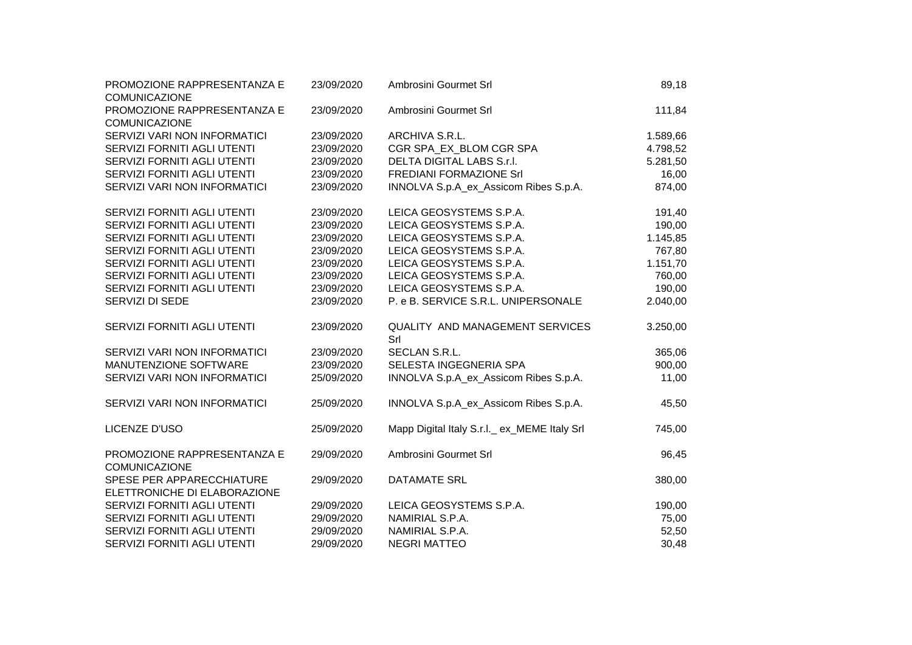| PROMOZIONE RAPPRESENTANZA E<br>COMUNICAZIONE              | 23/09/2020 | Ambrosini Gourmet Srl                         | 89,18    |
|-----------------------------------------------------------|------------|-----------------------------------------------|----------|
| PROMOZIONE RAPPRESENTANZA E                               | 23/09/2020 | Ambrosini Gourmet Srl                         | 111,84   |
| <b>COMUNICAZIONE</b>                                      |            |                                               |          |
| SERVIZI VARI NON INFORMATICI                              | 23/09/2020 | ARCHIVA S.R.L.                                | 1.589,66 |
| SERVIZI FORNITI AGLI UTENTI                               | 23/09/2020 | CGR SPA EX BLOM CGR SPA                       | 4.798,52 |
| SERVIZI FORNITI AGLI UTENTI                               | 23/09/2020 | DELTA DIGITAL LABS S.r.I.                     | 5.281,50 |
| SERVIZI FORNITI AGLI UTENTI                               | 23/09/2020 | <b>FREDIANI FORMAZIONE Srl</b>                | 16,00    |
| SERVIZI VARI NON INFORMATICI                              | 23/09/2020 | INNOLVA S.p.A_ex_Assicom Ribes S.p.A.         | 874,00   |
| SERVIZI FORNITI AGLI UTENTI                               | 23/09/2020 | LEICA GEOSYSTEMS S.P.A.                       | 191,40   |
| SERVIZI FORNITI AGLI UTENTI                               | 23/09/2020 | LEICA GEOSYSTEMS S.P.A.                       | 190,00   |
| SERVIZI FORNITI AGLI UTENTI                               | 23/09/2020 | LEICA GEOSYSTEMS S.P.A.                       | 1.145,85 |
| SERVIZI FORNITI AGLI UTENTI                               | 23/09/2020 | LEICA GEOSYSTEMS S.P.A.                       | 767,80   |
| SERVIZI FORNITI AGLI UTENTI                               | 23/09/2020 | LEICA GEOSYSTEMS S.P.A.                       | 1.151,70 |
| SERVIZI FORNITI AGLI UTENTI                               | 23/09/2020 | LEICA GEOSYSTEMS S.P.A.                       | 760,00   |
| SERVIZI FORNITI AGLI UTENTI                               | 23/09/2020 | LEICA GEOSYSTEMS S.P.A.                       | 190,00   |
| SERVIZI DI SEDE                                           | 23/09/2020 | P. e B. SERVICE S.R.L. UNIPERSONALE           | 2.040,00 |
| SERVIZI FORNITI AGLI UTENTI                               | 23/09/2020 | <b>QUALITY AND MANAGEMENT SERVICES</b><br>Srl | 3.250,00 |
| SERVIZI VARI NON INFORMATICI                              | 23/09/2020 | SECLAN S.R.L.                                 | 365,06   |
| MANUTENZIONE SOFTWARE                                     | 23/09/2020 | SELESTA INGEGNERIA SPA                        | 900,00   |
| SERVIZI VARI NON INFORMATICI                              | 25/09/2020 | INNOLVA S.p.A_ex_Assicom Ribes S.p.A.         | 11,00    |
| SERVIZI VARI NON INFORMATICI                              | 25/09/2020 | INNOLVA S.p.A_ex_Assicom Ribes S.p.A.         | 45,50    |
| LICENZE D'USO                                             | 25/09/2020 | Mapp Digital Italy S.r.I._ ex_MEME Italy Srl  | 745,00   |
| PROMOZIONE RAPPRESENTANZA E<br>COMUNICAZIONE              | 29/09/2020 | Ambrosini Gourmet Srl                         | 96,45    |
| SPESE PER APPARECCHIATURE<br>ELETTRONICHE DI ELABORAZIONE | 29/09/2020 | <b>DATAMATE SRL</b>                           | 380,00   |
| SERVIZI FORNITI AGLI UTENTI                               | 29/09/2020 | LEICA GEOSYSTEMS S.P.A.                       | 190,00   |
| SERVIZI FORNITI AGLI UTENTI                               | 29/09/2020 | NAMIRIAL S.P.A.                               | 75,00    |
| SERVIZI FORNITI AGLI UTENTI                               | 29/09/2020 | NAMIRIAL S.P.A.                               | 52,50    |
| SERVIZI FORNITI AGLI UTENTI                               | 29/09/2020 | <b>NEGRI MATTEO</b>                           | 30,48    |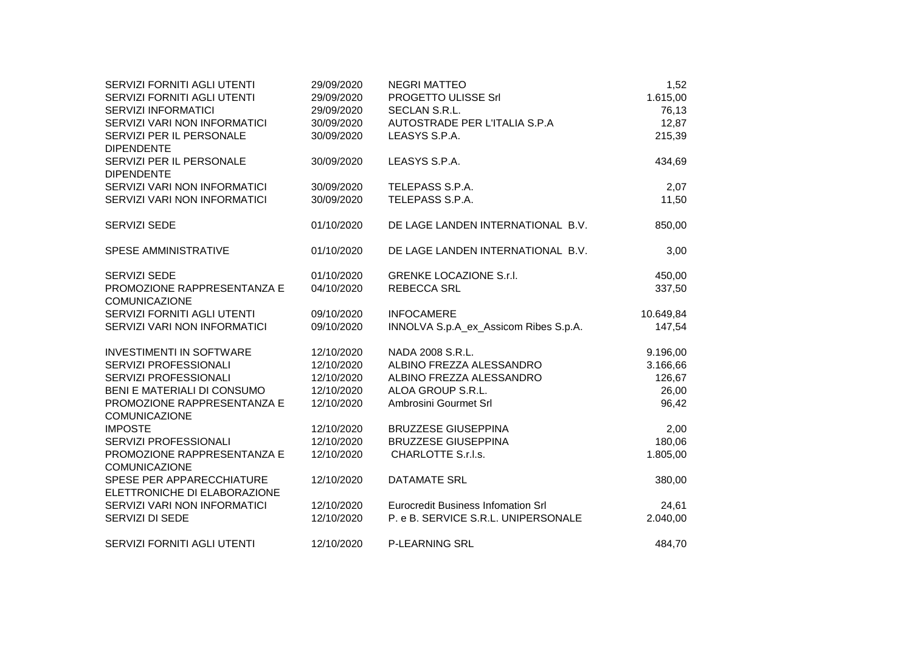| SERVIZI FORNITI AGLI UTENTI                         | 29/09/2020 | <b>NEGRI MATTEO</b>                       | 1,52      |
|-----------------------------------------------------|------------|-------------------------------------------|-----------|
| SERVIZI FORNITI AGLI UTENTI                         | 29/09/2020 | PROGETTO ULISSE Srl                       | 1.615,00  |
| <b>SERVIZI INFORMATICI</b>                          | 29/09/2020 | <b>SECLAN S.R.L.</b>                      | 76,13     |
| SERVIZI VARI NON INFORMATICI                        | 30/09/2020 | AUTOSTRADE PER L'ITALIA S.P.A             | 12,87     |
| SERVIZI PER IL PERSONALE                            | 30/09/2020 | LEASYS S.P.A.                             | 215,39    |
| <b>DIPENDENTE</b>                                   |            |                                           |           |
| SERVIZI PER IL PERSONALE                            | 30/09/2020 | LEASYS S.P.A.                             | 434,69    |
| <b>DIPENDENTE</b>                                   |            |                                           |           |
| SERVIZI VARI NON INFORMATICI                        | 30/09/2020 | TELEPASS S.P.A.                           | 2,07      |
| SERVIZI VARI NON INFORMATICI                        | 30/09/2020 | TELEPASS S.P.A.                           | 11,50     |
| SERVIZI SEDE                                        | 01/10/2020 | DE LAGE LANDEN INTERNATIONAL B.V.         | 850,00    |
| SPESE AMMINISTRATIVE                                | 01/10/2020 | DE LAGE LANDEN INTERNATIONAL B.V.         | 3,00      |
|                                                     |            |                                           |           |
| <b>SERVIZI SEDE</b>                                 | 01/10/2020 | <b>GRENKE LOCAZIONE S.r.I.</b>            | 450,00    |
| PROMOZIONE RAPPRESENTANZA E                         | 04/10/2020 | <b>REBECCA SRL</b>                        | 337,50    |
| <b>COMUNICAZIONE</b>                                |            |                                           |           |
| SERVIZI FORNITI AGLI UTENTI                         | 09/10/2020 | <b>INFOCAMERE</b>                         | 10.649,84 |
| SERVIZI VARI NON INFORMATICI                        | 09/10/2020 | INNOLVA S.p.A_ex_Assicom Ribes S.p.A.     | 147,54    |
| <b>INVESTIMENTI IN SOFTWARE</b>                     | 12/10/2020 | NADA 2008 S.R.L.                          | 9.196,00  |
| SERVIZI PROFESSIONALI                               | 12/10/2020 | ALBINO FREZZA ALESSANDRO                  | 3.166,66  |
| SERVIZI PROFESSIONALI                               | 12/10/2020 | ALBINO FREZZA ALESSANDRO                  | 126,67    |
| BENI E MATERIALI DI CONSUMO                         | 12/10/2020 | ALOA GROUP S.R.L.                         | 26,00     |
| PROMOZIONE RAPPRESENTANZA E                         | 12/10/2020 | Ambrosini Gourmet Srl                     | 96,42     |
| <b>COMUNICAZIONE</b>                                |            |                                           |           |
| <b>IMPOSTE</b>                                      | 12/10/2020 | <b>BRUZZESE GIUSEPPINA</b>                | 2,00      |
| SERVIZI PROFESSIONALI                               | 12/10/2020 | <b>BRUZZESE GIUSEPPINA</b>                | 180,06    |
| PROMOZIONE RAPPRESENTANZA E<br><b>COMUNICAZIONE</b> | 12/10/2020 | CHARLOTTE S.r.l.s.                        | 1.805,00  |
| SPESE PER APPARECCHIATURE                           | 12/10/2020 | <b>DATAMATE SRL</b>                       | 380,00    |
| ELETTRONICHE DI ELABORAZIONE                        |            |                                           |           |
| SERVIZI VARI NON INFORMATICI                        | 12/10/2020 | <b>Eurocredit Business Infomation Srl</b> | 24,61     |
| SERVIZI DI SEDE                                     | 12/10/2020 | P. e B. SERVICE S.R.L. UNIPERSONALE       | 2.040,00  |
| SERVIZI FORNITI AGLI UTENTI                         | 12/10/2020 | P-LEARNING SRL                            | 484,70    |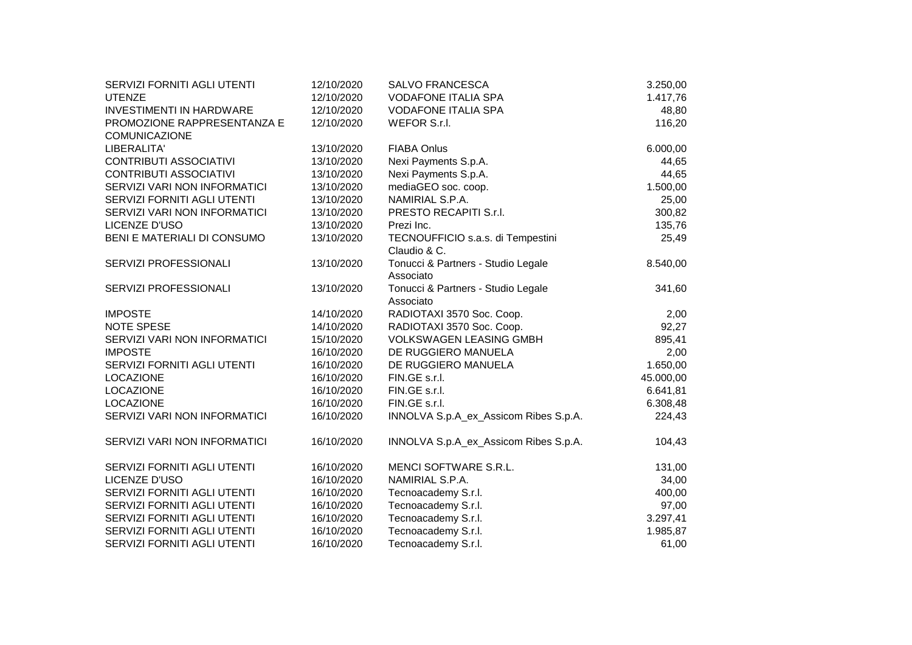| SERVIZI FORNITI AGLI UTENTI     | 12/10/2020 | <b>SALVO FRANCESCA</b>                | 3.250,00  |
|---------------------------------|------------|---------------------------------------|-----------|
| <b>UTENZE</b>                   | 12/10/2020 | <b>VODAFONE ITALIA SPA</b>            | 1.417,76  |
| <b>INVESTIMENTI IN HARDWARE</b> | 12/10/2020 | <b>VODAFONE ITALIA SPA</b>            | 48,80     |
| PROMOZIONE RAPPRESENTANZA E     | 12/10/2020 | WEFOR S.r.l.                          | 116,20    |
| <b>COMUNICAZIONE</b>            |            |                                       |           |
| LIBERALITA'                     | 13/10/2020 | <b>FIABA Onlus</b>                    | 6.000,00  |
| <b>CONTRIBUTI ASSOCIATIVI</b>   | 13/10/2020 | Nexi Payments S.p.A.                  | 44,65     |
| <b>CONTRIBUTI ASSOCIATIVI</b>   | 13/10/2020 | Nexi Payments S.p.A.                  | 44,65     |
| SERVIZI VARI NON INFORMATICI    | 13/10/2020 | mediaGEO soc. coop.                   | 1.500,00  |
| SERVIZI FORNITI AGLI UTENTI     | 13/10/2020 | NAMIRIAL S.P.A.                       | 25,00     |
| SERVIZI VARI NON INFORMATICI    | 13/10/2020 | PRESTO RECAPITI S.r.l.                | 300,82    |
| LICENZE D'USO                   | 13/10/2020 | Prezi Inc.                            | 135,76    |
| BENI E MATERIALI DI CONSUMO     | 13/10/2020 | TECNOUFFICIO s.a.s. di Tempestini     | 25,49     |
|                                 |            | Claudio & C.                          |           |
| SERVIZI PROFESSIONALI           | 13/10/2020 | Tonucci & Partners - Studio Legale    | 8.540,00  |
|                                 |            | Associato                             |           |
| SERVIZI PROFESSIONALI           | 13/10/2020 | Tonucci & Partners - Studio Legale    | 341,60    |
|                                 |            | Associato                             |           |
| <b>IMPOSTE</b>                  | 14/10/2020 | RADIOTAXI 3570 Soc. Coop.             | 2,00      |
| NOTE SPESE                      | 14/10/2020 | RADIOTAXI 3570 Soc. Coop.             | 92,27     |
| SERVIZI VARI NON INFORMATICI    | 15/10/2020 | <b>VOLKSWAGEN LEASING GMBH</b>        | 895,41    |
| <b>IMPOSTE</b>                  | 16/10/2020 | DE RUGGIERO MANUELA                   | 2,00      |
| SERVIZI FORNITI AGLI UTENTI     | 16/10/2020 | DE RUGGIERO MANUELA                   | 1.650,00  |
| <b>LOCAZIONE</b>                | 16/10/2020 | FIN.GE s.r.l.                         | 45.000,00 |
| LOCAZIONE                       | 16/10/2020 | FIN.GE s.r.l.                         | 6.641,81  |
| LOCAZIONE                       | 16/10/2020 | FIN.GE s.r.l.                         | 6.308,48  |
| SERVIZI VARI NON INFORMATICI    | 16/10/2020 | INNOLVA S.p.A_ex_Assicom Ribes S.p.A. | 224,43    |
| SERVIZI VARI NON INFORMATICI    | 16/10/2020 | INNOLVA S.p.A_ex_Assicom Ribes S.p.A. | 104,43    |
| SERVIZI FORNITI AGLI UTENTI     | 16/10/2020 | MENCI SOFTWARE S.R.L.                 | 131,00    |
| LICENZE D'USO                   | 16/10/2020 | NAMIRIAL S.P.A.                       | 34,00     |
| SERVIZI FORNITI AGLI UTENTI     | 16/10/2020 | Tecnoacademy S.r.l.                   | 400,00    |
| SERVIZI FORNITI AGLI UTENTI     | 16/10/2020 | Tecnoacademy S.r.l.                   | 97,00     |
| SERVIZI FORNITI AGLI UTENTI     | 16/10/2020 | Tecnoacademy S.r.l.                   | 3.297,41  |
| SERVIZI FORNITI AGLI UTENTI     | 16/10/2020 | Tecnoacademy S.r.l.                   | 1.985,87  |
| SERVIZI FORNITI AGLI UTENTI     | 16/10/2020 | Tecnoacademy S.r.l.                   | 61,00     |
|                                 |            |                                       |           |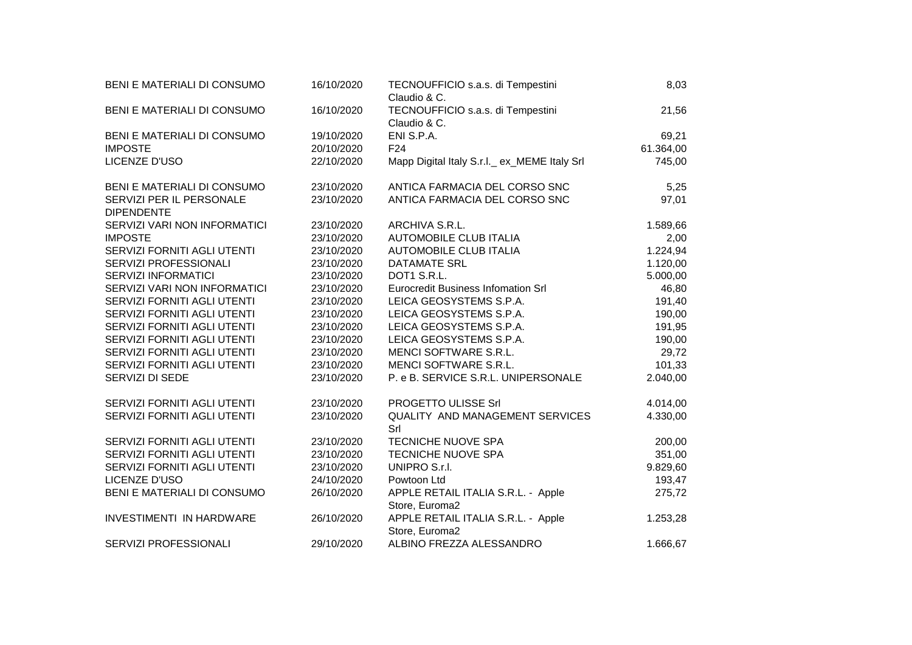| BENI E MATERIALI DI CONSUMO                   | 16/10/2020 | TECNOUFFICIO s.a.s. di Tempestini<br>Claudio & C.    | 8,03      |
|-----------------------------------------------|------------|------------------------------------------------------|-----------|
| BENI E MATERIALI DI CONSUMO                   | 16/10/2020 | TECNOUFFICIO s.a.s. di Tempestini<br>Claudio & C.    | 21,56     |
| BENI E MATERIALI DI CONSUMO                   | 19/10/2020 | ENI S.P.A.                                           | 69,21     |
| <b>IMPOSTE</b>                                | 20/10/2020 | F <sub>24</sub>                                      | 61.364,00 |
| LICENZE D'USO                                 | 22/10/2020 | Mapp Digital Italy S.r.l._ ex_MEME Italy Srl         | 745,00    |
| BENI E MATERIALI DI CONSUMO                   | 23/10/2020 | ANTICA FARMACIA DEL CORSO SNC                        | 5,25      |
| SERVIZI PER IL PERSONALE<br><b>DIPENDENTE</b> | 23/10/2020 | ANTICA FARMACIA DEL CORSO SNC                        | 97,01     |
| SERVIZI VARI NON INFORMATICI                  | 23/10/2020 | ARCHIVA S.R.L.                                       | 1.589,66  |
| <b>IMPOSTE</b>                                | 23/10/2020 | <b>AUTOMOBILE CLUB ITALIA</b>                        | 2,00      |
| SERVIZI FORNITI AGLI UTENTI                   | 23/10/2020 | <b>AUTOMOBILE CLUB ITALIA</b>                        | 1.224,94  |
| SERVIZI PROFESSIONALI                         | 23/10/2020 | <b>DATAMATE SRL</b>                                  | 1.120,00  |
| <b>SERVIZI INFORMATICI</b>                    | 23/10/2020 | DOT1 S.R.L.                                          | 5.000,00  |
| SERVIZI VARI NON INFORMATICI                  | 23/10/2020 | <b>Eurocredit Business Infomation Srl</b>            | 46,80     |
| SERVIZI FORNITI AGLI UTENTI                   | 23/10/2020 | LEICA GEOSYSTEMS S.P.A.                              | 191,40    |
| SERVIZI FORNITI AGLI UTENTI                   | 23/10/2020 | LEICA GEOSYSTEMS S.P.A.                              | 190,00    |
| SERVIZI FORNITI AGLI UTENTI                   | 23/10/2020 | LEICA GEOSYSTEMS S.P.A.                              | 191,95    |
| SERVIZI FORNITI AGLI UTENTI                   | 23/10/2020 | LEICA GEOSYSTEMS S.P.A.                              | 190,00    |
| SERVIZI FORNITI AGLI UTENTI                   | 23/10/2020 | MENCI SOFTWARE S.R.L.                                | 29,72     |
| SERVIZI FORNITI AGLI UTENTI                   | 23/10/2020 | MENCI SOFTWARE S.R.L.                                | 101,33    |
| SERVIZI DI SEDE                               | 23/10/2020 | P. e B. SERVICE S.R.L. UNIPERSONALE                  | 2.040,00  |
| SERVIZI FORNITI AGLI UTENTI                   | 23/10/2020 | PROGETTO ULISSE Srl                                  | 4.014,00  |
| SERVIZI FORNITI AGLI UTENTI                   | 23/10/2020 | QUALITY AND MANAGEMENT SERVICES<br>Srl               | 4.330,00  |
| SERVIZI FORNITI AGLI UTENTI                   | 23/10/2020 | <b>TECNICHE NUOVE SPA</b>                            | 200,00    |
| SERVIZI FORNITI AGLI UTENTI                   | 23/10/2020 | <b>TECNICHE NUOVE SPA</b>                            | 351,00    |
| SERVIZI FORNITI AGLI UTENTI                   | 23/10/2020 | UNIPRO S.r.I.                                        | 9.829,60  |
| LICENZE D'USO                                 | 24/10/2020 | Powtoon Ltd                                          | 193,47    |
| BENI E MATERIALI DI CONSUMO                   | 26/10/2020 | APPLE RETAIL ITALIA S.R.L. - Apple<br>Store, Euroma2 | 275,72    |
| INVESTIMENTI IN HARDWARE                      | 26/10/2020 | APPLE RETAIL ITALIA S.R.L. - Apple<br>Store, Euroma2 | 1.253,28  |
| SERVIZI PROFESSIONALI                         | 29/10/2020 | ALBINO FREZZA ALESSANDRO                             | 1.666,67  |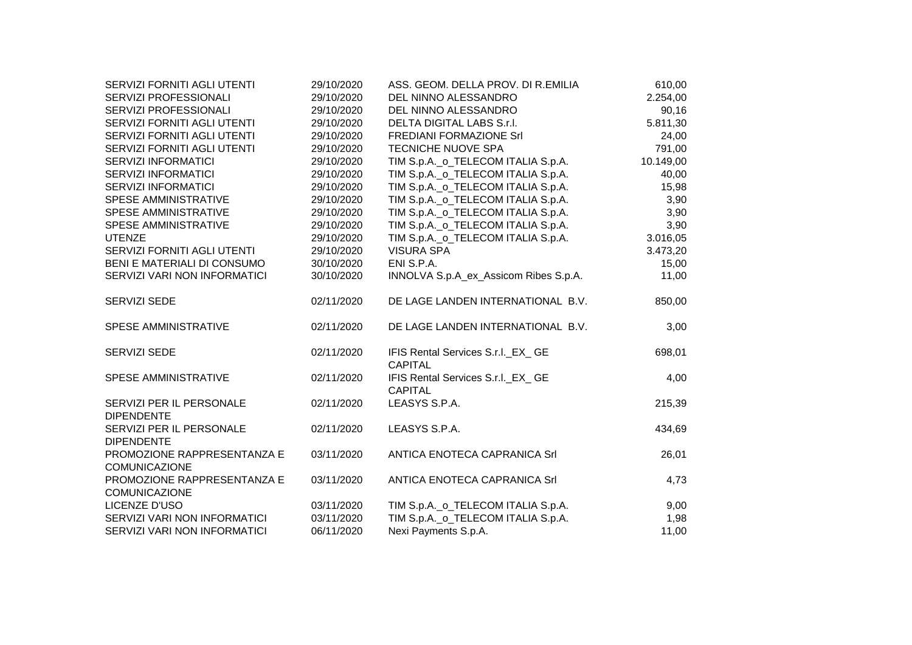| SERVIZI FORNITI AGLI UTENTI                         | 29/10/2020 | ASS. GEOM. DELLA PROV. DI R.EMILIA                   | 610,00    |
|-----------------------------------------------------|------------|------------------------------------------------------|-----------|
| SERVIZI PROFESSIONALI                               | 29/10/2020 | DEL NINNO ALESSANDRO                                 | 2.254,00  |
| SERVIZI PROFESSIONALI                               | 29/10/2020 | DEL NINNO ALESSANDRO                                 | 90,16     |
| SERVIZI FORNITI AGLI UTENTI                         | 29/10/2020 | DELTA DIGITAL LABS S.r.I.                            | 5.811,30  |
| SERVIZI FORNITI AGLI UTENTI                         | 29/10/2020 | <b>FREDIANI FORMAZIONE Srl</b>                       | 24,00     |
| SERVIZI FORNITI AGLI UTENTI                         | 29/10/2020 | <b>TECNICHE NUOVE SPA</b>                            | 791,00    |
| <b>SERVIZI INFORMATICI</b>                          | 29/10/2020 | TIM S.p.A._o_TELECOM ITALIA S.p.A.                   | 10.149,00 |
| <b>SERVIZI INFORMATICI</b>                          | 29/10/2020 | TIM S.p.A._o_TELECOM ITALIA S.p.A.                   | 40,00     |
| <b>SERVIZI INFORMATICI</b>                          | 29/10/2020 | TIM S.p.A._o_TELECOM ITALIA S.p.A.                   | 15,98     |
| SPESE AMMINISTRATIVE                                | 29/10/2020 | TIM S.p.A._o_TELECOM ITALIA S.p.A.                   | 3,90      |
| SPESE AMMINISTRATIVE                                | 29/10/2020 | TIM S.p.A._o_TELECOM ITALIA S.p.A.                   | 3,90      |
| SPESE AMMINISTRATIVE                                | 29/10/2020 | TIM S.p.A._o_TELECOM ITALIA S.p.A.                   | 3,90      |
| <b>UTENZE</b>                                       | 29/10/2020 | TIM S.p.A._o_TELECOM ITALIA S.p.A.                   | 3.016,05  |
| SERVIZI FORNITI AGLI UTENTI                         | 29/10/2020 | <b>VISURA SPA</b>                                    | 3.473,20  |
| BENI E MATERIALI DI CONSUMO                         | 30/10/2020 | ENI S.P.A.                                           | 15,00     |
| SERVIZI VARI NON INFORMATICI                        | 30/10/2020 | INNOLVA S.p.A_ex_Assicom Ribes S.p.A.                | 11,00     |
| <b>SERVIZI SEDE</b>                                 | 02/11/2020 | DE LAGE LANDEN INTERNATIONAL B.V.                    | 850,00    |
| SPESE AMMINISTRATIVE                                | 02/11/2020 | DE LAGE LANDEN INTERNATIONAL B.V.                    | 3,00      |
| <b>SERVIZI SEDE</b>                                 | 02/11/2020 | IFIS Rental Services S.r.I._EX_ GE<br><b>CAPITAL</b> | 698,01    |
| SPESE AMMINISTRATIVE                                | 02/11/2020 | IFIS Rental Services S.r.I._EX_ GE<br><b>CAPITAL</b> | 4,00      |
| SERVIZI PER IL PERSONALE<br><b>DIPENDENTE</b>       | 02/11/2020 | LEASYS S.P.A.                                        | 215,39    |
| SERVIZI PER IL PERSONALE<br><b>DIPENDENTE</b>       | 02/11/2020 | LEASYS S.P.A.                                        | 434,69    |
| PROMOZIONE RAPPRESENTANZA E<br><b>COMUNICAZIONE</b> | 03/11/2020 | ANTICA ENOTECA CAPRANICA Srl                         | 26,01     |
| PROMOZIONE RAPPRESENTANZA E<br><b>COMUNICAZIONE</b> | 03/11/2020 | ANTICA ENOTECA CAPRANICA Srl                         | 4,73      |
| LICENZE D'USO                                       | 03/11/2020 | TIM S.p.A._o_TELECOM ITALIA S.p.A.                   | 9,00      |
| SERVIZI VARI NON INFORMATICI                        | 03/11/2020 | TIM S.p.A._o_TELECOM ITALIA S.p.A.                   | 1,98      |
| SERVIZI VARI NON INFORMATICI                        | 06/11/2020 | Nexi Payments S.p.A.                                 | 11,00     |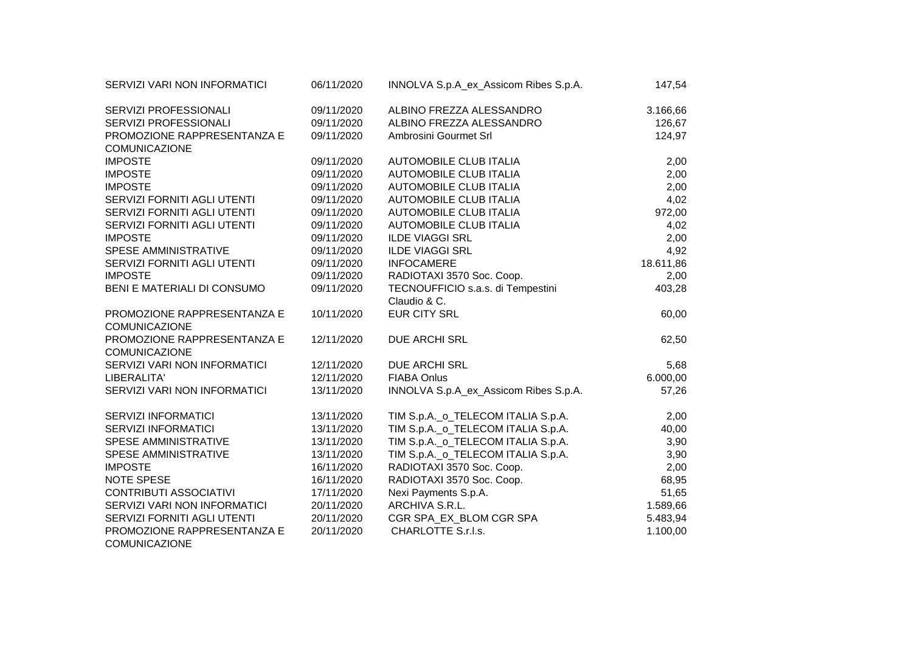| SERVIZI VARI NON INFORMATICI                        | 06/11/2020 | INNOLVA S.p.A_ex_Assicom Ribes S.p.A. | 147,54    |
|-----------------------------------------------------|------------|---------------------------------------|-----------|
| SERVIZI PROFESSIONALI                               | 09/11/2020 | ALBINO FREZZA ALESSANDRO              | 3.166,66  |
| SERVIZI PROFESSIONALI                               | 09/11/2020 | ALBINO FREZZA ALESSANDRO              | 126,67    |
| PROMOZIONE RAPPRESENTANZA E                         | 09/11/2020 | Ambrosini Gourmet Srl                 | 124,97    |
| <b>COMUNICAZIONE</b>                                |            |                                       |           |
| <b>IMPOSTE</b>                                      | 09/11/2020 | <b>AUTOMOBILE CLUB ITALIA</b>         | 2,00      |
| <b>IMPOSTE</b>                                      | 09/11/2020 | <b>AUTOMOBILE CLUB ITALIA</b>         | 2,00      |
| <b>IMPOSTE</b>                                      | 09/11/2020 | <b>AUTOMOBILE CLUB ITALIA</b>         | 2,00      |
| SERVIZI FORNITI AGLI UTENTI                         | 09/11/2020 | <b>AUTOMOBILE CLUB ITALIA</b>         | 4,02      |
| SERVIZI FORNITI AGLI UTENTI                         | 09/11/2020 | <b>AUTOMOBILE CLUB ITALIA</b>         | 972,00    |
| SERVIZI FORNITI AGLI UTENTI                         | 09/11/2020 | <b>AUTOMOBILE CLUB ITALIA</b>         | 4,02      |
| <b>IMPOSTE</b>                                      | 09/11/2020 | <b>ILDE VIAGGI SRL</b>                | 2,00      |
| SPESE AMMINISTRATIVE                                | 09/11/2020 | <b>ILDE VIAGGI SRL</b>                | 4,92      |
| SERVIZI FORNITI AGLI UTENTI                         | 09/11/2020 | <b>INFOCAMERE</b>                     | 18.611,86 |
| <b>IMPOSTE</b>                                      | 09/11/2020 | RADIOTAXI 3570 Soc. Coop.             | 2,00      |
| BENI E MATERIALI DI CONSUMO                         | 09/11/2020 | TECNOUFFICIO s.a.s. di Tempestini     | 403,28    |
|                                                     |            | Claudio & C.                          |           |
| PROMOZIONE RAPPRESENTANZA E<br><b>COMUNICAZIONE</b> | 10/11/2020 | <b>EUR CITY SRL</b>                   | 60,00     |
| PROMOZIONE RAPPRESENTANZA E<br><b>COMUNICAZIONE</b> | 12/11/2020 | <b>DUE ARCHI SRL</b>                  | 62,50     |
| SERVIZI VARI NON INFORMATICI                        | 12/11/2020 | <b>DUE ARCHI SRL</b>                  | 5,68      |
| LIBERALITA'                                         | 12/11/2020 | <b>FIABA Onlus</b>                    | 6.000,00  |
| SERVIZI VARI NON INFORMATICI                        | 13/11/2020 | INNOLVA S.p.A_ex_Assicom Ribes S.p.A. | 57,26     |
|                                                     |            |                                       |           |
| SERVIZI INFORMATICI                                 | 13/11/2020 | TIM S.p.A._o_TELECOM ITALIA S.p.A.    | 2,00      |
| <b>SERVIZI INFORMATICI</b>                          | 13/11/2020 | TIM S.p.A._o_TELECOM ITALIA S.p.A.    | 40,00     |
| <b>SPESE AMMINISTRATIVE</b>                         | 13/11/2020 | TIM S.p.A._o_TELECOM ITALIA S.p.A.    | 3,90      |
| SPESE AMMINISTRATIVE                                | 13/11/2020 | TIM S.p.A._o_TELECOM ITALIA S.p.A.    | 3,90      |
| <b>IMPOSTE</b>                                      | 16/11/2020 | RADIOTAXI 3570 Soc. Coop.             | 2,00      |
| <b>NOTE SPESE</b>                                   | 16/11/2020 | RADIOTAXI 3570 Soc. Coop.             | 68,95     |
| <b>CONTRIBUTI ASSOCIATIVI</b>                       | 17/11/2020 | Nexi Payments S.p.A.                  | 51,65     |
| SERVIZI VARI NON INFORMATICI                        | 20/11/2020 | ARCHIVA S.R.L.                        | 1.589,66  |
| SERVIZI FORNITI AGLI UTENTI                         | 20/11/2020 | CGR SPA_EX_BLOM CGR SPA               | 5.483,94  |
| PROMOZIONE RAPPRESENTANZA E                         | 20/11/2020 | CHARLOTTE S.r.l.s.                    | 1.100,00  |
|                                                     |            |                                       |           |

COMUNICAZIONE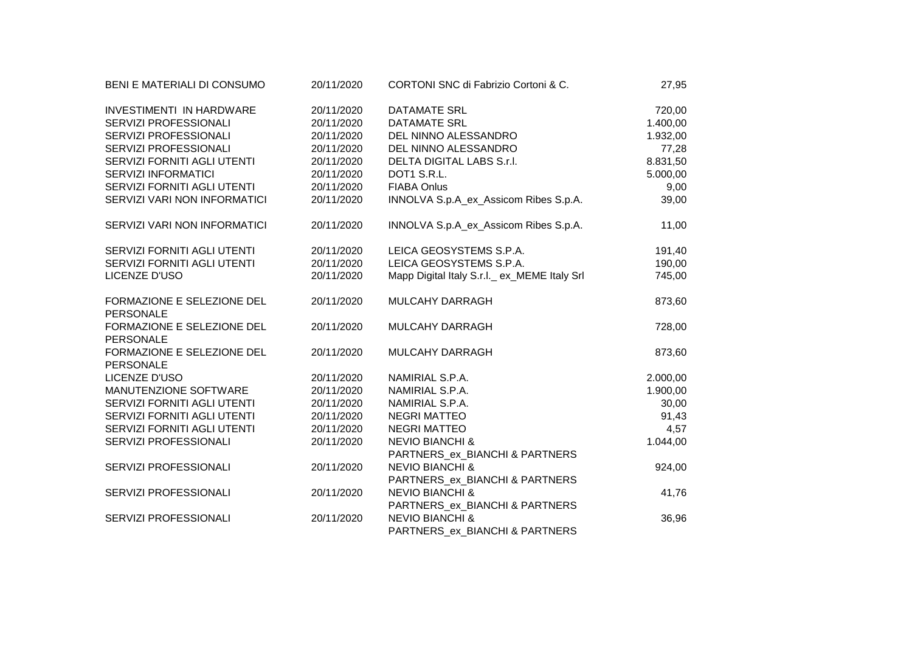| BENI E MATERIALI DI CONSUMO                    | 20/11/2020 | CORTONI SNC di Fabrizio Cortoni & C.        | 27,95    |
|------------------------------------------------|------------|---------------------------------------------|----------|
| <b>INVESTIMENTI IN HARDWARE</b>                | 20/11/2020 | <b>DATAMATE SRL</b>                         | 720,00   |
| SERVIZI PROFESSIONALI                          | 20/11/2020 | <b>DATAMATE SRL</b>                         | 1.400,00 |
| SERVIZI PROFESSIONALI                          | 20/11/2020 | DEL NINNO ALESSANDRO                        | 1.932,00 |
| SERVIZI PROFESSIONALI                          | 20/11/2020 | DEL NINNO ALESSANDRO                        | 77,28    |
| SERVIZI FORNITI AGLI UTENTI                    | 20/11/2020 | DELTA DIGITAL LABS S.r.I.                   | 8.831,50 |
| <b>SERVIZI INFORMATICI</b>                     | 20/11/2020 | DOT1 S.R.L.                                 | 5.000,00 |
| SERVIZI FORNITI AGLI UTENTI                    | 20/11/2020 | <b>FIABA Onlus</b>                          | 9,00     |
| SERVIZI VARI NON INFORMATICI                   | 20/11/2020 | INNOLVA S.p.A_ex_Assicom Ribes S.p.A.       | 39,00    |
| SERVIZI VARI NON INFORMATICI                   | 20/11/2020 | INNOLVA S.p.A_ex_Assicom Ribes S.p.A.       | 11,00    |
| SERVIZI FORNITI AGLI UTENTI                    | 20/11/2020 | LEICA GEOSYSTEMS S.P.A.                     | 191,40   |
| SERVIZI FORNITI AGLI UTENTI                    | 20/11/2020 | LEICA GEOSYSTEMS S.P.A.                     | 190,00   |
| <b>LICENZE D'USO</b>                           | 20/11/2020 | Mapp Digital Italy S.r.l. ex_MEME Italy Srl | 745,00   |
| FORMAZIONE E SELEZIONE DEL<br>PERSONALE        | 20/11/2020 | MULCAHY DARRAGH                             | 873,60   |
| FORMAZIONE E SELEZIONE DEL<br><b>PERSONALE</b> | 20/11/2020 | MULCAHY DARRAGH                             | 728,00   |
| FORMAZIONE E SELEZIONE DEL<br><b>PERSONALE</b> | 20/11/2020 | MULCAHY DARRAGH                             | 873,60   |
| LICENZE D'USO                                  | 20/11/2020 | NAMIRIAL S.P.A.                             | 2.000,00 |
| MANUTENZIONE SOFTWARE                          | 20/11/2020 | NAMIRIAL S.P.A.                             | 1.900,00 |
| SERVIZI FORNITI AGLI UTENTI                    | 20/11/2020 | NAMIRIAL S.P.A.                             | 30,00    |
| SERVIZI FORNITI AGLI UTENTI                    | 20/11/2020 | <b>NEGRI MATTEO</b>                         | 91,43    |
| SERVIZI FORNITI AGLI UTENTI                    | 20/11/2020 | <b>NEGRI MATTEO</b>                         | 4,57     |
| SERVIZI PROFESSIONALI                          | 20/11/2020 | <b>NEVIO BIANCHI &amp;</b>                  | 1.044,00 |
|                                                |            | PARTNERS_ex_BIANCHI & PARTNERS              |          |
| SERVIZI PROFESSIONALI                          | 20/11/2020 | <b>NEVIO BIANCHI &amp;</b>                  | 924,00   |
|                                                |            | PARTNERS_ex_BIANCHI & PARTNERS              |          |
| SERVIZI PROFESSIONALI                          | 20/11/2020 | <b>NEVIO BIANCHI &amp;</b>                  | 41,76    |
|                                                |            | PARTNERS_ex_BIANCHI & PARTNERS              |          |
| SERVIZI PROFESSIONALI                          | 20/11/2020 | <b>NEVIO BIANCHI &amp;</b>                  | 36,96    |
|                                                |            | PARTNERS_ex_BIANCHI & PARTNERS              |          |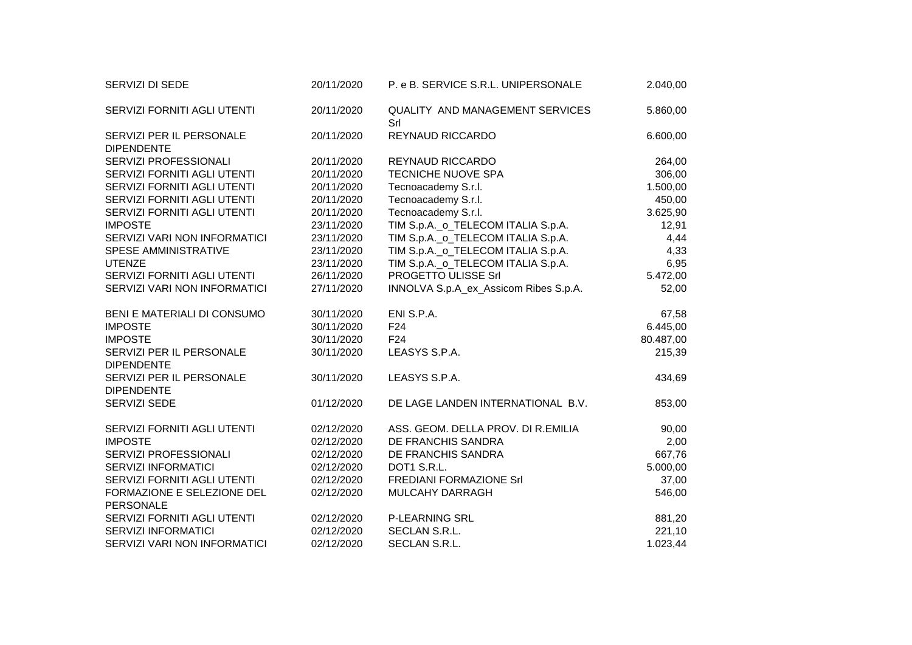| SERVIZI DI SEDE                               | 20/11/2020 | P. e B. SERVICE S.R.L. UNIPERSONALE           | 2.040,00  |
|-----------------------------------------------|------------|-----------------------------------------------|-----------|
| SERVIZI FORNITI AGLI UTENTI                   | 20/11/2020 | <b>QUALITY AND MANAGEMENT SERVICES</b><br>Srl | 5.860,00  |
| SERVIZI PER IL PERSONALE<br><b>DIPENDENTE</b> | 20/11/2020 | REYNAUD RICCARDO                              | 6.600,00  |
| SERVIZI PROFESSIONALI                         | 20/11/2020 | REYNAUD RICCARDO                              | 264,00    |
| SERVIZI FORNITI AGLI UTENTI                   | 20/11/2020 | TECNICHE NUOVE SPA                            | 306,00    |
| SERVIZI FORNITI AGLI UTENTI                   | 20/11/2020 | Tecnoacademy S.r.l.                           | 1.500,00  |
| SERVIZI FORNITI AGLI UTENTI                   | 20/11/2020 | Tecnoacademy S.r.l.                           | 450,00    |
| SERVIZI FORNITI AGLI UTENTI                   | 20/11/2020 | Tecnoacademy S.r.l.                           | 3.625,90  |
| <b>IMPOSTE</b>                                | 23/11/2020 | TIM S.p.A._o_TELECOM ITALIA S.p.A.            | 12,91     |
| SERVIZI VARI NON INFORMATICI                  | 23/11/2020 | TIM S.p.A._o_TELECOM ITALIA S.p.A.            | 4,44      |
| SPESE AMMINISTRATIVE                          | 23/11/2020 | TIM S.p.A._o_TELECOM ITALIA S.p.A.            | 4,33      |
| <b>UTENZE</b>                                 | 23/11/2020 | TIM S.p.A._o_TELECOM ITALIA S.p.A.            | 6,95      |
| SERVIZI FORNITI AGLI UTENTI                   | 26/11/2020 | PROGETTO ULISSE Srl                           | 5.472,00  |
| SERVIZI VARI NON INFORMATICI                  | 27/11/2020 | INNOLVA S.p.A_ex_Assicom Ribes S.p.A.         | 52,00     |
| BENI E MATERIALI DI CONSUMO                   | 30/11/2020 | ENI S.P.A.                                    | 67,58     |
| <b>IMPOSTE</b>                                | 30/11/2020 | F <sub>24</sub>                               | 6.445,00  |
| <b>IMPOSTE</b>                                | 30/11/2020 | F <sub>24</sub>                               | 80.487,00 |
| SERVIZI PER IL PERSONALE<br><b>DIPENDENTE</b> | 30/11/2020 | LEASYS S.P.A.                                 | 215,39    |
| SERVIZI PER IL PERSONALE<br><b>DIPENDENTE</b> | 30/11/2020 | LEASYS S.P.A.                                 | 434,69    |
| SERVIZI SEDE                                  | 01/12/2020 | DE LAGE LANDEN INTERNATIONAL B.V.             | 853,00    |
| SERVIZI FORNITI AGLI UTENTI                   | 02/12/2020 | ASS. GEOM. DELLA PROV. DI R.EMILIA            | 90,00     |
| <b>IMPOSTE</b>                                | 02/12/2020 | DE FRANCHIS SANDRA                            | 2,00      |
| SERVIZI PROFESSIONALI                         | 02/12/2020 | DE FRANCHIS SANDRA                            | 667,76    |
| <b>SERVIZI INFORMATICI</b>                    | 02/12/2020 | DOT1 S.R.L.                                   | 5.000,00  |
| SERVIZI FORNITI AGLI UTENTI                   | 02/12/2020 | FREDIANI FORMAZIONE Srl                       | 37,00     |
| FORMAZIONE E SELEZIONE DEL<br>PERSONALE       | 02/12/2020 | MULCAHY DARRAGH                               | 546,00    |
| SERVIZI FORNITI AGLI UTENTI                   | 02/12/2020 | <b>P-LEARNING SRL</b>                         | 881,20    |
| <b>SERVIZI INFORMATICI</b>                    | 02/12/2020 | SECLAN S.R.L.                                 | 221,10    |
| SERVIZI VARI NON INFORMATICI                  | 02/12/2020 | SECLAN S.R.L.                                 | 1.023,44  |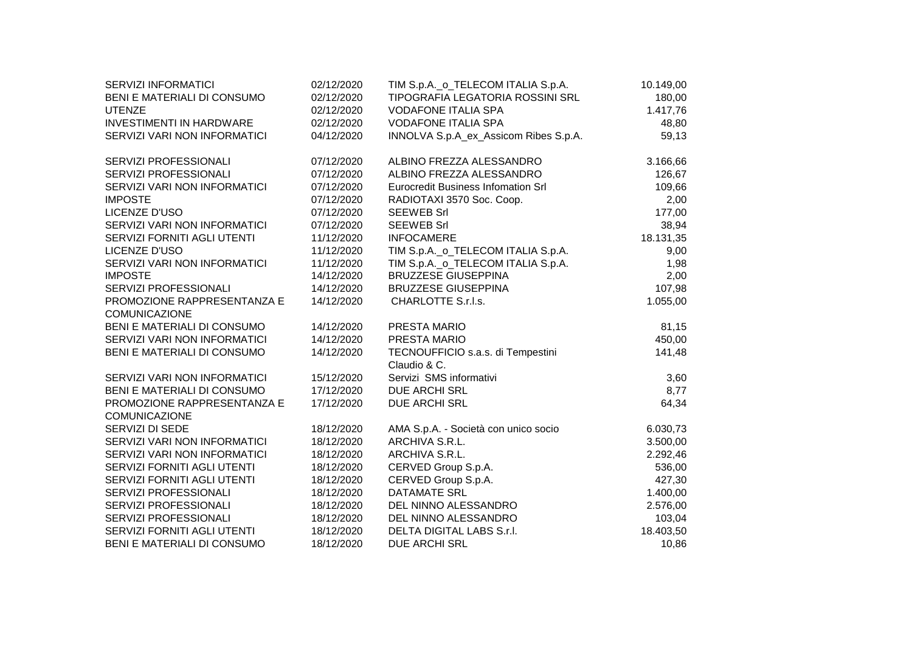| 02/12/2020 | TIM S.p.A._o_TELECOM ITALIA S.p.A.                                                                                                                                                 | 10.149,00                                                                                                                                                                                                                                                                                                                                                                                     |
|------------|------------------------------------------------------------------------------------------------------------------------------------------------------------------------------------|-----------------------------------------------------------------------------------------------------------------------------------------------------------------------------------------------------------------------------------------------------------------------------------------------------------------------------------------------------------------------------------------------|
| 02/12/2020 | TIPOGRAFIA LEGATORIA ROSSINI SRL                                                                                                                                                   | 180,00                                                                                                                                                                                                                                                                                                                                                                                        |
| 02/12/2020 | <b>VODAFONE ITALIA SPA</b>                                                                                                                                                         | 1.417,76                                                                                                                                                                                                                                                                                                                                                                                      |
| 02/12/2020 | <b>VODAFONE ITALIA SPA</b>                                                                                                                                                         | 48,80                                                                                                                                                                                                                                                                                                                                                                                         |
| 04/12/2020 | INNOLVA S.p.A_ex_Assicom Ribes S.p.A.                                                                                                                                              | 59,13                                                                                                                                                                                                                                                                                                                                                                                         |
| 07/12/2020 | ALBINO FREZZA ALESSANDRO                                                                                                                                                           | 3.166,66                                                                                                                                                                                                                                                                                                                                                                                      |
|            |                                                                                                                                                                                    | 126,67                                                                                                                                                                                                                                                                                                                                                                                        |
|            |                                                                                                                                                                                    | 109,66                                                                                                                                                                                                                                                                                                                                                                                        |
|            |                                                                                                                                                                                    | 2,00                                                                                                                                                                                                                                                                                                                                                                                          |
|            | <b>SEEWEB Srl</b>                                                                                                                                                                  | 177,00                                                                                                                                                                                                                                                                                                                                                                                        |
|            |                                                                                                                                                                                    | 38,94                                                                                                                                                                                                                                                                                                                                                                                         |
|            |                                                                                                                                                                                    | 18.131,35                                                                                                                                                                                                                                                                                                                                                                                     |
|            |                                                                                                                                                                                    | 9,00                                                                                                                                                                                                                                                                                                                                                                                          |
|            |                                                                                                                                                                                    | 1,98                                                                                                                                                                                                                                                                                                                                                                                          |
| 14/12/2020 |                                                                                                                                                                                    | 2,00                                                                                                                                                                                                                                                                                                                                                                                          |
| 14/12/2020 | <b>BRUZZESE GIUSEPPINA</b>                                                                                                                                                         | 107,98                                                                                                                                                                                                                                                                                                                                                                                        |
| 14/12/2020 |                                                                                                                                                                                    | 1.055,00                                                                                                                                                                                                                                                                                                                                                                                      |
|            |                                                                                                                                                                                    | 81,15                                                                                                                                                                                                                                                                                                                                                                                         |
| 14/12/2020 | PRESTA MARIO                                                                                                                                                                       | 450,00                                                                                                                                                                                                                                                                                                                                                                                        |
| 14/12/2020 | TECNOUFFICIO s.a.s. di Tempestini<br>Claudio & C.                                                                                                                                  | 141,48                                                                                                                                                                                                                                                                                                                                                                                        |
| 15/12/2020 | Servizi SMS informativi                                                                                                                                                            | 3,60                                                                                                                                                                                                                                                                                                                                                                                          |
| 17/12/2020 | DUE ARCHI SRL                                                                                                                                                                      | 8,77                                                                                                                                                                                                                                                                                                                                                                                          |
| 17/12/2020 | DUE ARCHI SRL                                                                                                                                                                      | 64,34                                                                                                                                                                                                                                                                                                                                                                                         |
|            |                                                                                                                                                                                    | 6.030,73                                                                                                                                                                                                                                                                                                                                                                                      |
|            |                                                                                                                                                                                    | 3.500,00                                                                                                                                                                                                                                                                                                                                                                                      |
|            | ARCHIVA S.R.L.                                                                                                                                                                     | 2.292,46                                                                                                                                                                                                                                                                                                                                                                                      |
|            |                                                                                                                                                                                    | 536,00                                                                                                                                                                                                                                                                                                                                                                                        |
| 18/12/2020 |                                                                                                                                                                                    | 427,30                                                                                                                                                                                                                                                                                                                                                                                        |
| 18/12/2020 | <b>DATAMATE SRL</b>                                                                                                                                                                | 1.400,00                                                                                                                                                                                                                                                                                                                                                                                      |
| 18/12/2020 | DEL NINNO ALESSANDRO                                                                                                                                                               | 2.576,00                                                                                                                                                                                                                                                                                                                                                                                      |
| 18/12/2020 | DEL NINNO ALESSANDRO                                                                                                                                                               | 103,04                                                                                                                                                                                                                                                                                                                                                                                        |
| 18/12/2020 | DELTA DIGITAL LABS S.r.I.                                                                                                                                                          | 18.403,50                                                                                                                                                                                                                                                                                                                                                                                     |
| 18/12/2020 | <b>DUE ARCHI SRL</b>                                                                                                                                                               | 10,86                                                                                                                                                                                                                                                                                                                                                                                         |
|            | 07/12/2020<br>07/12/2020<br>07/12/2020<br>07/12/2020<br>07/12/2020<br>11/12/2020<br>11/12/2020<br>11/12/2020<br>14/12/2020<br>18/12/2020<br>18/12/2020<br>18/12/2020<br>18/12/2020 | ALBINO FREZZA ALESSANDRO<br>Eurocredit Business Infomation Srl<br>RADIOTAXI 3570 Soc. Coop.<br><b>SEEWEB Srl</b><br><b>INFOCAMERE</b><br>TIM S.p.A._o_TELECOM ITALIA S.p.A.<br>TIM S.p.A._o_TELECOM ITALIA S.p.A.<br><b>BRUZZESE GIUSEPPINA</b><br>CHARLOTTE S.r.l.s.<br>PRESTA MARIO<br>AMA S.p.A. - Società con unico socio<br>ARCHIVA S.R.L.<br>CERVED Group S.p.A.<br>CERVED Group S.p.A. |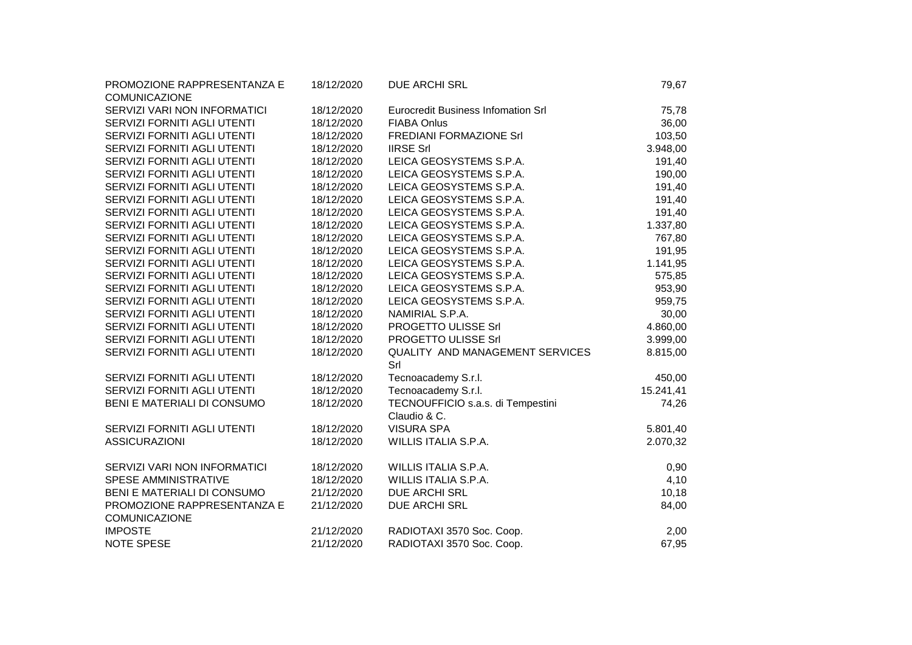| 18/12/2020 | <b>DUE ARCHI SRL</b>                                                                                         | 79,67                                                                                                                                                                           |                                                                                                        |
|------------|--------------------------------------------------------------------------------------------------------------|---------------------------------------------------------------------------------------------------------------------------------------------------------------------------------|--------------------------------------------------------------------------------------------------------|
|            |                                                                                                              |                                                                                                                                                                                 |                                                                                                        |
|            | <b>FIABA Onlus</b>                                                                                           |                                                                                                                                                                                 |                                                                                                        |
| 18/12/2020 |                                                                                                              |                                                                                                                                                                                 |                                                                                                        |
|            | <b>IIRSE Srl</b>                                                                                             |                                                                                                                                                                                 |                                                                                                        |
| 18/12/2020 | LEICA GEOSYSTEMS S.P.A.                                                                                      |                                                                                                                                                                                 |                                                                                                        |
|            | LEICA GEOSYSTEMS S.P.A.                                                                                      |                                                                                                                                                                                 |                                                                                                        |
|            | LEICA GEOSYSTEMS S.P.A.                                                                                      |                                                                                                                                                                                 |                                                                                                        |
| 18/12/2020 | LEICA GEOSYSTEMS S.P.A.                                                                                      |                                                                                                                                                                                 |                                                                                                        |
| 18/12/2020 | LEICA GEOSYSTEMS S.P.A.                                                                                      | 191,40                                                                                                                                                                          |                                                                                                        |
| 18/12/2020 | LEICA GEOSYSTEMS S.P.A.                                                                                      | 1.337,80                                                                                                                                                                        |                                                                                                        |
| 18/12/2020 | LEICA GEOSYSTEMS S.P.A.                                                                                      | 767,80                                                                                                                                                                          |                                                                                                        |
| 18/12/2020 | LEICA GEOSYSTEMS S.P.A.                                                                                      | 191,95                                                                                                                                                                          |                                                                                                        |
| 18/12/2020 | LEICA GEOSYSTEMS S.P.A.                                                                                      | 1.141,95                                                                                                                                                                        |                                                                                                        |
| 18/12/2020 | LEICA GEOSYSTEMS S.P.A.                                                                                      | 575,85                                                                                                                                                                          |                                                                                                        |
| 18/12/2020 | LEICA GEOSYSTEMS S.P.A.                                                                                      | 953,90                                                                                                                                                                          |                                                                                                        |
| 18/12/2020 | LEICA GEOSYSTEMS S.P.A.                                                                                      | 959,75                                                                                                                                                                          |                                                                                                        |
| 18/12/2020 | NAMIRIAL S.P.A.                                                                                              | 30,00                                                                                                                                                                           |                                                                                                        |
| 18/12/2020 | PROGETTO ULISSE Srl                                                                                          | 4.860,00                                                                                                                                                                        |                                                                                                        |
| 18/12/2020 | PROGETTO ULISSE Srl                                                                                          | 3.999,00                                                                                                                                                                        |                                                                                                        |
| 18/12/2020 | Srl                                                                                                          | 8.815,00                                                                                                                                                                        |                                                                                                        |
| 18/12/2020 | Tecnoacademy S.r.l.                                                                                          | 450,00                                                                                                                                                                          |                                                                                                        |
| 18/12/2020 | Tecnoacademy S.r.l.                                                                                          | 15.241,41                                                                                                                                                                       |                                                                                                        |
| 18/12/2020 | TECNOUFFICIO s.a.s. di Tempestini<br>Claudio & C.                                                            | 74,26                                                                                                                                                                           |                                                                                                        |
| 18/12/2020 | <b>VISURA SPA</b>                                                                                            | 5.801,40                                                                                                                                                                        |                                                                                                        |
| 18/12/2020 | WILLIS ITALIA S.P.A.                                                                                         | 2.070,32                                                                                                                                                                        |                                                                                                        |
| 18/12/2020 | WILLIS ITALIA S.P.A.                                                                                         | 0,90                                                                                                                                                                            |                                                                                                        |
|            |                                                                                                              |                                                                                                                                                                                 |                                                                                                        |
|            |                                                                                                              |                                                                                                                                                                                 |                                                                                                        |
|            |                                                                                                              |                                                                                                                                                                                 |                                                                                                        |
| 21/12/2020 | RADIOTAXI 3570 Soc. Coop.                                                                                    | 2,00                                                                                                                                                                            |                                                                                                        |
| 21/12/2020 | RADIOTAXI 3570 Soc. Coop.                                                                                    | 67,95                                                                                                                                                                           |                                                                                                        |
|            | 18/12/2020<br>18/12/2020<br>18/12/2020<br>18/12/2020<br>18/12/2020<br>18/12/2020<br>21/12/2020<br>21/12/2020 | <b>Eurocredit Business Infomation Srl</b><br>FREDIANI FORMAZIONE Srl<br>QUALITY AND MANAGEMENT SERVICES<br>WILLIS ITALIA S.P.A.<br><b>DUE ARCHI SRL</b><br><b>DUE ARCHI SRL</b> | 75,78<br>36,00<br>103,50<br>3.948,00<br>191,40<br>190,00<br>191,40<br>191,40<br>4,10<br>10,18<br>84,00 |